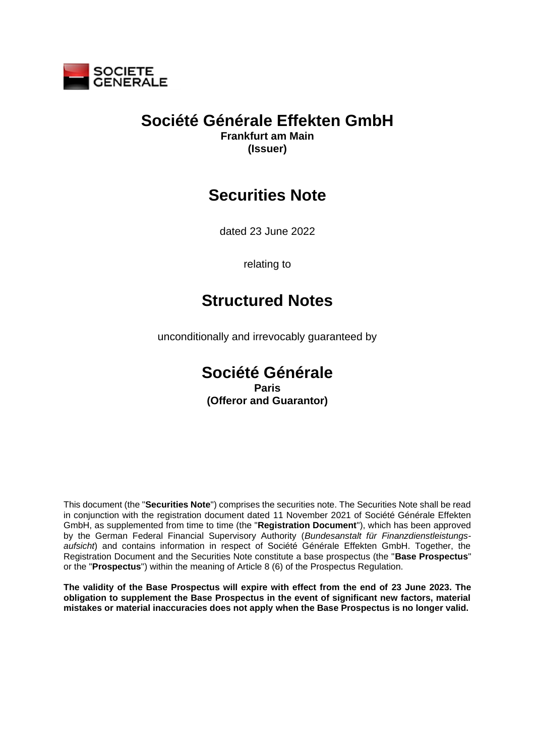

# **Société Générale Effekten GmbH**

**Frankfurt am Main (Issuer)**

# **Securities Note**

dated 23 June 2022

relating to

# **Structured Notes**

unconditionally and irrevocably guaranteed by

# **Société Générale Paris (Offeror and Guarantor)**

This document (the "**Securities Note**") comprises the securities note. The Securities Note shall be read in conjunction with the registration document dated 11 November 2021 of Société Générale Effekten GmbH, as supplemented from time to time (the "**Registration Document**"), which has been approved by the German Federal Financial Supervisory Authority (*Bundesanstalt für Finanzdienstleistungsaufsicht*) and contains information in respect of Société Générale Effekten GmbH. Together, the Registration Document and the Securities Note constitute a base prospectus (the "**Base Prospectus**" or the "**Prospectus**") within the meaning of Article 8 (6) of the Prospectus Regulation.

**The validity of the Base Prospectus will expire with effect from the end of 23 June 2023. The obligation to supplement the Base Prospectus in the event of significant new factors, material mistakes or material inaccuracies does not apply when the Base Prospectus is no longer valid.**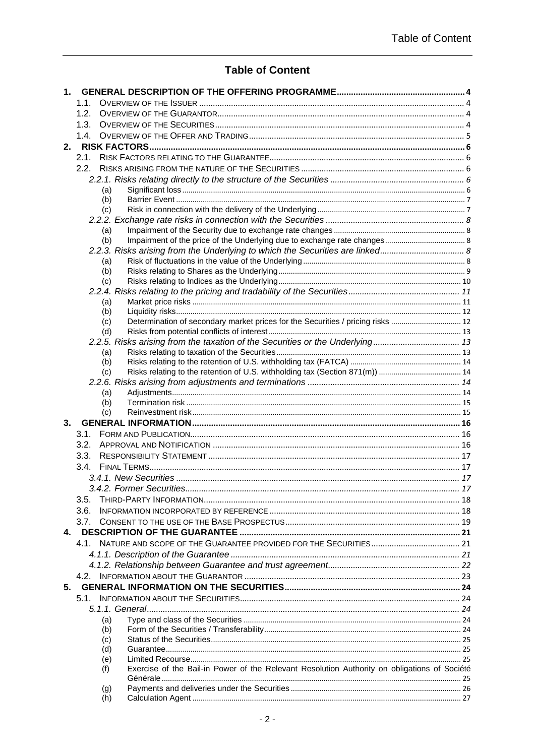# **Table of Content**

| 1. |                                                                                                     |  |
|----|-----------------------------------------------------------------------------------------------------|--|
|    | 1.1.                                                                                                |  |
|    | 1.2.                                                                                                |  |
|    |                                                                                                     |  |
|    |                                                                                                     |  |
| 2. |                                                                                                     |  |
|    |                                                                                                     |  |
|    |                                                                                                     |  |
|    | (a)                                                                                                 |  |
|    | (b)                                                                                                 |  |
|    | (c)                                                                                                 |  |
|    |                                                                                                     |  |
|    | (a)                                                                                                 |  |
|    | (b)                                                                                                 |  |
|    | 2.2.3. Risks arising from the Underlying to which the Securities are linked                         |  |
|    | (a)                                                                                                 |  |
|    | (b)                                                                                                 |  |
|    | (c)                                                                                                 |  |
|    | (a)                                                                                                 |  |
|    | (b)                                                                                                 |  |
|    | Determination of secondary market prices for the Securities / pricing risks  12<br>(c)              |  |
|    | (d)                                                                                                 |  |
|    | 2.2.5. Risks arising from the taxation of the Securities or the Underlying 13                       |  |
|    | (a)                                                                                                 |  |
|    | (b)                                                                                                 |  |
|    | (c)                                                                                                 |  |
|    | (a)                                                                                                 |  |
|    | (b)                                                                                                 |  |
|    | (c)                                                                                                 |  |
| 3. |                                                                                                     |  |
|    |                                                                                                     |  |
|    |                                                                                                     |  |
|    |                                                                                                     |  |
|    |                                                                                                     |  |
|    |                                                                                                     |  |
|    |                                                                                                     |  |
|    | 3.5.                                                                                                |  |
|    | 3.6.                                                                                                |  |
|    |                                                                                                     |  |
| 4. |                                                                                                     |  |
|    |                                                                                                     |  |
|    |                                                                                                     |  |
|    |                                                                                                     |  |
| 5. |                                                                                                     |  |
|    |                                                                                                     |  |
|    |                                                                                                     |  |
|    | (a)                                                                                                 |  |
|    | (b)                                                                                                 |  |
|    | (c)                                                                                                 |  |
|    | (d)                                                                                                 |  |
|    | (e)                                                                                                 |  |
|    | Exercise of the Bail-in Power of the Relevant Resolution Authority on obligations of Société<br>(f) |  |
|    | (g)                                                                                                 |  |
|    | (h)                                                                                                 |  |
|    |                                                                                                     |  |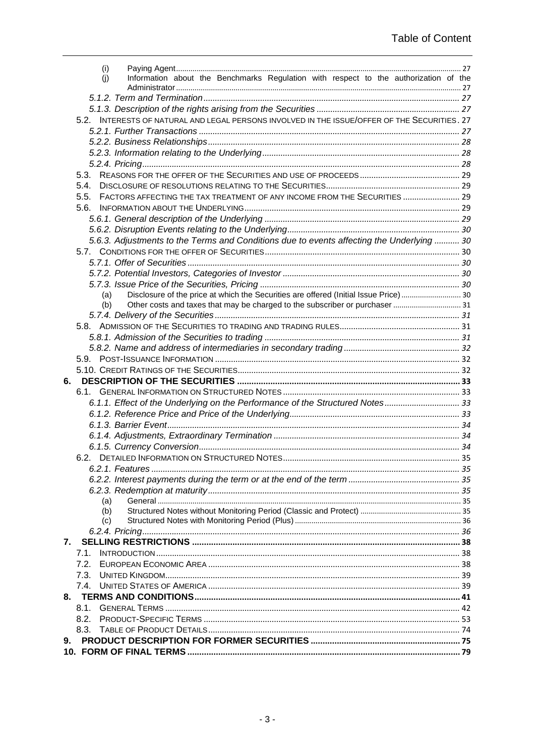| 9. |                                                                                               |  |
|----|-----------------------------------------------------------------------------------------------|--|
|    | 8.3.                                                                                          |  |
|    | 8.2.                                                                                          |  |
|    |                                                                                               |  |
| 8. |                                                                                               |  |
|    |                                                                                               |  |
|    |                                                                                               |  |
|    | 7.2.                                                                                          |  |
|    | 7.1.                                                                                          |  |
| 7. |                                                                                               |  |
|    |                                                                                               |  |
|    | (c)                                                                                           |  |
|    | (b)                                                                                           |  |
|    | (a)                                                                                           |  |
|    |                                                                                               |  |
|    |                                                                                               |  |
|    |                                                                                               |  |
|    |                                                                                               |  |
|    |                                                                                               |  |
|    |                                                                                               |  |
|    |                                                                                               |  |
|    |                                                                                               |  |
|    | 6.1.1. Effect of the Underlying on the Performance of the Structured Notes 33                 |  |
|    |                                                                                               |  |
| 6. |                                                                                               |  |
|    |                                                                                               |  |
|    |                                                                                               |  |
|    |                                                                                               |  |
|    |                                                                                               |  |
|    |                                                                                               |  |
|    |                                                                                               |  |
|    | Other costs and taxes that may be charged to the subscriber or purchaser  31<br>(b)           |  |
|    | Disclosure of the price at which the Securities are offered (Initial Issue Price) 30<br>(a)   |  |
|    |                                                                                               |  |
|    |                                                                                               |  |
|    |                                                                                               |  |
|    |                                                                                               |  |
|    | 5.6.3. Adjustments to the Terms and Conditions due to events affecting the Underlying  30     |  |
|    |                                                                                               |  |
|    |                                                                                               |  |
|    | 5.6.                                                                                          |  |
|    | FACTORS AFFECTING THE TAX TREATMENT OF ANY INCOME FROM THE SECURITIES  29<br>5.5.             |  |
|    | 5.4.                                                                                          |  |
|    | 5.3.                                                                                          |  |
|    |                                                                                               |  |
|    |                                                                                               |  |
|    |                                                                                               |  |
|    |                                                                                               |  |
|    | 5.2. INTERESTS OF NATURAL AND LEGAL PERSONS INVOLVED IN THE ISSUE/OFFER OF THE SECURITIES. 27 |  |
|    |                                                                                               |  |
|    |                                                                                               |  |
|    | Information about the Benchmarks Regulation with respect to the authorization of the<br>(i)   |  |
|    | (i)                                                                                           |  |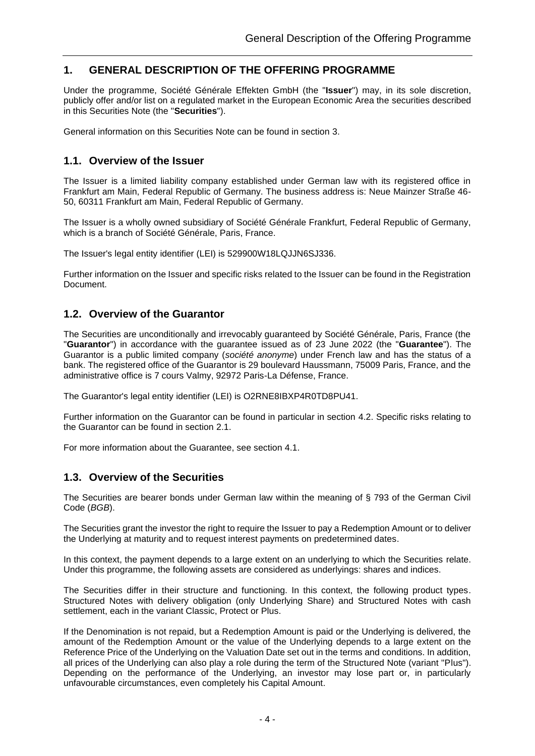# <span id="page-3-0"></span>**1. GENERAL DESCRIPTION OF THE OFFERING PROGRAMME**

Under the programme, Société Générale Effekten GmbH (the "**Issuer**") may, in its sole discretion, publicly offer and/or list on a regulated market in the European Economic Area the securities described in this Securities Note (the "**Securities**").

<span id="page-3-1"></span>General information on this Securities Note can be found in section [3.](#page-15-0)

## **1.1. Overview of the Issuer**

The Issuer is a limited liability company established under German law with its registered office in Frankfurt am Main, Federal Republic of Germany. The business address is: Neue Mainzer Straße 46- 50, 60311 Frankfurt am Main, Federal Republic of Germany.

The Issuer is a wholly owned subsidiary of Société Générale Frankfurt, Federal Republic of Germany, which is a branch of Société Générale, Paris, France.

The Issuer's legal entity identifier (LEI) is 529900W18LQJJN6SJ336.

Further information on the Issuer and specific risks related to the Issuer can be found in the Registration Document.

### <span id="page-3-2"></span>**1.2. Overview of the Guarantor**

The Securities are unconditionally and irrevocably guaranteed by Société Générale, Paris, France (the "**Guarantor**") in accordance with the guarantee issued as of 23 June 2022 (the "**Guarantee**"). The Guarantor is a public limited company (*société anonyme*) under French law and has the status of a bank. The registered office of the Guarantor is 29 boulevard Haussmann, 75009 Paris, France, and the administrative office is 7 cours Valmy, 92972 Paris-La Défense, France.

The Guarantor's legal entity identifier (LEI) is O2RNE8IBXP4R0TD8PU41.

Further information on the Guarantor can be found in particular in section [4.2.](#page-22-0) Specific risks relating to the Guarantor can be found in section [2.1.](#page-5-1)

<span id="page-3-3"></span>For more information about the Guarantee, see section [4.1.](#page-20-1)

### **1.3. Overview of the Securities**

The Securities are bearer bonds under German law within the meaning of § 793 of the German Civil Code (*BGB*).

The Securities grant the investor the right to require the Issuer to pay a Redemption Amount or to deliver the Underlying at maturity and to request interest payments on predetermined dates.

In this context, the payment depends to a large extent on an underlying to which the Securities relate. Under this programme, the following assets are considered as underlyings: shares and indices.

The Securities differ in their structure and functioning. In this context, the following product types. Structured Notes with delivery obligation (only Underlying Share) and Structured Notes with cash settlement, each in the variant Classic, Protect or Plus.

If the Denomination is not repaid, but a Redemption Amount is paid or the Underlying is delivered, the amount of the Redemption Amount or the value of the Underlying depends to a large extent on the Reference Price of the Underlying on the Valuation Date set out in the terms and conditions. In addition, all prices of the Underlying can also play a role during the term of the Structured Note (variant "Plus"). Depending on the performance of the Underlying, an investor may lose part or, in particularly unfavourable circumstances, even completely his Capital Amount.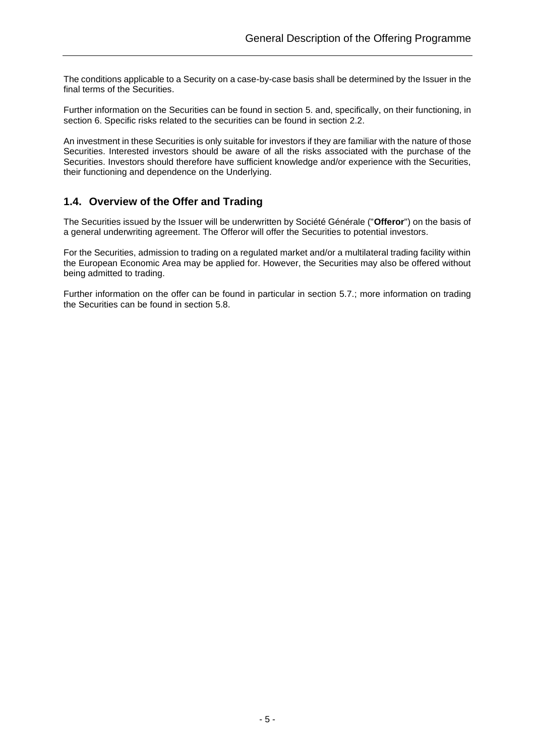The conditions applicable to a Security on a case-by-case basis shall be determined by the Issuer in the final terms of the Securities.

Further information on the Securities can be found in section [5.](#page-23-0) and, specifically, on their functioning, in section [6.](#page-32-0) Specific risks related to the securities can be found in section [2.2.](#page-5-2)

An investment in these Securities is only suitable for investors if they are familiar with the nature of those Securities. Interested investors should be aware of all the risks associated with the purchase of the Securities. Investors should therefore have sufficient knowledge and/or experience with the Securities, their functioning and dependence on the Underlying.

### <span id="page-4-0"></span>**1.4. Overview of the Offer and Trading**

The Securities issued by the Issuer will be underwritten by Société Générale ("**Offeror**") on the basis of a general underwriting agreement. The Offeror will offer the Securities to potential investors.

For the Securities, admission to trading on a regulated market and/or a multilateral trading facility within the European Economic Area may be applied for. However, the Securities may also be offered without being admitted to trading.

Further information on the offer can be found in particular in section [5.7.](#page-29-2); more information on trading the Securities can be found in section [5.8.](#page-30-2)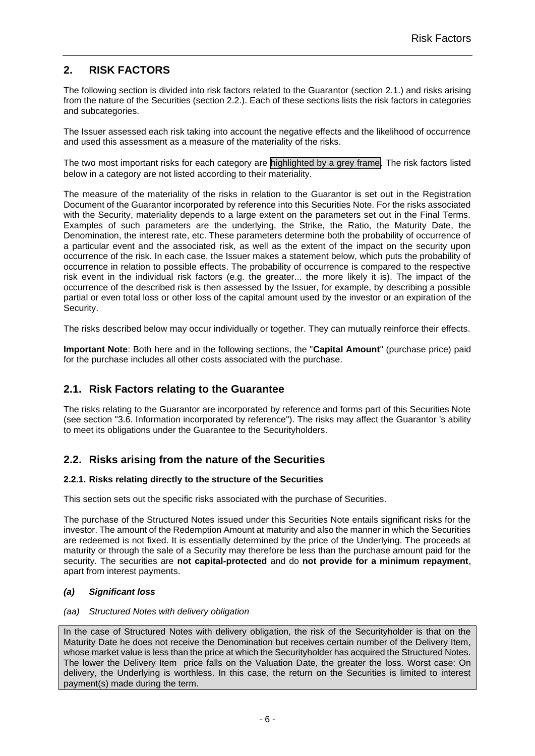# <span id="page-5-0"></span>**2. RISK FACTORS**

The following section is divided into risk factors related to the Guarantor (section [2.1.](#page-5-1)) and risks arising from the nature of the Securities (section [2.2.](#page-5-2)). Each of these sections lists the risk factors in categories and subcategories.

The Issuer assessed each risk taking into account the negative effects and the likelihood of occurrence and used this assessment as a measure of the materiality of the risks.

The two most important risks for each category are highlighted by a grey frame. The risk factors listed below in a category are not listed according to their materiality.

The measure of the materiality of the risks in relation to the Guarantor is set out in the Registration Document of the Guarantor incorporated by reference into this Securities Note. For the risks associated with the Security, materiality depends to a large extent on the parameters set out in the Final Terms. Examples of such parameters are the underlying, the Strike, the Ratio, the Maturity Date, the Denomination, the interest rate, etc. These parameters determine both the probability of occurrence of a particular event and the associated risk, as well as the extent of the impact on the security upon occurrence of the risk. In each case, the Issuer makes a statement below, which puts the probability of occurrence in relation to possible effects. The probability of occurrence is compared to the respective risk event in the individual risk factors (e.g. the greater... the more likely it is). The impact of the occurrence of the described risk is then assessed by the Issuer, for example, by describing a possible partial or even total loss or other loss of the capital amount used by the investor or an expiration of the Security.

The risks described below may occur individually or together. They can mutually reinforce their effects.

**Important Note**: Both here and in the following sections, the "**Capital Amount**" (purchase price) paid for the purchase includes all other costs associated with the purchase.

### <span id="page-5-1"></span>**2.1. Risk Factors relating to the Guarantee**

The risks relating to the Guarantor are incorporated by reference and forms part of this Securities Note (see section ["3.6. Information incorporated by reference"](#page-17-1)). The risks may affect the Guarantor 's ability to meet its obligations under the Guarantee to the Securityholders.

### <span id="page-5-2"></span>**2.2. Risks arising from the nature of the Securities**

### <span id="page-5-3"></span>**2.2.1. Risks relating directly to the structure of the Securities**

This section sets out the specific risks associated with the purchase of Securities.

The purchase of the Structured Notes issued under this Securities Note entails significant risks for the investor. The amount of the Redemption Amount at maturity and also the manner in which the Securities are redeemed is not fixed. It is essentially determined by the price of the Underlying. The proceeds at maturity or through the sale of a Security may therefore be less than the purchase amount paid for the security. The securities are **not capital-protected** and do **not provide for a minimum repayment**, apart from interest payments.

### <span id="page-5-4"></span>*(a) Significant loss*

### *(aa) Structured Notes with delivery obligation*

In the case of Structured Notes with delivery obligation, the risk of the Securityholder is that on the Maturity Date he does not receive the Denomination but receives certain number of the Delivery Item, whose market value is less than the price at which the Securityholder has acquired the Structured Notes. The lower the Delivery Item price falls on the Valuation Date, the greater the loss. Worst case: On delivery, the Underlying is worthless. In this case, the return on the Securities is limited to interest payment(s) made during the term.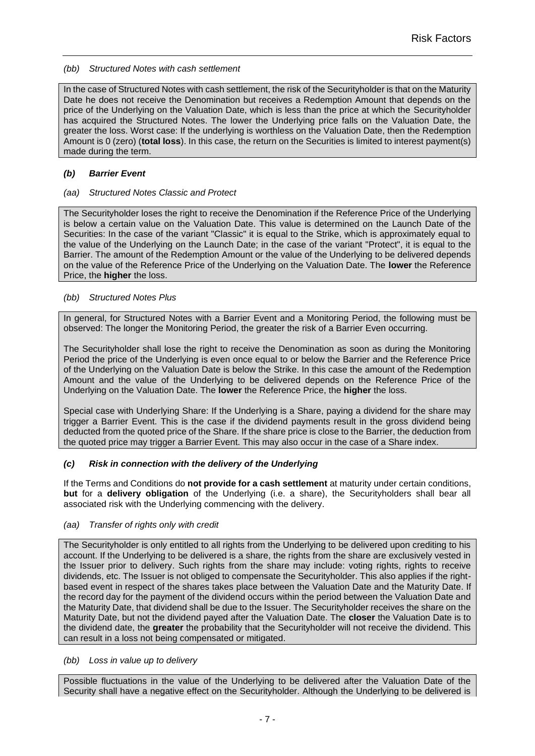*(bb) Structured Notes with cash settlement*

In the case of Structured Notes with cash settlement, the risk of the Securityholder is that on the Maturity Date he does not receive the Denomination but receives a Redemption Amount that depends on the price of the Underlying on the Valuation Date, which is less than the price at which the Securityholder has acquired the Structured Notes. The lower the Underlying price falls on the Valuation Date, the greater the loss. Worst case: If the underlying is worthless on the Valuation Date, then the Redemption Amount is 0 (zero) (**total loss**). In this case, the return on the Securities is limited to interest payment(s) made during the term.

### <span id="page-6-0"></span>*(b) Barrier Event*

### *(aa) Structured Notes Classic and Protect*

The Securityholder loses the right to receive the Denomination if the Reference Price of the Underlying is below a certain value on the Valuation Date. This value is determined on the Launch Date of the Securities: In the case of the variant "Classic" it is equal to the Strike, which is approximately equal to the value of the Underlying on the Launch Date; in the case of the variant "Protect", it is equal to the Barrier. The amount of the Redemption Amount or the value of the Underlying to be delivered depends on the value of the Reference Price of the Underlying on the Valuation Date. The **lower** the Reference Price, the **higher** the loss.

### *(bb) Structured Notes Plus*

In general, for Structured Notes with a Barrier Event and a Monitoring Period, the following must be observed: The longer the Monitoring Period, the greater the risk of a Barrier Even occurring.

The Securityholder shall lose the right to receive the Denomination as soon as during the Monitoring Period the price of the Underlying is even once equal to or below the Barrier and the Reference Price of the Underlying on the Valuation Date is below the Strike. In this case the amount of the Redemption Amount and the value of the Underlying to be delivered depends on the Reference Price of the Underlying on the Valuation Date. The **lower** the Reference Price, the **higher** the loss.

Special case with Underlying Share: If the Underlying is a Share, paying a dividend for the share may trigger a Barrier Event. This is the case if the dividend payments result in the gross dividend being deducted from the quoted price of the Share. If the share price is close to the Barrier, the deduction from the quoted price may trigger a Barrier Event. This may also occur in the case of a Share index.

### <span id="page-6-1"></span>*(c) Risk in connection with the delivery of the Underlying*

If the Terms and Conditions do **not provide for a cash settlement** at maturity under certain conditions, **but** for a **delivery obligation** of the Underlying (i.e. a share), the Securityholders shall bear all associated risk with the Underlying commencing with the delivery.

### *(aa) Transfer of rights only with credit*

The Securityholder is only entitled to all rights from the Underlying to be delivered upon crediting to his account. If the Underlying to be delivered is a share, the rights from the share are exclusively vested in the Issuer prior to delivery. Such rights from the share may include: voting rights, rights to receive dividends, etc. The Issuer is not obliged to compensate the Securityholder. This also applies if the rightbased event in respect of the shares takes place between the Valuation Date and the Maturity Date. If the record day for the payment of the dividend occurs within the period between the Valuation Date and the Maturity Date, that dividend shall be due to the Issuer. The Securityholder receives the share on the Maturity Date, but not the dividend payed after the Valuation Date. The **closer** the Valuation Date is to the dividend date, the **greater** the probability that the Securityholder will not receive the dividend. This can result in a loss not being compensated or mitigated.

#### *(bb) Loss in value up to delivery*

Possible fluctuations in the value of the Underlying to be delivered after the Valuation Date of the Security shall have a negative effect on the Securityholder. Although the Underlying to be delivered is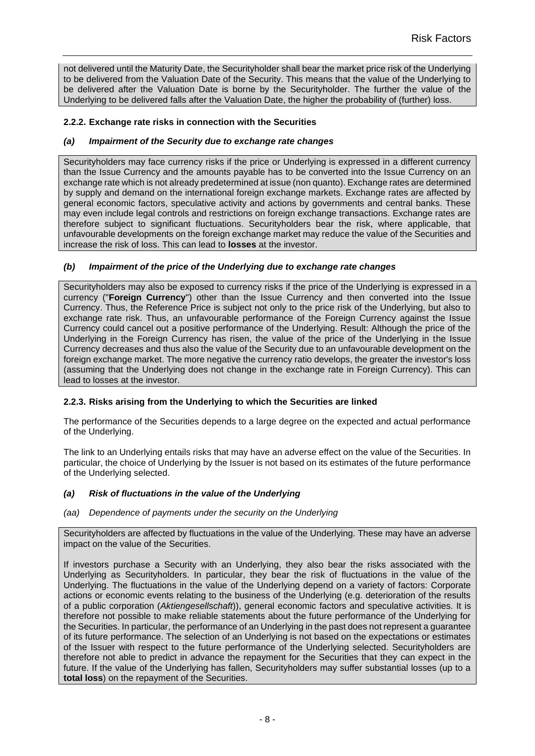not delivered until the Maturity Date, the Securityholder shall bear the market price risk of the Underlying to be delivered from the Valuation Date of the Security. This means that the value of the Underlying to be delivered after the Valuation Date is borne by the Securityholder. The further the value of the Underlying to be delivered falls after the Valuation Date, the higher the probability of (further) loss.

### <span id="page-7-0"></span>**2.2.2. Exchange rate risks in connection with the Securities**

### <span id="page-7-1"></span>*(a) Impairment of the Security due to exchange rate changes*

Securityholders may face currency risks if the price or Underlying is expressed in a different currency than the Issue Currency and the amounts payable has to be converted into the Issue Currency on an exchange rate which is not already predetermined at issue (non quanto). Exchange rates are determined by supply and demand on the international foreign exchange markets. Exchange rates are affected by general economic factors, speculative activity and actions by governments and central banks. These may even include legal controls and restrictions on foreign exchange transactions. Exchange rates are therefore subject to significant fluctuations. Securityholders bear the risk, where applicable, that unfavourable developments on the foreign exchange market may reduce the value of the Securities and increase the risk of loss. This can lead to **losses** at the investor.

### <span id="page-7-2"></span>*(b) Impairment of the price of the Underlying due to exchange rate changes*

Securityholders may also be exposed to currency risks if the price of the Underlying is expressed in a currency ("**Foreign Currency**") other than the Issue Currency and then converted into the Issue Currency. Thus, the Reference Price is subject not only to the price risk of the Underlying, but also to exchange rate risk. Thus, an unfavourable performance of the Foreign Currency against the Issue Currency could cancel out a positive performance of the Underlying. Result: Although the price of the Underlying in the Foreign Currency has risen, the value of the price of the Underlying in the Issue Currency decreases and thus also the value of the Security due to an unfavourable development on the foreign exchange market. The more negative the currency ratio develops, the greater the investor's loss (assuming that the Underlying does not change in the exchange rate in Foreign Currency). This can lead to losses at the investor.

### <span id="page-7-3"></span>**2.2.3. Risks arising from the Underlying to which the Securities are linked**

The performance of the Securities depends to a large degree on the expected and actual performance of the Underlying.

The link to an Underlying entails risks that may have an adverse effect on the value of the Securities. In particular, the choice of Underlying by the Issuer is not based on its estimates of the future performance of the Underlying selected.

### <span id="page-7-4"></span>*(a) Risk of fluctuations in the value of the Underlying*

*(aa) Dependence of payments under the security on the Underlying*

Securityholders are affected by fluctuations in the value of the Underlying. These may have an adverse impact on the value of the Securities.

If investors purchase a Security with an Underlying, they also bear the risks associated with the Underlying as Securityholders. In particular, they bear the risk of fluctuations in the value of the Underlying. The fluctuations in the value of the Underlying depend on a variety of factors: Corporate actions or economic events relating to the business of the Underlying (e.g. deterioration of the results of a public corporation (*Aktiengesellschaft*)), general economic factors and speculative activities. It is therefore not possible to make reliable statements about the future performance of the Underlying for the Securities. In particular, the performance of an Underlying in the past does not represent a guarantee of its future performance. The selection of an Underlying is not based on the expectations or estimates of the Issuer with respect to the future performance of the Underlying selected. Securityholders are therefore not able to predict in advance the repayment for the Securities that they can expect in the future. If the value of the Underlying has fallen, Securityholders may suffer substantial losses (up to a **total loss**) on the repayment of the Securities.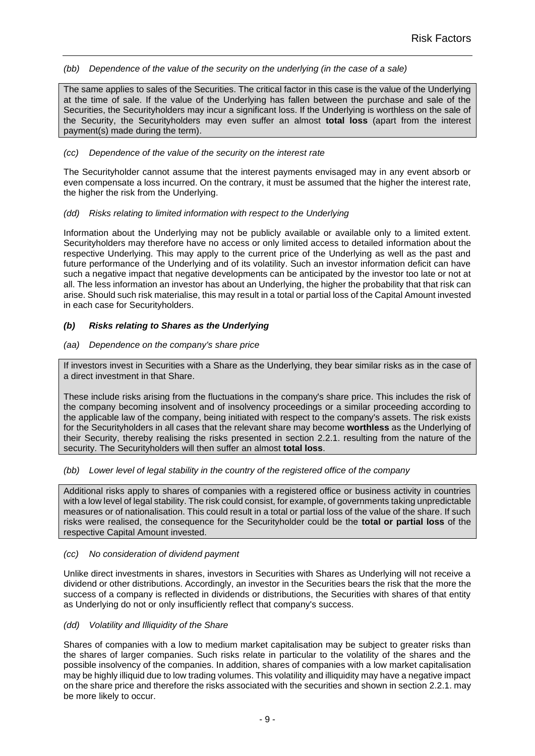*(bb) Dependence of the value of the security on the underlying (in the case of a sale)*

The same applies to sales of the Securities. The critical factor in this case is the value of the Underlying at the time of sale. If the value of the Underlying has fallen between the purchase and sale of the Securities, the Securityholders may incur a significant loss. If the Underlying is worthless on the sale of the Security, the Securityholders may even suffer an almost **total loss** (apart from the interest payment(s) made during the term).

#### *(cc) Dependence of the value of the security on the interest rate*

The Securityholder cannot assume that the interest payments envisaged may in any event absorb or even compensate a loss incurred. On the contrary, it must be assumed that the higher the interest rate, the higher the risk from the Underlying.

### *(dd) Risks relating to limited information with respect to the Underlying*

Information about the Underlying may not be publicly available or available only to a limited extent. Securityholders may therefore have no access or only limited access to detailed information about the respective Underlying. This may apply to the current price of the Underlying as well as the past and future performance of the Underlying and of its volatility. Such an investor information deficit can have such a negative impact that negative developments can be anticipated by the investor too late or not at all. The less information an investor has about an Underlying, the higher the probability that that risk can arise. Should such risk materialise, this may result in a total or partial loss of the Capital Amount invested in each case for Securityholders.

### <span id="page-8-0"></span>*(b) Risks relating to Shares as the Underlying*

### *(aa) Dependence on the company's share price*

If investors invest in Securities with a Share as the Underlying, they bear similar risks as in the case of a direct investment in that Share.

These include risks arising from the fluctuations in the company's share price. This includes the risk of the company becoming insolvent and of insolvency proceedings or a similar proceeding according to the applicable law of the company, being initiated with respect to the company's assets. The risk exists for the Securityholders in all cases that the relevant share may become **worthless** as the Underlying of their Security, thereby realising the risks presented in section [2.2.1.](#page-5-3) resulting from the nature of the security. The Securityholders will then suffer an almost **total loss**.

### *(bb) Lower level of legal stability in the country of the registered office of the company*

Additional risks apply to shares of companies with a registered office or business activity in countries with a low level of legal stability. The risk could consist, for example, of governments taking unpredictable measures or of nationalisation. This could result in a total or partial loss of the value of the share. If such risks were realised, the consequence for the Securityholder could be the **total or partial loss** of the respective Capital Amount invested.

#### *(cc) No consideration of dividend payment*

Unlike direct investments in shares, investors in Securities with Shares as Underlying will not receive a dividend or other distributions. Accordingly, an investor in the Securities bears the risk that the more the success of a company is reflected in dividends or distributions, the Securities with shares of that entity as Underlying do not or only insufficiently reflect that company's success.

#### *(dd) Volatility and Illiquidity of the Share*

Shares of companies with a low to medium market capitalisation may be subject to greater risks than the shares of larger companies. Such risks relate in particular to the volatility of the shares and the possible insolvency of the companies. In addition, shares of companies with a low market capitalisation may be highly illiquid due to low trading volumes. This volatility and illiquidity may have a negative impact on the share price and therefore the risks associated with the securities and shown in section [2.2.1.](#page-5-3) may be more likely to occur.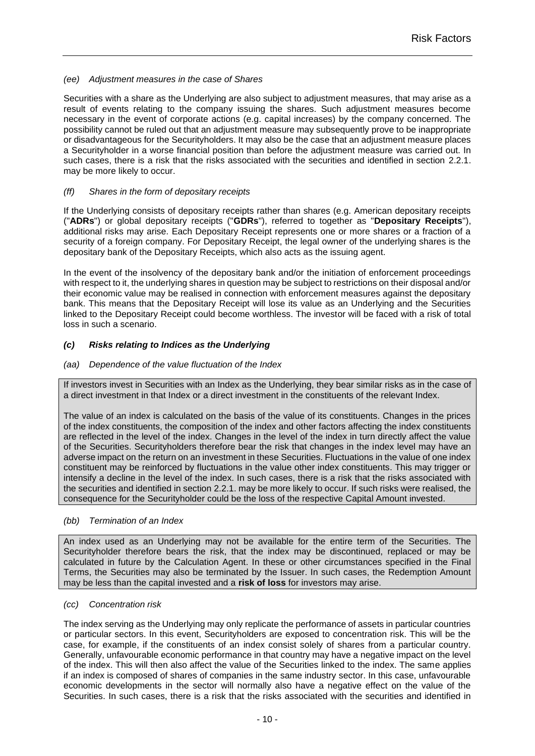### *(ee) Adjustment measures in the case of Shares*

Securities with a share as the Underlying are also subject to adjustment measures, that may arise as a result of events relating to the company issuing the shares. Such adjustment measures become necessary in the event of corporate actions (e.g. capital increases) by the company concerned. The possibility cannot be ruled out that an adjustment measure may subsequently prove to be inappropriate or disadvantageous for the Securityholders. It may also be the case that an adjustment measure places a Securityholder in a worse financial position than before the adjustment measure was carried out. In such cases, there is a risk that the risks associated with the securities and identified in section [2.2.1.](#page-5-3) may be more likely to occur.

### *(ff) Shares in the form of depositary receipts*

If the Underlying consists of depositary receipts rather than shares (e.g. American depositary receipts ("**ADRs**") or global depositary receipts ("**GDRs**"), referred to together as "**Depositary Receipts**"), additional risks may arise. Each Depositary Receipt represents one or more shares or a fraction of a security of a foreign company. For Depositary Receipt, the legal owner of the underlying shares is the depositary bank of the Depositary Receipts, which also acts as the issuing agent.

In the event of the insolvency of the depositary bank and/or the initiation of enforcement proceedings with respect to it, the underlying shares in question may be subject to restrictions on their disposal and/or their economic value may be realised in connection with enforcement measures against the depositary bank. This means that the Depositary Receipt will lose its value as an Underlying and the Securities linked to the Depositary Receipt could become worthless. The investor will be faced with a risk of total loss in such a scenario.

### <span id="page-9-0"></span>*(c) Risks relating to Indices as the Underlying*

### <span id="page-9-1"></span>*(aa) Dependence of the value fluctuation of the Index*

If investors invest in Securities with an Index as the Underlying, they bear similar risks as in the case of a direct investment in that Index or a direct investment in the constituents of the relevant Index.

The value of an index is calculated on the basis of the value of its constituents. Changes in the prices of the index constituents, the composition of the index and other factors affecting the index constituents are reflected in the level of the index. Changes in the level of the index in turn directly affect the value of the Securities. Securityholders therefore bear the risk that changes in the index level may have an adverse impact on the return on an investment in these Securities. Fluctuations in the value of one index constituent may be reinforced by fluctuations in the value other index constituents. This may trigger or intensify a decline in the level of the index. In such cases, there is a risk that the risks associated with the securities and identified in section [2.2.1.](#page-5-3) may be more likely to occur. If such risks were realised, the consequence for the Securityholder could be the loss of the respective Capital Amount invested.

#### *(bb) Termination of an Index*

An index used as an Underlying may not be available for the entire term of the Securities. The Securityholder therefore bears the risk, that the index may be discontinued, replaced or may be calculated in future by the Calculation Agent. In these or other circumstances specified in the Final Terms, the Securities may also be terminated by the Issuer. In such cases, the Redemption Amount may be less than the capital invested and a **risk of loss** for investors may arise.

#### *(cc) Concentration risk*

The index serving as the Underlying may only replicate the performance of assets in particular countries or particular sectors. In this event, Securityholders are exposed to concentration risk. This will be the case, for example, if the constituents of an index consist solely of shares from a particular country. Generally, unfavourable economic performance in that country may have a negative impact on the level of the index. This will then also affect the value of the Securities linked to the index. The same applies if an index is composed of shares of companies in the same industry sector. In this case, unfavourable economic developments in the sector will normally also have a negative effect on the value of the Securities. In such cases, there is a risk that the risks associated with the securities and identified in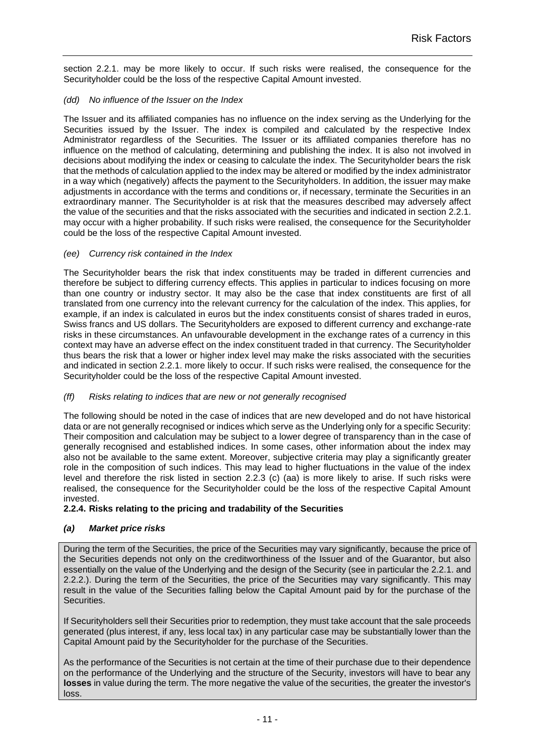section [2.2.1.](#page-5-3) may be more likely to occur. If such risks were realised, the consequence for the Securityholder could be the loss of the respective Capital Amount invested.

### *(dd) No influence of the Issuer on the Index*

The Issuer and its affiliated companies has no influence on the index serving as the Underlying for the Securities issued by the Issuer. The index is compiled and calculated by the respective Index Administrator regardless of the Securities. The Issuer or its affiliated companies therefore has no influence on the method of calculating, determining and publishing the index. It is also not involved in decisions about modifying the index or ceasing to calculate the index. The Securityholder bears the risk that the methods of calculation applied to the index may be altered or modified by the index administrator in a way which (negatively) affects the payment to the Securityholders. In addition, the issuer may make adjustments in accordance with the terms and conditions or, if necessary, terminate the Securities in an extraordinary manner. The Securityholder is at risk that the measures described may adversely affect the value of the securities and that the risks associated with the securities and indicated in section [2.2.1.](#page-5-3) may occur with a higher probability. If such risks were realised, the consequence for the Securityholder could be the loss of the respective Capital Amount invested.

### *(ee) Currency risk contained in the Index*

The Securityholder bears the risk that index constituents may be traded in different currencies and therefore be subject to differing currency effects. This applies in particular to indices focusing on more than one country or industry sector. It may also be the case that index constituents are first of all translated from one currency into the relevant currency for the calculation of the index. This applies, for example, if an index is calculated in euros but the index constituents consist of shares traded in euros, Swiss francs and US dollars. The Securityholders are exposed to different currency and exchange-rate risks in these circumstances. An unfavourable development in the exchange rates of a currency in this context may have an adverse effect on the index constituent traded in that currency. The Securityholder thus bears the risk that a lower or higher index level may make the risks associated with the securities and indicated in section [2.2.1.](#page-5-3) more likely to occur. If such risks were realised, the consequence for the Securityholder could be the loss of the respective Capital Amount invested.

### *(ff) Risks relating to indices that are new or not generally recognised*

The following should be noted in the case of indices that are new developed and do not have historical data or are not generally recognised or indices which serve as the Underlying only for a specific Security: Their composition and calculation may be subject to a lower degree of transparency than in the case of generally recognised and established indices. In some cases, other information about the index may also not be available to the same extent. Moreover, subjective criteria may play a significantly greater role in the composition of such indices. This may lead to higher fluctuations in the value of the index level and therefore the risk listed in section [2.2.3](#page-7-3) [\(c\)](#page-9-0) [\(aa\)](#page-9-1) is more likely to arise. If such risks were realised, the consequence for the Securityholder could be the loss of the respective Capital Amount invested.

### <span id="page-10-0"></span>**2.2.4. Risks relating to the pricing and tradability of the Securities**

### <span id="page-10-1"></span>*(a) Market price risks*

During the term of the Securities, the price of the Securities may vary significantly, because the price of the Securities depends not only on the creditworthiness of the Issuer and of the Guarantor, but also essentially on the value of the Underlying and the design of the Security (see in particular the [2.2.1.](#page-5-3) and [2.2.2.](#page-7-0)). During the term of the Securities, the price of the Securities may vary significantly. This may result in the value of the Securities falling below the Capital Amount paid by for the purchase of the Securities.

If Securityholders sell their Securities prior to redemption, they must take account that the sale proceeds generated (plus interest, if any, less local tax) in any particular case may be substantially lower than the Capital Amount paid by the Securityholder for the purchase of the Securities.

As the performance of the Securities is not certain at the time of their purchase due to their dependence on the performance of the Underlying and the structure of the Security, investors will have to bear any **losses** in value during the term. The more negative the value of the securities, the greater the investor's loss.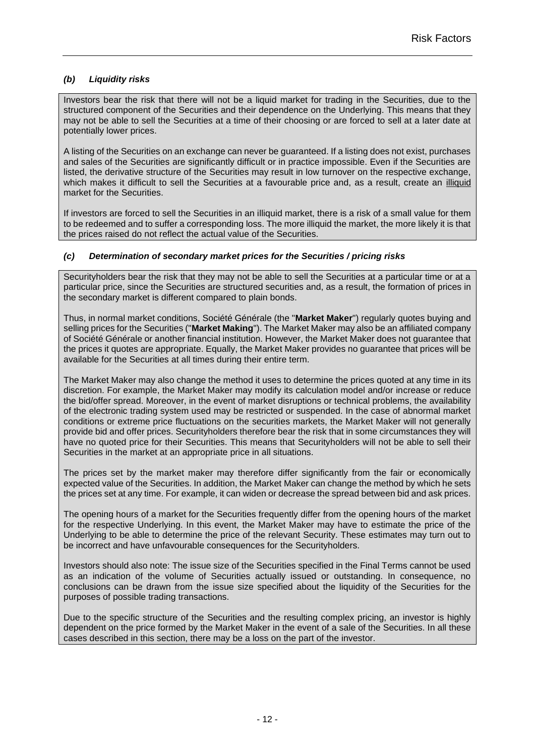### <span id="page-11-0"></span>*(b) Liquidity risks*

Investors bear the risk that there will not be a liquid market for trading in the Securities, due to the structured component of the Securities and their dependence on the Underlying. This means that they may not be able to sell the Securities at a time of their choosing or are forced to sell at a later date at potentially lower prices.

A listing of the Securities on an exchange can never be guaranteed. If a listing does not exist, purchases and sales of the Securities are significantly difficult or in practice impossible. Even if the Securities are listed, the derivative structure of the Securities may result in low turnover on the respective exchange, which makes it difficult to sell the Securities at a favourable price and, as a result, create an illiquid market for the Securities.

If investors are forced to sell the Securities in an illiquid market, there is a risk of a small value for them to be redeemed and to suffer a corresponding loss. The more illiquid the market, the more likely it is that the prices raised do not reflect the actual value of the Securities.

### <span id="page-11-1"></span>*(c) Determination of secondary market prices for the Securities / pricing risks*

Securityholders bear the risk that they may not be able to sell the Securities at a particular time or at a particular price, since the Securities are structured securities and, as a result, the formation of prices in the secondary market is different compared to plain bonds.

Thus, in normal market conditions, Société Générale (the "**Market Maker**") regularly quotes buying and selling prices for the Securities ("**Market Making**"). The Market Maker may also be an affiliated company of Société Générale or another financial institution. However, the Market Maker does not guarantee that the prices it quotes are appropriate. Equally, the Market Maker provides no guarantee that prices will be available for the Securities at all times during their entire term.

The Market Maker may also change the method it uses to determine the prices quoted at any time in its discretion. For example, the Market Maker may modify its calculation model and/or increase or reduce the bid/offer spread. Moreover, in the event of market disruptions or technical problems, the availability of the electronic trading system used may be restricted or suspended. In the case of abnormal market conditions or extreme price fluctuations on the securities markets, the Market Maker will not generally provide bid and offer prices. Securityholders therefore bear the risk that in some circumstances they will have no quoted price for their Securities. This means that Securityholders will not be able to sell their Securities in the market at an appropriate price in all situations.

The prices set by the market maker may therefore differ significantly from the fair or economically expected value of the Securities. In addition, the Market Maker can change the method by which he sets the prices set at any time. For example, it can widen or decrease the spread between bid and ask prices.

The opening hours of a market for the Securities frequently differ from the opening hours of the market for the respective Underlying. In this event, the Market Maker may have to estimate the price of the Underlying to be able to determine the price of the relevant Security. These estimates may turn out to be incorrect and have unfavourable consequences for the Securityholders.

Investors should also note: The issue size of the Securities specified in the Final Terms cannot be used as an indication of the volume of Securities actually issued or outstanding. In consequence, no conclusions can be drawn from the issue size specified about the liquidity of the Securities for the purposes of possible trading transactions.

Due to the specific structure of the Securities and the resulting complex pricing, an investor is highly dependent on the price formed by the Market Maker in the event of a sale of the Securities. In all these cases described in this section, there may be a loss on the part of the investor.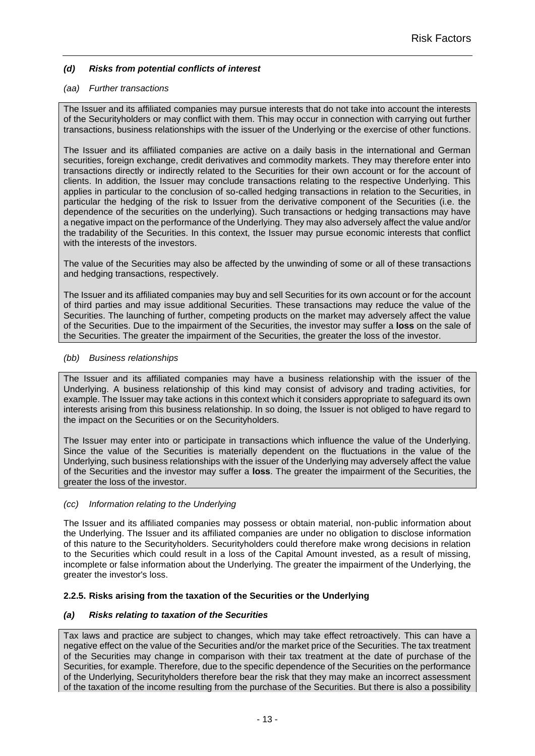### <span id="page-12-0"></span>*(d) Risks from potential conflicts of interest*

### *(aa) Further transactions*

The Issuer and its affiliated companies may pursue interests that do not take into account the interests of the Securityholders or may conflict with them. This may occur in connection with carrying out further transactions, business relationships with the issuer of the Underlying or the exercise of other functions.

The Issuer and its affiliated companies are active on a daily basis in the international and German securities, foreign exchange, credit derivatives and commodity markets. They may therefore enter into transactions directly or indirectly related to the Securities for their own account or for the account of clients. In addition, the Issuer may conclude transactions relating to the respective Underlying. This applies in particular to the conclusion of so-called hedging transactions in relation to the Securities, in particular the hedging of the risk to Issuer from the derivative component of the Securities (i.e. the dependence of the securities on the underlying). Such transactions or hedging transactions may have a negative impact on the performance of the Underlying. They may also adversely affect the value and/or the tradability of the Securities. In this context, the Issuer may pursue economic interests that conflict with the interests of the investors.

The value of the Securities may also be affected by the unwinding of some or all of these transactions and hedging transactions, respectively.

The Issuer and its affiliated companies may buy and sell Securities for its own account or for the account of third parties and may issue additional Securities. These transactions may reduce the value of the Securities. The launching of further, competing products on the market may adversely affect the value of the Securities. Due to the impairment of the Securities, the investor may suffer a **loss** on the sale of the Securities. The greater the impairment of the Securities, the greater the loss of the investor.

### *(bb) Business relationships*

The Issuer and its affiliated companies may have a business relationship with the issuer of the Underlying. A business relationship of this kind may consist of advisory and trading activities, for example. The Issuer may take actions in this context which it considers appropriate to safeguard its own interests arising from this business relationship. In so doing, the Issuer is not obliged to have regard to the impact on the Securities or on the Securityholders.

The Issuer may enter into or participate in transactions which influence the value of the Underlying. Since the value of the Securities is materially dependent on the fluctuations in the value of the Underlying, such business relationships with the issuer of the Underlying may adversely affect the value of the Securities and the investor may suffer a **loss**. The greater the impairment of the Securities, the greater the loss of the investor.

#### *(cc) Information relating to the Underlying*

The Issuer and its affiliated companies may possess or obtain material, non-public information about the Underlying. The Issuer and its affiliated companies are under no obligation to disclose information of this nature to the Securityholders. Securityholders could therefore make wrong decisions in relation to the Securities which could result in a loss of the Capital Amount invested, as a result of missing, incomplete or false information about the Underlying. The greater the impairment of the Underlying, the greater the investor's loss.

### <span id="page-12-1"></span>**2.2.5. Risks arising from the taxation of the Securities or the Underlying**

### <span id="page-12-2"></span>*(a) Risks relating to taxation of the Securities*

Tax laws and practice are subject to changes, which may take effect retroactively. This can have a negative effect on the value of the Securities and/or the market price of the Securities. The tax treatment of the Securities may change in comparison with their tax treatment at the date of purchase of the Securities, for example. Therefore, due to the specific dependence of the Securities on the performance of the Underlying, Securityholders therefore bear the risk that they may make an incorrect assessment of the taxation of the income resulting from the purchase of the Securities. But there is also a possibility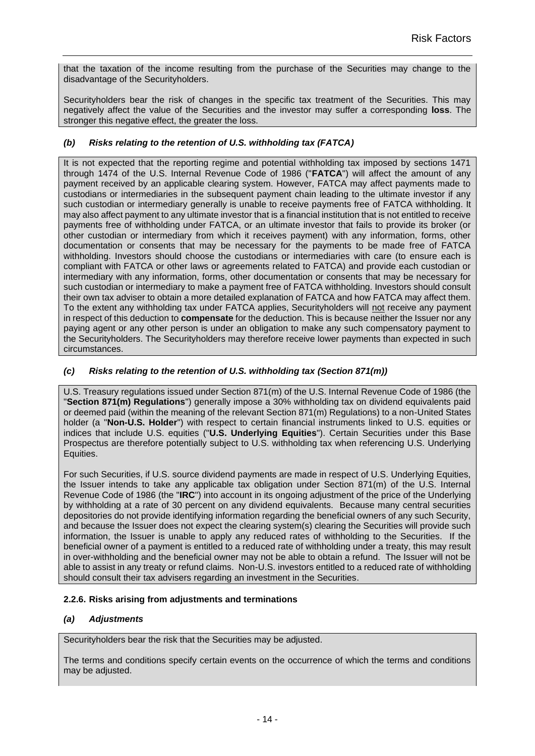that the taxation of the income resulting from the purchase of the Securities may change to the disadvantage of the Securityholders.

Securityholders bear the risk of changes in the specific tax treatment of the Securities. This may negatively affect the value of the Securities and the investor may suffer a corresponding **loss**. The stronger this negative effect, the greater the loss.

### <span id="page-13-0"></span>*(b) Risks relating to the retention of U.S. withholding tax (FATCA)*

It is not expected that the reporting regime and potential withholding tax imposed by sections 1471 through 1474 of the U.S. Internal Revenue Code of 1986 ("**FATCA**") will affect the amount of any payment received by an applicable clearing system. However, FATCA may affect payments made to custodians or intermediaries in the subsequent payment chain leading to the ultimate investor if any such custodian or intermediary generally is unable to receive payments free of FATCA withholding. It may also affect payment to any ultimate investor that is a financial institution that is not entitled to receive payments free of withholding under FATCA, or an ultimate investor that fails to provide its broker (or other custodian or intermediary from which it receives payment) with any information, forms, other documentation or consents that may be necessary for the payments to be made free of FATCA withholding. Investors should choose the custodians or intermediaries with care (to ensure each is compliant with FATCA or other laws or agreements related to FATCA) and provide each custodian or intermediary with any information, forms, other documentation or consents that may be necessary for such custodian or intermediary to make a payment free of FATCA withholding. Investors should consult their own tax adviser to obtain a more detailed explanation of FATCA and how FATCA may affect them. To the extent any withholding tax under FATCA applies, Securityholders will not receive any payment in respect of this deduction to **compensate** for the deduction. This is because neither the Issuer nor any paying agent or any other person is under an obligation to make any such compensatory payment to the Securityholders. The Securityholders may therefore receive lower payments than expected in such circumstances.

### <span id="page-13-1"></span>*(c) Risks relating to the retention of U.S. withholding tax (Section 871(m))*

U.S. Treasury regulations issued under Section 871(m) of the U.S. Internal Revenue Code of 1986 (the "**Section 871(m) Regulations**") generally impose a 30% withholding tax on dividend equivalents paid or deemed paid (within the meaning of the relevant Section 871(m) Regulations) to a non-United States holder (a "**Non-U.S. Holder**") with respect to certain financial instruments linked to U.S. equities or indices that include U.S. equities ("**U.S. Underlying Equities**"). Certain Securities under this Base Prospectus are therefore potentially subject to U.S. withholding tax when referencing U.S. Underlying Equities.

For such Securities, if U.S. source dividend payments are made in respect of U.S. Underlying Equities, the Issuer intends to take any applicable tax obligation under Section 871(m) of the U.S. Internal Revenue Code of 1986 (the "**IRC**") into account in its ongoing adjustment of the price of the Underlying by withholding at a rate of 30 percent on any dividend equivalents. Because many central securities depositories do not provide identifying information regarding the beneficial owners of any such Security, and because the Issuer does not expect the clearing system(s) clearing the Securities will provide such information, the Issuer is unable to apply any reduced rates of withholding to the Securities. If the beneficial owner of a payment is entitled to a reduced rate of withholding under a treaty, this may result in over-withholding and the beneficial owner may not be able to obtain a refund. The Issuer will not be able to assist in any treaty or refund claims. Non-U.S. investors entitled to a reduced rate of withholding should consult their tax advisers regarding an investment in the Securities.

### <span id="page-13-2"></span>**2.2.6. Risks arising from adjustments and terminations**

### <span id="page-13-3"></span>*(a) Adjustments*

Securityholders bear the risk that the Securities may be adjusted.

The terms and conditions specify certain events on the occurrence of which the terms and conditions may be adjusted.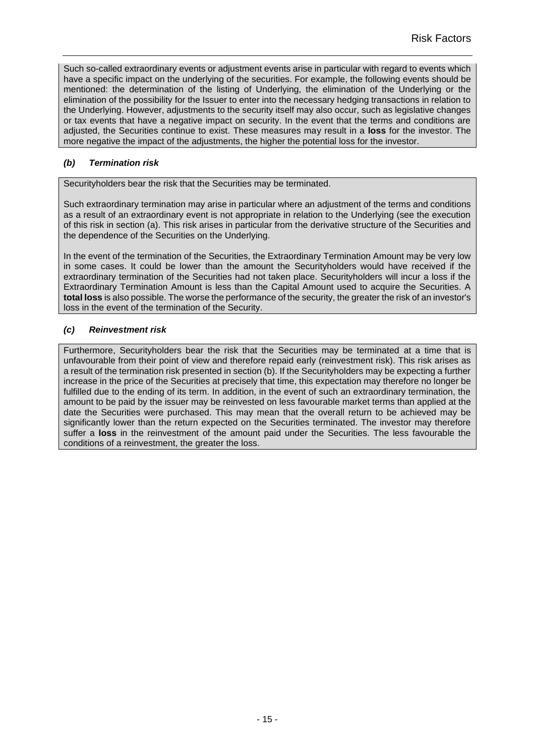Such so-called extraordinary events or adjustment events arise in particular with regard to events which have a specific impact on the underlying of the securities. For example, the following events should be mentioned: the determination of the listing of Underlying, the elimination of the Underlying or the elimination of the possibility for the Issuer to enter into the necessary hedging transactions in relation to the Underlying. However, adjustments to the security itself may also occur, such as legislative changes or tax events that have a negative impact on security. In the event that the terms and conditions are adjusted, the Securities continue to exist. These measures may result in a **loss** for the investor. The more negative the impact of the adjustments, the higher the potential loss for the investor.

### <span id="page-14-0"></span>*(b) Termination risk*

Securityholders bear the risk that the Securities may be terminated.

Such extraordinary termination may arise in particular where an adjustment of the terms and conditions as a result of an extraordinary event is not appropriate in relation to the Underlying (see the execution of this risk in section (a). This risk arises in particular from the derivative structure of the Securities and the dependence of the Securities on the Underlying.

In the event of the termination of the Securities, the Extraordinary Termination Amount may be very low in some cases. It could be lower than the amount the Securityholders would have received if the extraordinary termination of the Securities had not taken place. Securityholders will incur a loss if the Extraordinary Termination Amount is less than the Capital Amount used to acquire the Securities. A **total loss** is also possible. The worse the performance of the security, the greater the risk of an investor's loss in the event of the termination of the Security.

### <span id="page-14-1"></span>*(c) Reinvestment risk*

Furthermore, Securityholders bear the risk that the Securities may be terminated at a time that is unfavourable from their point of view and therefore repaid early (reinvestment risk). This risk arises as a result of the termination risk presented in section (b). If the Securityholders may be expecting a further increase in the price of the Securities at precisely that time, this expectation may therefore no longer be fulfilled due to the ending of its term. In addition, in the event of such an extraordinary termination, the amount to be paid by the issuer may be reinvested on less favourable market terms than applied at the date the Securities were purchased. This may mean that the overall return to be achieved may be significantly lower than the return expected on the Securities terminated. The investor may therefore suffer a **loss** in the reinvestment of the amount paid under the Securities. The less favourable the conditions of a reinvestment, the greater the loss.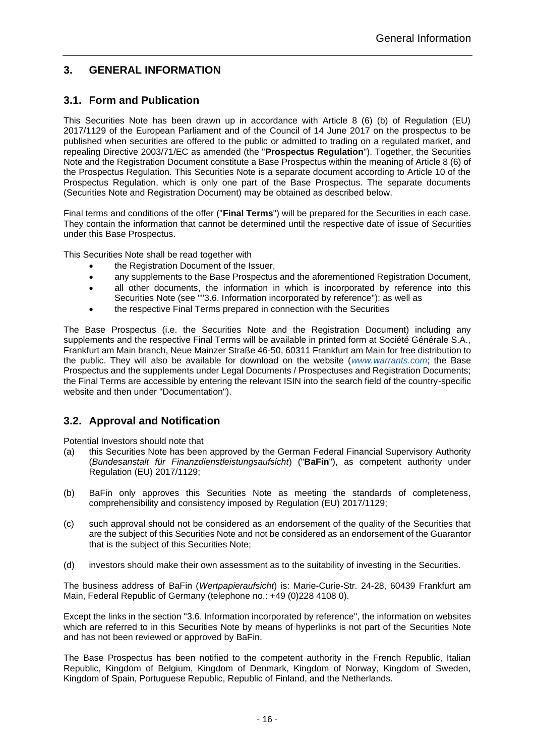# <span id="page-15-0"></span>**3. GENERAL INFORMATION**

### <span id="page-15-1"></span>**3.1. Form and Publication**

This Securities Note has been drawn up in accordance with Article 8 (6) (b) of Regulation (EU) 2017/1129 of the European Parliament and of the Council of 14 June 2017 on the prospectus to be published when securities are offered to the public or admitted to trading on a regulated market, and repealing Directive 2003/71/EC as amended (the "**Prospectus Regulation**"). Together, the Securities Note and the Registration Document constitute a Base Prospectus within the meaning of Article 8 (6) of the Prospectus Regulation. This Securities Note is a separate document according to Article 10 of the Prospectus Regulation, which is only one part of the Base Prospectus. The separate documents (Securities Note and Registration Document) may be obtained as described below.

Final terms and conditions of the offer ("**Final Terms**") will be prepared for the Securities in each case. They contain the information that cannot be determined until the respective date of issue of Securities under this Base Prospectus.

This Securities Note shall be read together with

- the Registration Document of the Issuer,
- any supplements to the Base Prospectus and the aforementioned Registration Document,
- all other documents, the information in which is incorporated by reference into this Securities Note (see "["3.6. Information incorporated by reference"](#page-17-1)); as well as
- the respective Final Terms prepared in connection with the Securities

The Base Prospectus (i.e. the Securities Note and the Registration Document) including any supplements and the respective Final Terms will be available in printed form at Société Générale S.A., Frankfurt am Main branch, Neue Mainzer Straße 46-50, 60311 Frankfurt am Main for free distribution to the public. They will also be available for download on the website (*[www.warrants.com](http://www.warrants.com/)*; the Base Prospectus and the supplements under Legal Documents / Prospectuses and Registration Documents; the Final Terms are accessible by entering the relevant ISIN into the search field of the country-specific website and then under "Documentation").

### <span id="page-15-2"></span>**3.2. Approval and Notification**

Potential Investors should note that

- (a) this Securities Note has been approved by the German Federal Financial Supervisory Authority (*Bundesanstalt für Finanzdienstleistungsaufsicht*) ("**BaFin**"), as competent authority under Regulation (EU) 2017/1129;
- (b) BaFin only approves this Securities Note as meeting the standards of completeness, comprehensibility and consistency imposed by Regulation (EU) 2017/1129;
- (c) such approval should not be considered as an endorsement of the quality of the Securities that are the subject of this Securities Note and not be considered as an endorsement of the Guarantor that is the subject of this Securities Note;
- (d) investors should make their own assessment as to the suitability of investing in the Securities.

The business address of BaFin (*Wertpapieraufsicht*) is: Marie-Curie-Str. 24-28, 60439 Frankfurt am Main, Federal Republic of Germany (telephone no.: +49 (0)228 4108 0).

Except the links in the section ["3.6. Information incorporated by reference"](#page-17-1), the information on websites which are referred to in this Securities Note by means of hyperlinks is not part of the Securities Note and has not been reviewed or approved by BaFin.

The Base Prospectus has been notified to the competent authority in the French Republic, Italian Republic, Kingdom of Belgium, Kingdom of Denmark, Kingdom of Norway, Kingdom of Sweden, Kingdom of Spain, Portuguese Republic, Republic of Finland, and the Netherlands.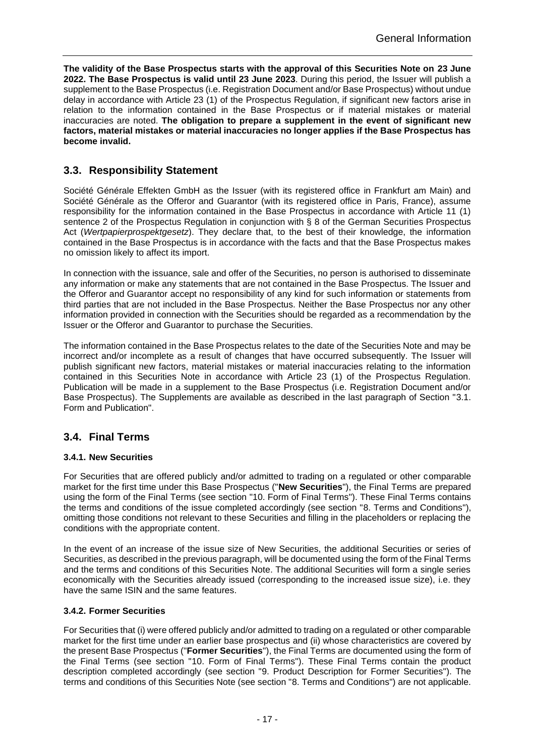**The validity of the Base Prospectus starts with the approval of this Securities Note on 23 June 2022. The Base Prospectus is valid until 23 June 2023**. During this period, the Issuer will publish a supplement to the Base Prospectus (i.e. Registration Document and/or Base Prospectus) without undue delay in accordance with Article 23 (1) of the Prospectus Regulation, if significant new factors arise in relation to the information contained in the Base Prospectus or if material mistakes or material inaccuracies are noted. **The obligation to prepare a supplement in the event of significant new factors, material mistakes or material inaccuracies no longer applies if the Base Prospectus has become invalid.**

### <span id="page-16-0"></span>**3.3. Responsibility Statement**

Société Générale Effekten GmbH as the Issuer (with its registered office in Frankfurt am Main) and Société Générale as the Offeror and Guarantor (with its registered office in Paris, France), assume responsibility for the information contained in the Base Prospectus in accordance with Article 11 (1) sentence 2 of the Prospectus Regulation in conjunction with § 8 of the German Securities Prospectus Act (*Wertpapierprospektgesetz*). They declare that, to the best of their knowledge, the information contained in the Base Prospectus is in accordance with the facts and that the Base Prospectus makes no omission likely to affect its import.

In connection with the issuance, sale and offer of the Securities, no person is authorised to disseminate any information or make any statements that are not contained in the Base Prospectus. The Issuer and the Offeror and Guarantor accept no responsibility of any kind for such information or statements from third parties that are not included in the Base Prospectus. Neither the Base Prospectus nor any other information provided in connection with the Securities should be regarded as a recommendation by the Issuer or the Offeror and Guarantor to purchase the Securities.

The information contained in the Base Prospectus relates to the date of the Securities Note and may be incorrect and/or incomplete as a result of changes that have occurred subsequently. The Issuer will publish significant new factors, material mistakes or material inaccuracies relating to the information contained in this Securities Note in accordance with Article 23 (1) of the Prospectus Regulation. Publication will be made in a supplement to the Base Prospectus (i.e. Registration Document and/or Base Prospectus). The Supplements are available as described in the last paragraph of Section ["3.1.](#page-15-1) [Form and Publication"](#page-15-1).

### <span id="page-16-1"></span>**3.4. Final Terms**

### <span id="page-16-2"></span>**3.4.1. New Securities**

For Securities that are offered publicly and/or admitted to trading on a regulated or other comparable market for the first time under this Base Prospectus ("**New Securities**"), the Final Terms are prepared using the form of the Final Terms (see section ["10.](#page-78-0) Form [of Final Terms"](#page-78-0)). These Final Terms contains the terms and conditions of the issue completed accordingly (see section ["8. Terms and Conditions"](#page-40-0)), omitting those conditions not relevant to these Securities and filling in the placeholders or replacing the conditions with the appropriate content.

In the event of an increase of the issue size of New Securities, the additional Securities or series of Securities, as described in the previous paragraph, will be documented using the form of the Final Terms and the terms and conditions of this Securities Note. The additional Securities will form a single series economically with the Securities already issued (corresponding to the increased issue size), i.e. they have the same ISIN and the same features.

### <span id="page-16-3"></span>**3.4.2. Former Securities**

For Securities that (i) were offered publicly and/or admitted to trading on a regulated or other comparable market for the first time under an earlier base prospectus and (ii) whose characteristics are covered by the present Base Prospectus ("**Former Securities**"), the Final Terms are documented using the form of the Final Terms (see section ["10.](#page-78-0) Form [of Final Terms"](#page-78-0)). These Final Terms contain the product description completed accordingly (see section ["9. Product Description for Former Securities"](#page-74-0)). The terms and conditions of this Securities Note (see section ["8. Terms and Conditions"](#page-40-0)) are not applicable.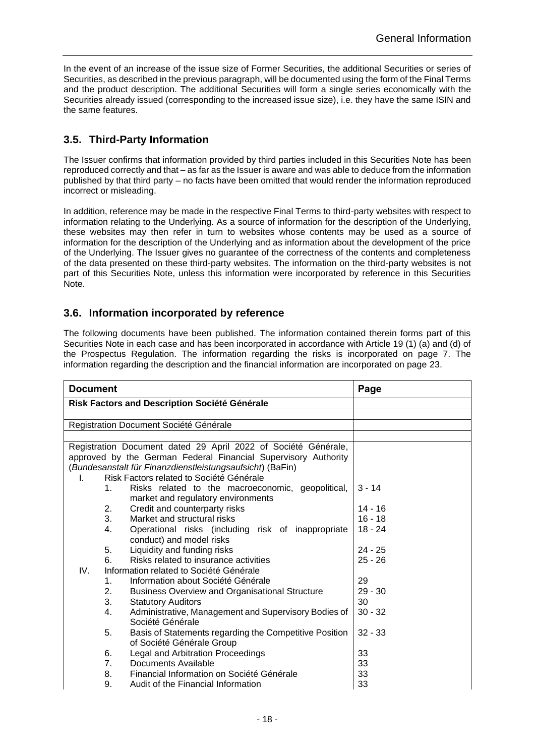In the event of an increase of the issue size of Former Securities, the additional Securities or series of Securities, as described in the previous paragraph, will be documented using the form of the Final Terms and the product description. The additional Securities will form a single series economically with the Securities already issued (corresponding to the increased issue size), i.e. they have the same ISIN and the same features.

# <span id="page-17-0"></span>**3.5. Third-Party Information**

The Issuer confirms that information provided by third parties included in this Securities Note has been reproduced correctly and that – as far as the Issuer is aware and was able to deduce from the information published by that third party – no facts have been omitted that would render the information reproduced incorrect or misleading.

In addition, reference may be made in the respective Final Terms to third-party websites with respect to information relating to the Underlying. As a source of information for the description of the Underlying, these websites may then refer in turn to websites whose contents may be used as a source of information for the description of the Underlying and as information about the development of the price of the Underlying. The Issuer gives no guarantee of the correctness of the contents and completeness of the data presented on these third-party websites. The information on the third-party websites is not part of this Securities Note, unless this information were incorporated by reference in this Securities Note.

## <span id="page-17-1"></span>**3.6. Information incorporated by reference**

The following documents have been published. The information contained therein forms part of this Securities Note in each case and has been incorporated in accordance with Article 19 (1) (a) and (d) of the Prospectus Regulation. The information regarding the risks is incorporated on page 7. The information regarding the description and the financial information are incorporated on page [23.](#page-22-0)

| <b>Document</b>                                                | Page      |
|----------------------------------------------------------------|-----------|
| Risk Factors and Description Société Générale                  |           |
|                                                                |           |
| Registration Document Société Générale                         |           |
|                                                                |           |
| Registration Document dated 29 April 2022 of Société Générale, |           |
| approved by the German Federal Financial Supervisory Authority |           |
| (Bundesanstalt für Finanzdienstleistungsaufsicht) (BaFin)      |           |
| Risk Factors related to Société Générale<br>L.                 |           |
| 1.<br>Risks related to the macroeconomic, geopolitical,        | $3 - 14$  |
| market and regulatory environments                             |           |
| Credit and counterparty risks<br>2.                            | $14 - 16$ |
| 3.<br>Market and structural risks                              | $16 - 18$ |
| 4.<br>Operational risks (including risk of inappropriate       | $18 - 24$ |
| conduct) and model risks                                       |           |
| Liquidity and funding risks<br>5.                              | $24 - 25$ |
| Risks related to insurance activities<br>6.                    | $25 - 26$ |
| IV.<br>Information related to Société Générale                 |           |
| Information about Société Générale<br>1.                       | 29        |
| 2.<br><b>Business Overview and Organisational Structure</b>    | $29 - 30$ |
| 3.<br><b>Statutory Auditors</b>                                | 30        |
| Administrative, Management and Supervisory Bodies of<br>4.     | $30 - 32$ |
| Société Générale                                               |           |
| Basis of Statements regarding the Competitive Position<br>5.   | $32 - 33$ |
| of Société Générale Group                                      |           |
| Legal and Arbitration Proceedings<br>6.                        | 33        |
| Documents Available<br>7 <sub>1</sub>                          | 33        |
| Financial Information on Société Générale<br>8.                | 33        |
| 9.<br>Audit of the Financial Information                       | 33        |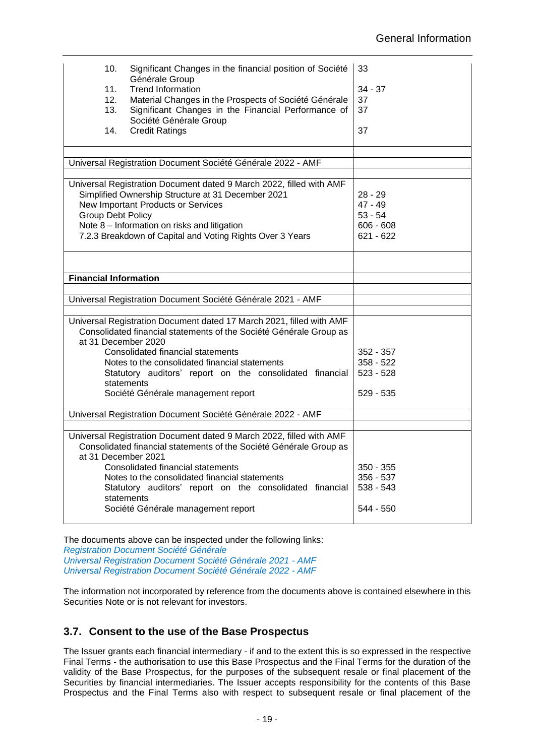| 10.<br>11.<br>12.<br>13.<br>14. | Significant Changes in the financial position of Société<br>Générale Group<br><b>Trend Information</b><br>Material Changes in the Prospects of Société Générale<br>Significant Changes in the Financial Performance of<br>Société Générale Group<br><b>Credit Ratings</b>                                  | 33<br>$34 - 37$<br>37<br>37<br>37                                 |
|---------------------------------|------------------------------------------------------------------------------------------------------------------------------------------------------------------------------------------------------------------------------------------------------------------------------------------------------------|-------------------------------------------------------------------|
|                                 |                                                                                                                                                                                                                                                                                                            |                                                                   |
|                                 | Universal Registration Document Société Générale 2022 - AMF                                                                                                                                                                                                                                                |                                                                   |
| <b>Group Debt Policy</b>        | Universal Registration Document dated 9 March 2022, filled with AMF<br>Simplified Ownership Structure at 31 December 2021<br>New Important Products or Services<br>Note 8 - Information on risks and litigation<br>7.2.3 Breakdown of Capital and Voting Rights Over 3 Years                               | $28 - 29$<br>$47 - 49$<br>$53 - 54$<br>$606 - 608$<br>$621 - 622$ |
|                                 |                                                                                                                                                                                                                                                                                                            |                                                                   |
| <b>Financial Information</b>    |                                                                                                                                                                                                                                                                                                            |                                                                   |
|                                 | Universal Registration Document Société Générale 2021 - AMF                                                                                                                                                                                                                                                |                                                                   |
|                                 |                                                                                                                                                                                                                                                                                                            |                                                                   |
| at 31 December 2020             | Universal Registration Document dated 17 March 2021, filled with AMF<br>Consolidated financial statements of the Société Générale Group as<br><b>Consolidated financial statements</b><br>Notes to the consolidated financial statements                                                                   | 352 - 357<br>$358 - 522$                                          |
|                                 | Statutory auditors' report on the consolidated financial<br>statements                                                                                                                                                                                                                                     | $523 - 528$                                                       |
|                                 | Société Générale management report                                                                                                                                                                                                                                                                         | 529 - 535                                                         |
|                                 | Universal Registration Document Société Générale 2022 - AMF                                                                                                                                                                                                                                                |                                                                   |
|                                 |                                                                                                                                                                                                                                                                                                            |                                                                   |
| at 31 December 2021             | Universal Registration Document dated 9 March 2022, filled with AMF<br>Consolidated financial statements of the Société Générale Group as<br>Consolidated financial statements<br>Notes to the consolidated financial statements<br>Statutory auditors' report on the consolidated financial<br>statements | $350 - 355$<br>$356 - 537$<br>$538 - 543$                         |
|                                 | Société Générale management report                                                                                                                                                                                                                                                                         | 544 - 550                                                         |

The documents above can be inspected under the following links: *[Registration Document Société Générale](https://sg-zertifikate.de/SiteContent/1/1/2/965/25/Registrierungsdokument-gebilligt.pdf) [Universal Registration Document Société Générale 2021 -](https://www.societegenerale.com/sites/default/files/documents/2021-03/2021%20Universal%20Registration%20Document.pdf) AMF [Universal Registration Document Société Générale 2022 -](https://www.societegenerale.com/sites/default/files/documents/2022-03/Universal-Registration-Document-2022.pdf) AMF*

The information not incorporated by reference from the documents above is contained elsewhere in this Securities Note or is not relevant for investors.

# <span id="page-18-0"></span>**3.7. Consent to the use of the Base Prospectus**

The Issuer grants each financial intermediary - if and to the extent this is so expressed in the respective Final Terms - the authorisation to use this Base Prospectus and the Final Terms for the duration of the validity of the Base Prospectus, for the purposes of the subsequent resale or final placement of the Securities by financial intermediaries. The Issuer accepts responsibility for the contents of this Base Prospectus and the Final Terms also with respect to subsequent resale or final placement of the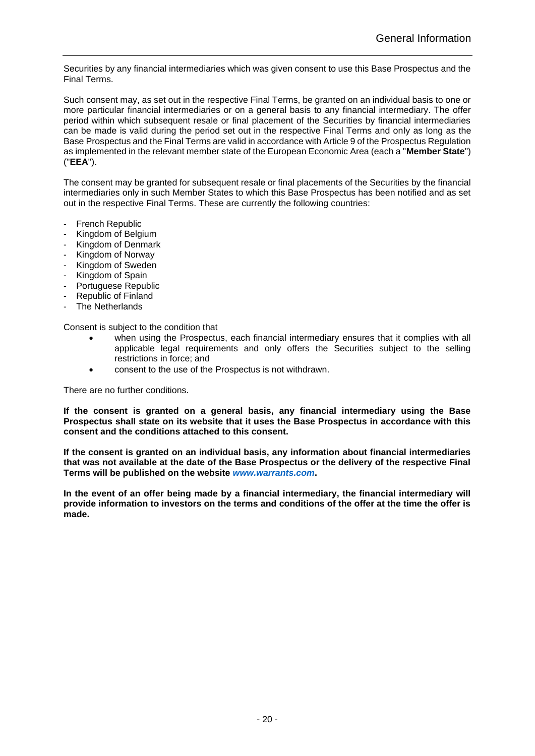Securities by any financial intermediaries which was given consent to use this Base Prospectus and the Final Terms.

Such consent may, as set out in the respective Final Terms, be granted on an individual basis to one or more particular financial intermediaries or on a general basis to any financial intermediary. The offer period within which subsequent resale or final placement of the Securities by financial intermediaries can be made is valid during the period set out in the respective Final Terms and only as long as the Base Prospectus and the Final Terms are valid in accordance with Article 9 of the Prospectus Regulation as implemented in the relevant member state of the European Economic Area (each a "**Member State**") ("**EEA**").

The consent may be granted for subsequent resale or final placements of the Securities by the financial intermediaries only in such Member States to which this Base Prospectus has been notified and as set out in the respective Final Terms. These are currently the following countries:

- French Republic
- Kingdom of Belgium
- Kingdom of Denmark
- Kingdom of Norway
- Kingdom of Sweden
- Kingdom of Spain
- Portuguese Republic
- Republic of Finland
- The Netherlands

Consent is subject to the condition that

- when using the Prospectus, each financial intermediary ensures that it complies with all applicable legal requirements and only offers the Securities subject to the selling restrictions in force; and
- consent to the use of the Prospectus is not withdrawn.

There are no further conditions.

**If the consent is granted on a general basis, any financial intermediary using the Base Prospectus shall state on its website that it uses the Base Prospectus in accordance with this consent and the conditions attached to this consent.**

**If the consent is granted on an individual basis, any information about financial intermediaries that was not available at the date of the Base Prospectus or the delivery of the respective Final Terms will be published on the website** *[www.warrants.com](http://www.warrants.com/)***.**

**In the event of an offer being made by a financial intermediary, the financial intermediary will provide information to investors on the terms and conditions of the offer at the time the offer is made.**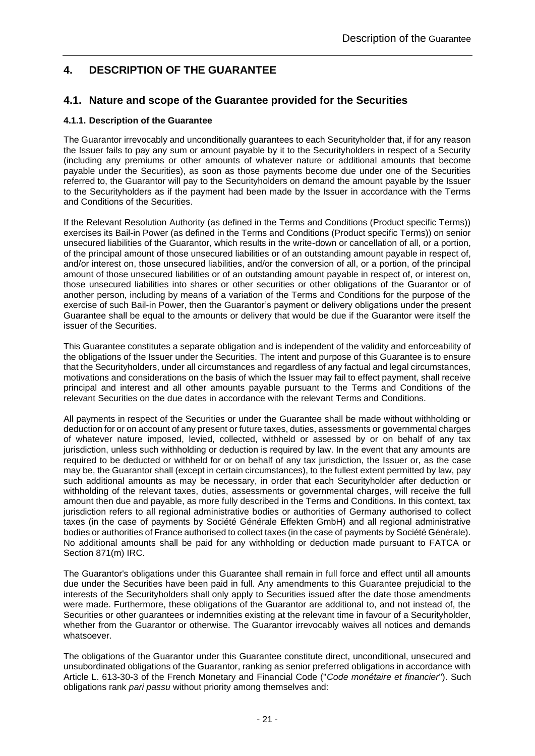# <span id="page-20-0"></span>**4. DESCRIPTION OF THE GUARANTEE**

### <span id="page-20-1"></span>**4.1. Nature and scope of the Guarantee provided for the Securities**

### <span id="page-20-2"></span>**4.1.1. Description of the Guarantee**

The Guarantor irrevocably and unconditionally guarantees to each Securityholder that, if for any reason the Issuer fails to pay any sum or amount payable by it to the Securityholders in respect of a Security (including any premiums or other amounts of whatever nature or additional amounts that become payable under the Securities), as soon as those payments become due under one of the Securities referred to, the Guarantor will pay to the Securityholders on demand the amount payable by the Issuer to the Securityholders as if the payment had been made by the Issuer in accordance with the Terms and Conditions of the Securities.

If the Relevant Resolution Authority (as defined in the Terms and Conditions (Product specific Terms)) exercises its Bail-in Power (as defined in the Terms and Conditions (Product specific Terms)) on senior unsecured liabilities of the Guarantor, which results in the write-down or cancellation of all, or a portion, of the principal amount of those unsecured liabilities or of an outstanding amount payable in respect of, and/or interest on, those unsecured liabilities, and/or the conversion of all, or a portion, of the principal amount of those unsecured liabilities or of an outstanding amount payable in respect of, or interest on, those unsecured liabilities into shares or other securities or other obligations of the Guarantor or of another person, including by means of a variation of the Terms and Conditions for the purpose of the exercise of such Bail-in Power, then the Guarantor's payment or delivery obligations under the present Guarantee shall be equal to the amounts or delivery that would be due if the Guarantor were itself the issuer of the Securities.

This Guarantee constitutes a separate obligation and is independent of the validity and enforceability of the obligations of the Issuer under the Securities. The intent and purpose of this Guarantee is to ensure that the Securityholders, under all circumstances and regardless of any factual and legal circumstances, motivations and considerations on the basis of which the Issuer may fail to effect payment, shall receive principal and interest and all other amounts payable pursuant to the Terms and Conditions of the relevant Securities on the due dates in accordance with the relevant Terms and Conditions.

All payments in respect of the Securities or under the Guarantee shall be made without withholding or deduction for or on account of any present or future taxes, duties, assessments or governmental charges of whatever nature imposed, levied, collected, withheld or assessed by or on behalf of any tax jurisdiction, unless such withholding or deduction is required by law. In the event that any amounts are required to be deducted or withheld for or on behalf of any tax jurisdiction, the Issuer or, as the case may be, the Guarantor shall (except in certain circumstances), to the fullest extent permitted by law, pay such additional amounts as may be necessary, in order that each Securityholder after deduction or withholding of the relevant taxes, duties, assessments or governmental charges, will receive the full amount then due and payable, as more fully described in the Terms and Conditions. In this context, tax jurisdiction refers to all regional administrative bodies or authorities of Germany authorised to collect taxes (in the case of payments by Société Générale Effekten GmbH) and all regional administrative bodies or authorities of France authorised to collect taxes (in the case of payments by Société Générale). No additional amounts shall be paid for any withholding or deduction made pursuant to FATCA or Section 871(m) IRC.

The Guarantor's obligations under this Guarantee shall remain in full force and effect until all amounts due under the Securities have been paid in full. Any amendments to this Guarantee prejudicial to the interests of the Securityholders shall only apply to Securities issued after the date those amendments were made. Furthermore, these obligations of the Guarantor are additional to, and not instead of, the Securities or other guarantees or indemnities existing at the relevant time in favour of a Securityholder. whether from the Guarantor or otherwise. The Guarantor irrevocably waives all notices and demands whatsoever.

The obligations of the Guarantor under this Guarantee constitute direct, unconditional, unsecured and unsubordinated obligations of the Guarantor, ranking as senior preferred obligations in accordance with Article L. 613-30-3 of the French Monetary and Financial Code ("*Code monétaire et financier*"). Such obligations rank *pari passu* without priority among themselves and: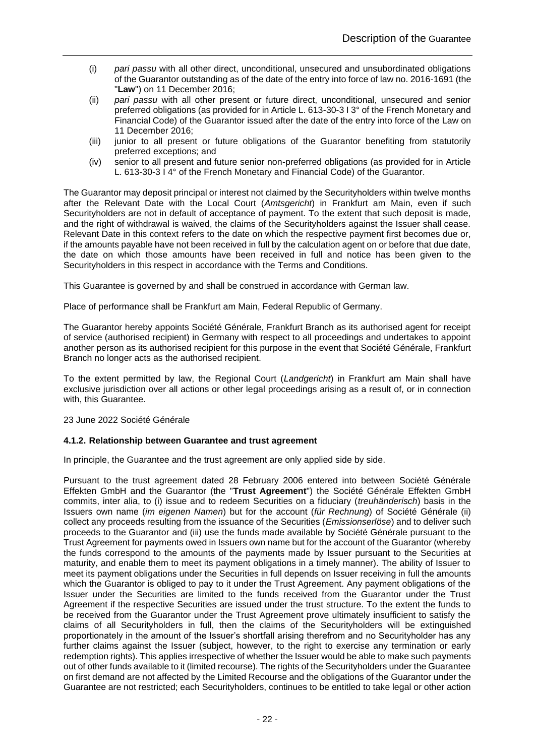- (i) *pari passu* with all other direct, unconditional, unsecured and unsubordinated obligations of the Guarantor outstanding as of the date of the entry into force of law no. 2016-1691 (the "**Law**") on 11 December 2016;
- (ii) *pari passu* with all other present or future direct, unconditional, unsecured and senior preferred obligations (as provided for in Article L. 613-30-3 I 3° of the French Monetary and Financial Code) of the Guarantor issued after the date of the entry into force of the Law on 11 December 2016;
- (iii) junior to all present or future obligations of the Guarantor benefiting from statutorily preferred exceptions; and
- (iv) senior to all present and future senior non-preferred obligations (as provided for in Article L. 613-30-3 I 4° of the French Monetary and Financial Code) of the Guarantor.

The Guarantor may deposit principal or interest not claimed by the Securityholders within twelve months after the Relevant Date with the Local Court (*Amtsgericht*) in Frankfurt am Main, even if such Securityholders are not in default of acceptance of payment. To the extent that such deposit is made, and the right of withdrawal is waived, the claims of the Securityholders against the Issuer shall cease. Relevant Date in this context refers to the date on which the respective payment first becomes due or, if the amounts payable have not been received in full by the calculation agent on or before that due date, the date on which those amounts have been received in full and notice has been given to the Securityholders in this respect in accordance with the Terms and Conditions.

This Guarantee is governed by and shall be construed in accordance with German law.

Place of performance shall be Frankfurt am Main, Federal Republic of Germany.

The Guarantor hereby appoints Société Générale, Frankfurt Branch as its authorised agent for receipt of service (authorised recipient) in Germany with respect to all proceedings and undertakes to appoint another person as its authorised recipient for this purpose in the event that Société Générale, Frankfurt Branch no longer acts as the authorised recipient.

To the extent permitted by law, the Regional Court (*Landgericht*) in Frankfurt am Main shall have exclusive jurisdiction over all actions or other legal proceedings arising as a result of, or in connection with, this Guarantee.

23 June 2022 Société Générale

### <span id="page-21-0"></span>**4.1.2. Relationship between Guarantee and trust agreement**

In principle, the Guarantee and the trust agreement are only applied side by side.

Pursuant to the trust agreement dated 28 February 2006 entered into between Société Générale Effekten GmbH and the Guarantor (the "**Trust Agreement**") the Société Générale Effekten GmbH commits, inter alia, to (i) issue and to redeem Securities on a fiduciary (*treuhänderisch*) basis in the Issuers own name (*im eigenen Namen*) but for the account (*für Rechnung*) of Société Générale (ii) collect any proceeds resulting from the issuance of the Securities (*Emissionserlöse*) and to deliver such proceeds to the Guarantor and (iii) use the funds made available by Société Générale pursuant to the Trust Agreement for payments owed in Issuers own name but for the account of the Guarantor (whereby the funds correspond to the amounts of the payments made by Issuer pursuant to the Securities at maturity, and enable them to meet its payment obligations in a timely manner). The ability of Issuer to meet its payment obligations under the Securities in full depends on Issuer receiving in full the amounts which the Guarantor is obliged to pay to it under the Trust Agreement. Any payment obligations of the Issuer under the Securities are limited to the funds received from the Guarantor under the Trust Agreement if the respective Securities are issued under the trust structure. To the extent the funds to be received from the Guarantor under the Trust Agreement prove ultimately insufficient to satisfy the claims of all Securityholders in full, then the claims of the Securityholders will be extinguished proportionately in the amount of the Issuer's shortfall arising therefrom and no Securityholder has any further claims against the Issuer (subject, however, to the right to exercise any termination or early redemption rights). This applies irrespective of whether the Issuer would be able to make such payments out of other funds available to it (limited recourse). The rights of the Securityholders under the Guarantee on first demand are not affected by the Limited Recourse and the obligations of the Guarantor under the Guarantee are not restricted; each Securityholders, continues to be entitled to take legal or other action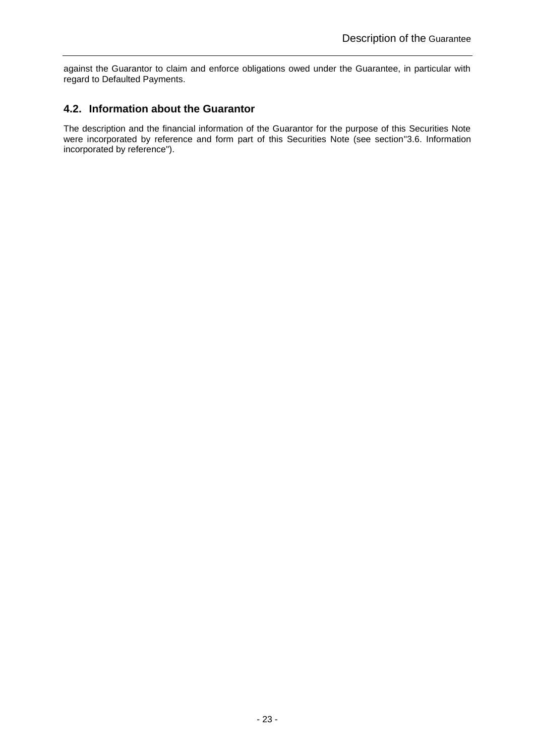against the Guarantor to claim and enforce obligations owed under the Guarantee, in particular with regard to Defaulted Payments.

### <span id="page-22-0"></span>**4.2. Information about the Guarantor**

The description and the financial information of the Guarantor for the purpose of this Securities Note were incorporated by reference and form part of this Securities Note (see section["3.6. Information](#page-17-1)  [incorporated by reference"](#page-17-1)).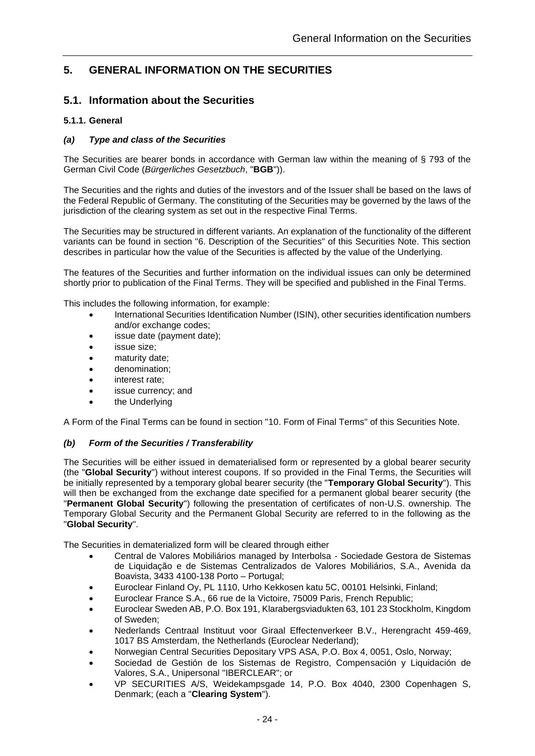# <span id="page-23-0"></span>**5. GENERAL INFORMATION ON THE SECURITIES**

### <span id="page-23-1"></span>**5.1. Information about the Securities**

### <span id="page-23-2"></span>**5.1.1. General**

### <span id="page-23-3"></span>*(a) Type and class of the Securities*

The Securities are bearer bonds in accordance with German law within the meaning of § 793 of the German Civil Code (*Bürgerliches Gesetzbuch*, "**BGB**")).

The Securities and the rights and duties of the investors and of the Issuer shall be based on the laws of the Federal Republic of Germany. The constituting of the Securities may be governed by the laws of the jurisdiction of the clearing system as set out in the respective Final Terms.

The Securities may be structured in different variants. An explanation of the functionality of the different variants can be found in section "6. Description of the Securities" of this Securities Note. This section describes in particular how the value of the Securities is affected by the value of the Underlying.

The features of the Securities and further information on the individual issues can only be determined shortly prior to publication of the Final Terms. They will be specified and published in the Final Terms.

This includes the following information, for example:

- International Securities Identification Number (ISIN), other securities identification numbers and/or exchange codes;
- issue date (payment date);
- issue size;
- maturity date:
- denomination;
- interest rate:
- issue currency; and
- the Underlying

A Form of the Final Terms can be found in section ["10.](#page-78-0) Form [of Final Terms"](#page-78-0) of this Securities Note.

### <span id="page-23-4"></span>*(b) Form of the Securities / Transferability*

The Securities will be either issued in dematerialised form or represented by a global bearer security (the "**Global Security**") without interest coupons. If so provided in the Final Terms, the Securities will be initially represented by a temporary global bearer security (the "**Temporary Global Security**"). This will then be exchanged from the exchange date specified for a permanent global bearer security (the "**Permanent Global Security**") following the presentation of certificates of non-U.S. ownership. The Temporary Global Security and the Permanent Global Security are referred to in the following as the "**Global Security**".

The Securities in dematerialized form will be cleared through either

- Central de Valores Mobiliários managed by Interbolsa Sociedade Gestora de Sistemas de Liquidação e de Sistemas Centralizados de Valores Mobiliários, S.A., Avenida da Boavista, 3433 4100-138 Porto – Portugal;
- Euroclear Finland Oy, PL 1110, Urho Kekkosen katu 5C, 00101 Helsinki, Finland;
- Euroclear France S.A., 66 rue de la Victoire, 75009 Paris, French Republic;
- Euroclear Sweden AB, P.O. Box 191, Klarabergsviadukten 63, 101 23 Stockholm, Kingdom of Sweden;
- Nederlands Centraal Instituut voor Giraal Effectenverkeer B.V., Herengracht 459-469, 1017 BS Amsterdam, the Netherlands (Euroclear Nederland);
- Norwegian Central Securities Depositary VPS ASA, P.O. Box 4, 0051, Oslo, Norway;
- Sociedad de Gestión de los Sistemas de Registro, Compensación y Liquidación de Valores, S.A., Unipersonal "IBERCLEAR"; or
- VP SECURITIES A/S, Weidekampsgade 14, P.O. Box 4040, 2300 Copenhagen S, Denmark; (each a "**Clearing System**").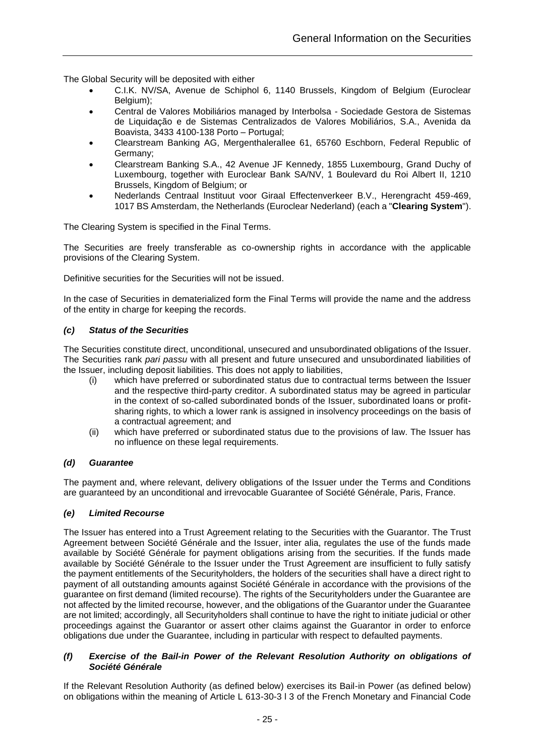The Global Security will be deposited with either

- C.I.K. NV/SA, Avenue de Schiphol 6, 1140 Brussels, Kingdom of Belgium (Euroclear Belgium);
- Central de Valores Mobiliários managed by Interbolsa Sociedade Gestora de Sistemas de Liquidação e de Sistemas Centralizados de Valores Mobiliários, S.A., Avenida da Boavista, 3433 4100-138 Porto – Portugal;
- Clearstream Banking AG, Mergenthalerallee 61, 65760 Eschborn, Federal Republic of Germany;
- Clearstream Banking S.A., 42 Avenue JF Kennedy, 1855 Luxembourg, Grand Duchy of Luxembourg, together with Euroclear Bank SA/NV, 1 Boulevard du Roi Albert II, 1210 Brussels, Kingdom of Belgium; or
- Nederlands Centraal Instituut voor Giraal Effectenverkeer B.V., Herengracht 459-469, 1017 BS Amsterdam, the Netherlands (Euroclear Nederland) (each a "**Clearing System**").

The Clearing System is specified in the Final Terms.

The Securities are freely transferable as co-ownership rights in accordance with the applicable provisions of the Clearing System.

Definitive securities for the Securities will not be issued.

In the case of Securities in dematerialized form the Final Terms will provide the name and the address of the entity in charge for keeping the records.

### <span id="page-24-0"></span>*(c) Status of the Securities*

The Securities constitute direct, unconditional, unsecured and unsubordinated obligations of the Issuer. The Securities rank *pari passu* with all present and future unsecured and unsubordinated liabilities of the Issuer, including deposit liabilities. This does not apply to liabilities,

- (i) which have preferred or subordinated status due to contractual terms between the Issuer and the respective third-party creditor. A subordinated status may be agreed in particular in the context of so-called subordinated bonds of the Issuer, subordinated loans or profitsharing rights, to which a lower rank is assigned in insolvency proceedings on the basis of a contractual agreement; and
- (ii) which have preferred or subordinated status due to the provisions of law. The Issuer has no influence on these legal requirements.

#### <span id="page-24-1"></span>*(d) Guarantee*

The payment and, where relevant, delivery obligations of the Issuer under the Terms and Conditions are guaranteed by an unconditional and irrevocable Guarantee of Société Générale, Paris, France.

#### <span id="page-24-2"></span>*(e) Limited Recourse*

The Issuer has entered into a Trust Agreement relating to the Securities with the Guarantor. The Trust Agreement between Société Générale and the Issuer, inter alia, regulates the use of the funds made available by Société Générale for payment obligations arising from the securities. If the funds made available by Société Générale to the Issuer under the Trust Agreement are insufficient to fully satisfy the payment entitlements of the Securityholders, the holders of the securities shall have a direct right to payment of all outstanding amounts against Société Générale in accordance with the provisions of the guarantee on first demand (limited recourse). The rights of the Securityholders under the Guarantee are not affected by the limited recourse, however, and the obligations of the Guarantor under the Guarantee are not limited; accordingly, all Securityholders shall continue to have the right to initiate judicial or other proceedings against the Guarantor or assert other claims against the Guarantor in order to enforce obligations due under the Guarantee, including in particular with respect to defaulted payments.

### <span id="page-24-3"></span>*(f) Exercise of the Bail-in Power of the Relevant Resolution Authority on obligations of Société Générale*

If the Relevant Resolution Authority (as defined below) exercises its Bail-in Power (as defined below) on obligations within the meaning of Article L 613-30-3 l 3 of the French Monetary and Financial Code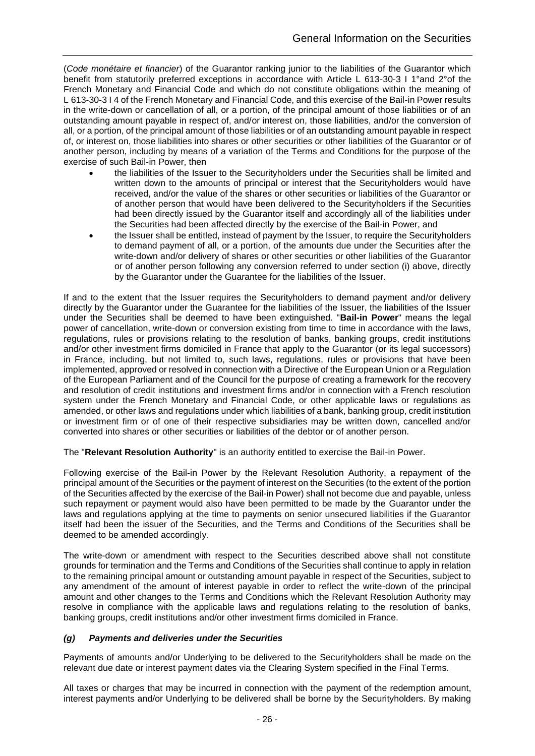(*Code monétaire et financier*) of the Guarantor ranking junior to the liabilities of the Guarantor which benefit from statutorily preferred exceptions in accordance with Article L 613-30-3 I 1°and 2°of the French Monetary and Financial Code and which do not constitute obligations within the meaning of L 613-30-3 I 4 of the French Monetary and Financial Code, and this exercise of the Bail-in Power results in the write-down or cancellation of all, or a portion, of the principal amount of those liabilities or of an outstanding amount payable in respect of, and/or interest on, those liabilities, and/or the conversion of all, or a portion, of the principal amount of those liabilities or of an outstanding amount payable in respect of, or interest on, those liabilities into shares or other securities or other liabilities of the Guarantor or of another person, including by means of a variation of the Terms and Conditions for the purpose of the exercise of such Bail-in Power, then

- the liabilities of the Issuer to the Securityholders under the Securities shall be limited and written down to the amounts of principal or interest that the Securityholders would have received, and/or the value of the shares or other securities or liabilities of the Guarantor or of another person that would have been delivered to the Securityholders if the Securities had been directly issued by the Guarantor itself and accordingly all of the liabilities under the Securities had been affected directly by the exercise of the Bail-in Power, and
- the Issuer shall be entitled, instead of payment by the Issuer, to require the Securityholders to demand payment of all, or a portion, of the amounts due under the Securities after the write-down and/or delivery of shares or other securities or other liabilities of the Guarantor or of another person following any conversion referred to under section (i) above, directly by the Guarantor under the Guarantee for the liabilities of the Issuer.

If and to the extent that the Issuer requires the Securityholders to demand payment and/or delivery directly by the Guarantor under the Guarantee for the liabilities of the Issuer, the liabilities of the Issuer under the Securities shall be deemed to have been extinguished. "**Bail-in Power**" means the legal power of cancellation, write-down or conversion existing from time to time in accordance with the laws, regulations, rules or provisions relating to the resolution of banks, banking groups, credit institutions and/or other investment firms domiciled in France that apply to the Guarantor (or its legal successors) in France, including, but not limited to, such laws, regulations, rules or provisions that have been implemented, approved or resolved in connection with a Directive of the European Union or a Regulation of the European Parliament and of the Council for the purpose of creating a framework for the recovery and resolution of credit institutions and investment firms and/or in connection with a French resolution system under the French Monetary and Financial Code, or other applicable laws or regulations as amended, or other laws and regulations under which liabilities of a bank, banking group, credit institution or investment firm or of one of their respective subsidiaries may be written down, cancelled and/or converted into shares or other securities or liabilities of the debtor or of another person.

The "**Relevant Resolution Authority**" is an authority entitled to exercise the Bail-in Power.

Following exercise of the Bail-in Power by the Relevant Resolution Authority, a repayment of the principal amount of the Securities or the payment of interest on the Securities (to the extent of the portion of the Securities affected by the exercise of the Bail-in Power) shall not become due and payable, unless such repayment or payment would also have been permitted to be made by the Guarantor under the laws and regulations applying at the time to payments on senior unsecured liabilities if the Guarantor itself had been the issuer of the Securities, and the Terms and Conditions of the Securities shall be deemed to be amended accordingly.

The write-down or amendment with respect to the Securities described above shall not constitute grounds for termination and the Terms and Conditions of the Securities shall continue to apply in relation to the remaining principal amount or outstanding amount payable in respect of the Securities, subject to any amendment of the amount of interest payable in order to reflect the write-down of the principal amount and other changes to the Terms and Conditions which the Relevant Resolution Authority may resolve in compliance with the applicable laws and regulations relating to the resolution of banks, banking groups, credit institutions and/or other investment firms domiciled in France.

### <span id="page-25-0"></span>*(g) Payments and deliveries under the Securities*

Payments of amounts and/or Underlying to be delivered to the Securityholders shall be made on the relevant due date or interest payment dates via the Clearing System specified in the Final Terms.

All taxes or charges that may be incurred in connection with the payment of the redemption amount, interest payments and/or Underlying to be delivered shall be borne by the Securityholders. By making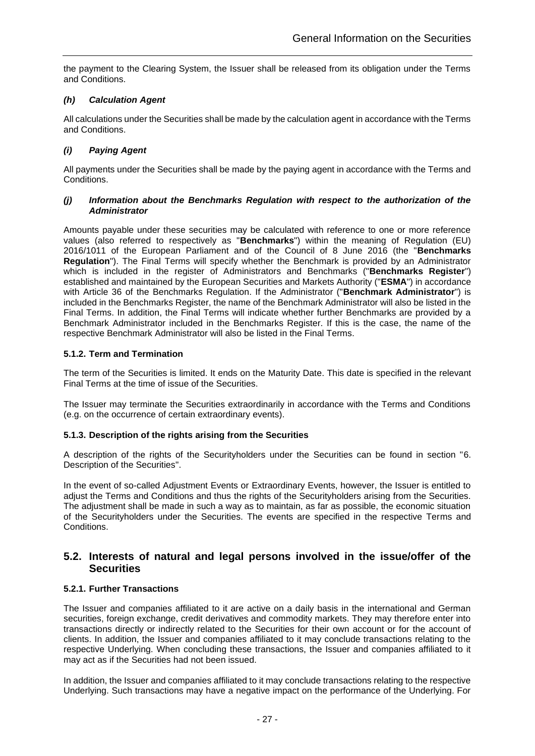the payment to the Clearing System, the Issuer shall be released from its obligation under the Terms and Conditions.

### <span id="page-26-0"></span>*(h) Calculation Agent*

All calculations under the Securities shall be made by the calculation agent in accordance with the Terms and Conditions.

### <span id="page-26-1"></span>*(i) Paying Agent*

All payments under the Securities shall be made by the paying agent in accordance with the Terms and Conditions.

### <span id="page-26-2"></span>*(j) Information about the Benchmarks Regulation with respect to the authorization of the Administrator*

Amounts payable under these securities may be calculated with reference to one or more reference values (also referred to respectively as "**Benchmarks**") within the meaning of Regulation (EU) 2016/1011 of the European Parliament and of the Council of 8 June 2016 (the "**Benchmarks Regulation**"). The Final Terms will specify whether the Benchmark is provided by an Administrator which is included in the register of Administrators and Benchmarks ("**Benchmarks Register**") established and maintained by the European Securities and Markets Authority ("**ESMA**") in accordance with Article 36 of the Benchmarks Regulation. If the Administrator ("**Benchmark Administrator**") is included in the Benchmarks Register, the name of the Benchmark Administrator will also be listed in the Final Terms. In addition, the Final Terms will indicate whether further Benchmarks are provided by a Benchmark Administrator included in the Benchmarks Register. If this is the case, the name of the respective Benchmark Administrator will also be listed in the Final Terms.

### <span id="page-26-3"></span>**5.1.2. Term and Termination**

The term of the Securities is limited. It ends on the Maturity Date. This date is specified in the relevant Final Terms at the time of issue of the Securities.

The Issuer may terminate the Securities extraordinarily in accordance with the Terms and Conditions (e.g. on the occurrence of certain extraordinary events).

### <span id="page-26-4"></span>**5.1.3. Description of the rights arising from the Securities**

A description of the rights of the Securityholders under the Securities can be found in section ["6.](#page-32-0) [Description of the Securities"](#page-32-0).

In the event of so-called Adjustment Events or Extraordinary Events, however, the Issuer is entitled to adjust the Terms and Conditions and thus the rights of the Securityholders arising from the Securities. The adjustment shall be made in such a way as to maintain, as far as possible, the economic situation of the Securityholders under the Securities. The events are specified in the respective Terms and Conditions.

### <span id="page-26-5"></span>**5.2. Interests of natural and legal persons involved in the issue/offer of the Securities**

### <span id="page-26-6"></span>**5.2.1. Further Transactions**

The Issuer and companies affiliated to it are active on a daily basis in the international and German securities, foreign exchange, credit derivatives and commodity markets. They may therefore enter into transactions directly or indirectly related to the Securities for their own account or for the account of clients. In addition, the Issuer and companies affiliated to it may conclude transactions relating to the respective Underlying. When concluding these transactions, the Issuer and companies affiliated to it may act as if the Securities had not been issued.

In addition, the Issuer and companies affiliated to it may conclude transactions relating to the respective Underlying. Such transactions may have a negative impact on the performance of the Underlying. For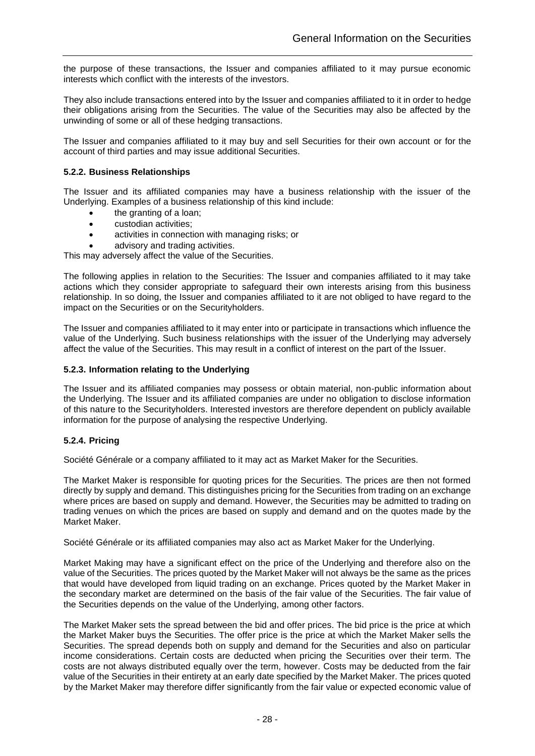the purpose of these transactions, the Issuer and companies affiliated to it may pursue economic interests which conflict with the interests of the investors.

They also include transactions entered into by the Issuer and companies affiliated to it in order to hedge their obligations arising from the Securities. The value of the Securities may also be affected by the unwinding of some or all of these hedging transactions.

The Issuer and companies affiliated to it may buy and sell Securities for their own account or for the account of third parties and may issue additional Securities.

### <span id="page-27-0"></span>**5.2.2. Business Relationships**

The Issuer and its affiliated companies may have a business relationship with the issuer of the Underlying. Examples of a business relationship of this kind include:

- the granting of a loan;
- custodian activities;
- activities in connection with managing risks; or
- advisory and trading activities.

This may adversely affect the value of the Securities.

The following applies in relation to the Securities: The Issuer and companies affiliated to it may take actions which they consider appropriate to safeguard their own interests arising from this business relationship. In so doing, the Issuer and companies affiliated to it are not obliged to have regard to the impact on the Securities or on the Securityholders.

The Issuer and companies affiliated to it may enter into or participate in transactions which influence the value of the Underlying. Such business relationships with the issuer of the Underlying may adversely affect the value of the Securities. This may result in a conflict of interest on the part of the Issuer.

### <span id="page-27-1"></span>**5.2.3. Information relating to the Underlying**

The Issuer and its affiliated companies may possess or obtain material, non-public information about the Underlying. The Issuer and its affiliated companies are under no obligation to disclose information of this nature to the Securityholders. Interested investors are therefore dependent on publicly available information for the purpose of analysing the respective Underlying.

### <span id="page-27-2"></span>**5.2.4. Pricing**

Société Générale or a company affiliated to it may act as Market Maker for the Securities.

The Market Maker is responsible for quoting prices for the Securities. The prices are then not formed directly by supply and demand. This distinguishes pricing for the Securities from trading on an exchange where prices are based on supply and demand. However, the Securities may be admitted to trading on trading venues on which the prices are based on supply and demand and on the quotes made by the Market Maker.

Société Générale or its affiliated companies may also act as Market Maker for the Underlying.

Market Making may have a significant effect on the price of the Underlying and therefore also on the value of the Securities. The prices quoted by the Market Maker will not always be the same as the prices that would have developed from liquid trading on an exchange. Prices quoted by the Market Maker in the secondary market are determined on the basis of the fair value of the Securities. The fair value of the Securities depends on the value of the Underlying, among other factors.

The Market Maker sets the spread between the bid and offer prices. The bid price is the price at which the Market Maker buys the Securities. The offer price is the price at which the Market Maker sells the Securities. The spread depends both on supply and demand for the Securities and also on particular income considerations. Certain costs are deducted when pricing the Securities over their term. The costs are not always distributed equally over the term, however. Costs may be deducted from the fair value of the Securities in their entirety at an early date specified by the Market Maker. The prices quoted by the Market Maker may therefore differ significantly from the fair value or expected economic value of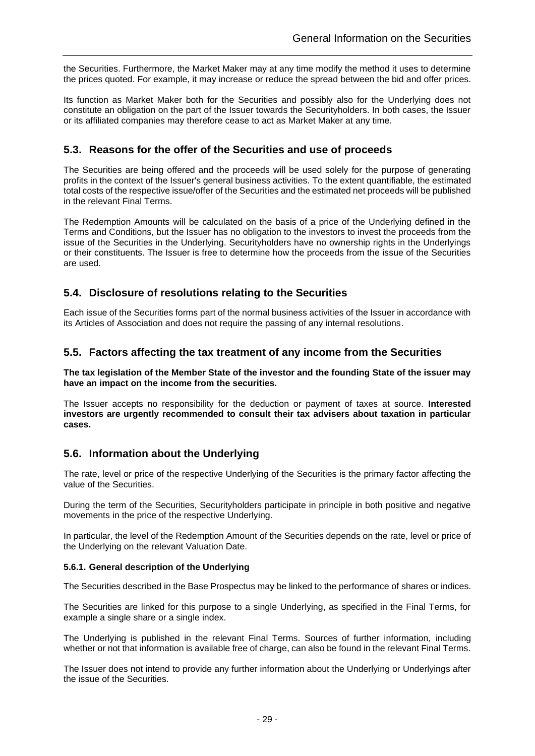the Securities. Furthermore, the Market Maker may at any time modify the method it uses to determine the prices quoted. For example, it may increase or reduce the spread between the bid and offer prices.

Its function as Market Maker both for the Securities and possibly also for the Underlying does not constitute an obligation on the part of the Issuer towards the Securityholders. In both cases, the Issuer or its affiliated companies may therefore cease to act as Market Maker at any time.

### <span id="page-28-0"></span>**5.3. Reasons for the offer of the Securities and use of proceeds**

The Securities are being offered and the proceeds will be used solely for the purpose of generating profits in the context of the Issuer's general business activities. To the extent quantifiable, the estimated total costs of the respective issue/offer of the Securities and the estimated net proceeds will be published in the relevant Final Terms.

The Redemption Amounts will be calculated on the basis of a price of the Underlying defined in the Terms and Conditions, but the Issuer has no obligation to the investors to invest the proceeds from the issue of the Securities in the Underlying. Securityholders have no ownership rights in the Underlyings or their constituents. The Issuer is free to determine how the proceeds from the issue of the Securities are used.

### <span id="page-28-1"></span>**5.4. Disclosure of resolutions relating to the Securities**

Each issue of the Securities forms part of the normal business activities of the Issuer in accordance with its Articles of Association and does not require the passing of any internal resolutions.

### <span id="page-28-2"></span>**5.5. Factors affecting the tax treatment of any income from the Securities**

**The tax legislation of the Member State of the investor and the founding State of the issuer may have an impact on the income from the securities.**

The Issuer accepts no responsibility for the deduction or payment of taxes at source. **Interested investors are urgently recommended to consult their tax advisers about taxation in particular cases.**

### <span id="page-28-3"></span>**5.6. Information about the Underlying**

The rate, level or price of the respective Underlying of the Securities is the primary factor affecting the value of the Securities.

During the term of the Securities, Securityholders participate in principle in both positive and negative movements in the price of the respective Underlying.

In particular, the level of the Redemption Amount of the Securities depends on the rate, level or price of the Underlying on the relevant Valuation Date.

### <span id="page-28-4"></span>**5.6.1. General description of the Underlying**

The Securities described in the Base Prospectus may be linked to the performance of shares or indices.

The Securities are linked for this purpose to a single Underlying, as specified in the Final Terms, for example a single share or a single index.

The Underlying is published in the relevant Final Terms. Sources of further information, including whether or not that information is available free of charge, can also be found in the relevant Final Terms.

The Issuer does not intend to provide any further information about the Underlying or Underlyings after the issue of the Securities.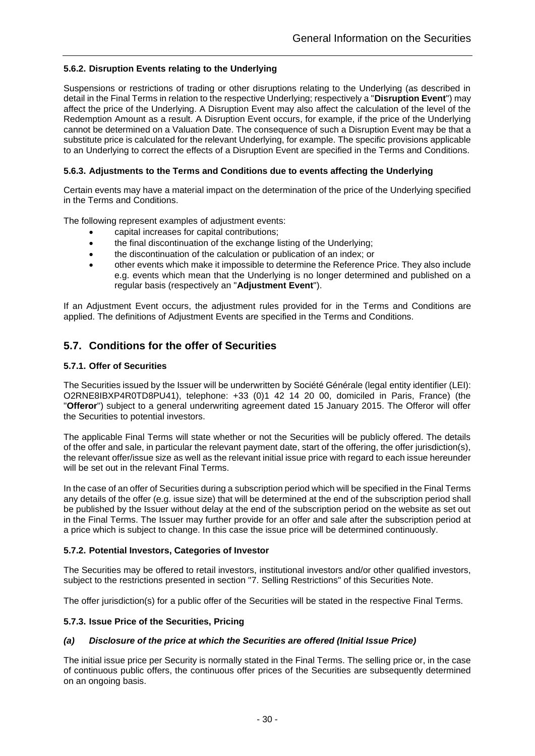### <span id="page-29-0"></span>**5.6.2. Disruption Events relating to the Underlying**

Suspensions or restrictions of trading or other disruptions relating to the Underlying (as described in detail in the Final Terms in relation to the respective Underlying; respectively a "**Disruption Event**") may affect the price of the Underlying. A Disruption Event may also affect the calculation of the level of the Redemption Amount as a result. A Disruption Event occurs, for example, if the price of the Underlying cannot be determined on a Valuation Date. The consequence of such a Disruption Event may be that a substitute price is calculated for the relevant Underlying, for example. The specific provisions applicable to an Underlying to correct the effects of a Disruption Event are specified in the Terms and Conditions.

### <span id="page-29-1"></span>**5.6.3. Adjustments to the Terms and Conditions due to events affecting the Underlying**

Certain events may have a material impact on the determination of the price of the Underlying specified in the Terms and Conditions.

The following represent examples of adjustment events:

- capital increases for capital contributions;
- the final discontinuation of the exchange listing of the Underlying;
- the discontinuation of the calculation or publication of an index; or
- other events which make it impossible to determine the Reference Price. They also include e.g. events which mean that the Underlying is no longer determined and published on a regular basis (respectively an "**Adjustment Event**").

If an Adjustment Event occurs, the adjustment rules provided for in the Terms and Conditions are applied. The definitions of Adjustment Events are specified in the Terms and Conditions.

### <span id="page-29-2"></span>**5.7. Conditions for the offer of Securities**

### <span id="page-29-3"></span>**5.7.1. Offer of Securities**

The Securities issued by the Issuer will be underwritten by Société Générale (legal entity identifier (LEI): O2RNE8IBXP4R0TD8PU41), telephone: +33 (0)1 42 14 20 00, domiciled in Paris, France) (the "**Offeror**") subject to a general underwriting agreement dated 15 January 2015. The Offeror will offer the Securities to potential investors.

The applicable Final Terms will state whether or not the Securities will be publicly offered. The details of the offer and sale, in particular the relevant payment date, start of the offering, the offer jurisdiction(s), the relevant offer/issue size as well as the relevant initial issue price with regard to each issue hereunder will be set out in the relevant Final Terms.

In the case of an offer of Securities during a subscription period which will be specified in the Final Terms any details of the offer (e.g. issue size) that will be determined at the end of the subscription period shall be published by the Issuer without delay at the end of the subscription period on the website as set out in the Final Terms. The Issuer may further provide for an offer and sale after the subscription period at a price which is subject to change. In this case the issue price will be determined continuously.

### <span id="page-29-4"></span>**5.7.2. Potential Investors, Categories of Investor**

The Securities may be offered to retail investors, institutional investors and/or other qualified investors, subject to the restrictions presented in section ["7. Selling Restrictions"](#page-37-0) of this Securities Note.

The offer jurisdiction(s) for a public offer of the Securities will be stated in the respective Final Terms.

### <span id="page-29-5"></span>**5.7.3. Issue Price of the Securities, Pricing**

### <span id="page-29-6"></span>*(a) Disclosure of the price at which the Securities are offered (Initial Issue Price)*

The initial issue price per Security is normally stated in the Final Terms. The selling price or, in the case of continuous public offers, the continuous offer prices of the Securities are subsequently determined on an ongoing basis.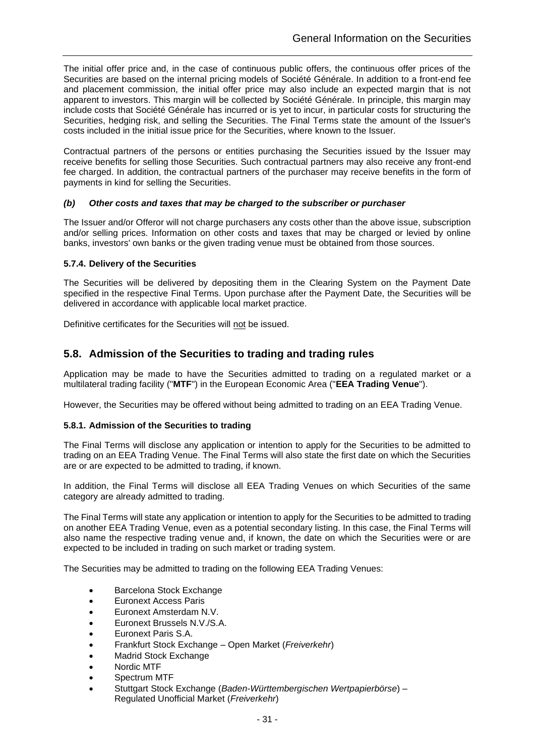The initial offer price and, in the case of continuous public offers, the continuous offer prices of the Securities are based on the internal pricing models of Société Générale. In addition to a front-end fee and placement commission, the initial offer price may also include an expected margin that is not apparent to investors. This margin will be collected by Société Générale. In principle, this margin may include costs that Société Générale has incurred or is yet to incur, in particular costs for structuring the Securities, hedging risk, and selling the Securities. The Final Terms state the amount of the Issuer's costs included in the initial issue price for the Securities, where known to the Issuer.

Contractual partners of the persons or entities purchasing the Securities issued by the Issuer may receive benefits for selling those Securities. Such contractual partners may also receive any front-end fee charged. In addition, the contractual partners of the purchaser may receive benefits in the form of payments in kind for selling the Securities.

### <span id="page-30-0"></span>*(b) Other costs and taxes that may be charged to the subscriber or purchaser*

The Issuer and/or Offeror will not charge purchasers any costs other than the above issue, subscription and/or selling prices. Information on other costs and taxes that may be charged or levied by online banks, investors' own banks or the given trading venue must be obtained from those sources.

### <span id="page-30-1"></span>**5.7.4. Delivery of the Securities**

The Securities will be delivered by depositing them in the Clearing System on the Payment Date specified in the respective Final Terms. Upon purchase after the Payment Date, the Securities will be delivered in accordance with applicable local market practice.

<span id="page-30-2"></span>Definitive certificates for the Securities will not be issued.

### **5.8. Admission of the Securities to trading and trading rules**

Application may be made to have the Securities admitted to trading on a regulated market or a multilateral trading facility ("**MTF**") in the European Economic Area ("**EEA Trading Venue**").

However, the Securities may be offered without being admitted to trading on an EEA Trading Venue.

### <span id="page-30-3"></span>**5.8.1. Admission of the Securities to trading**

The Final Terms will disclose any application or intention to apply for the Securities to be admitted to trading on an EEA Trading Venue. The Final Terms will also state the first date on which the Securities are or are expected to be admitted to trading, if known.

In addition, the Final Terms will disclose all EEA Trading Venues on which Securities of the same category are already admitted to trading.

The Final Terms will state any application or intention to apply for the Securities to be admitted to trading on another EEA Trading Venue, even as a potential secondary listing. In this case, the Final Terms will also name the respective trading venue and, if known, the date on which the Securities were or are expected to be included in trading on such market or trading system.

The Securities may be admitted to trading on the following EEA Trading Venues:

- Barcelona Stock Exchange
- Euronext Access Paris
- Euronext Amsterdam N.V.
- Euronext Brussels N.V./S.A.
- Euronext Paris S.A.
- Frankfurt Stock Exchange Open Market (*Freiverkehr*)
- Madrid Stock Exchange
- Nordic MTF
- Spectrum MTF
- Stuttgart Stock Exchange (*Baden-Württembergischen Wertpapierbörse*) Regulated Unofficial Market (*Freiverkehr*)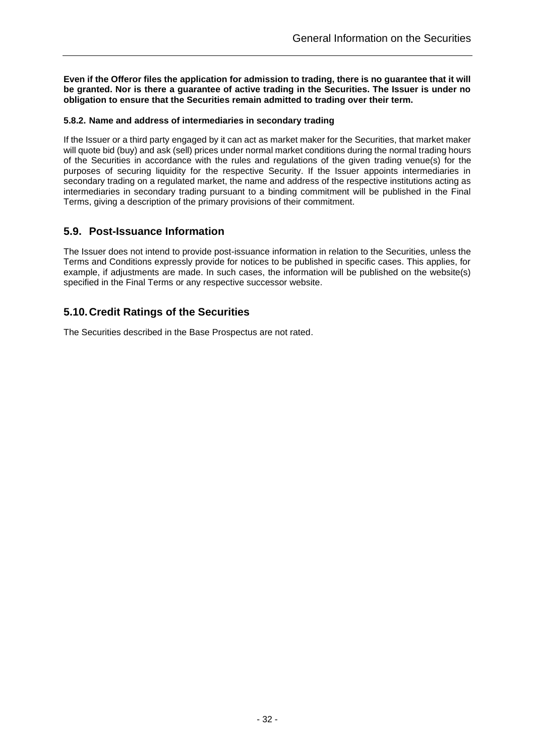**Even if the Offeror files the application for admission to trading, there is no guarantee that it will be granted. Nor is there a guarantee of active trading in the Securities. The Issuer is under no obligation to ensure that the Securities remain admitted to trading over their term.**

### <span id="page-31-0"></span>**5.8.2. Name and address of intermediaries in secondary trading**

If the Issuer or a third party engaged by it can act as market maker for the Securities, that market maker will quote bid (buy) and ask (sell) prices under normal market conditions during the normal trading hours of the Securities in accordance with the rules and regulations of the given trading venue(s) for the purposes of securing liquidity for the respective Security. If the Issuer appoints intermediaries in secondary trading on a regulated market, the name and address of the respective institutions acting as intermediaries in secondary trading pursuant to a binding commitment will be published in the Final Terms, giving a description of the primary provisions of their commitment.

### <span id="page-31-1"></span>**5.9. Post-Issuance Information**

The Issuer does not intend to provide post-issuance information in relation to the Securities, unless the Terms and Conditions expressly provide for notices to be published in specific cases. This applies, for example, if adjustments are made. In such cases, the information will be published on the website(s) specified in the Final Terms or any respective successor website.

## <span id="page-31-2"></span>**5.10.Credit Ratings of the Securities**

The Securities described in the Base Prospectus are not rated.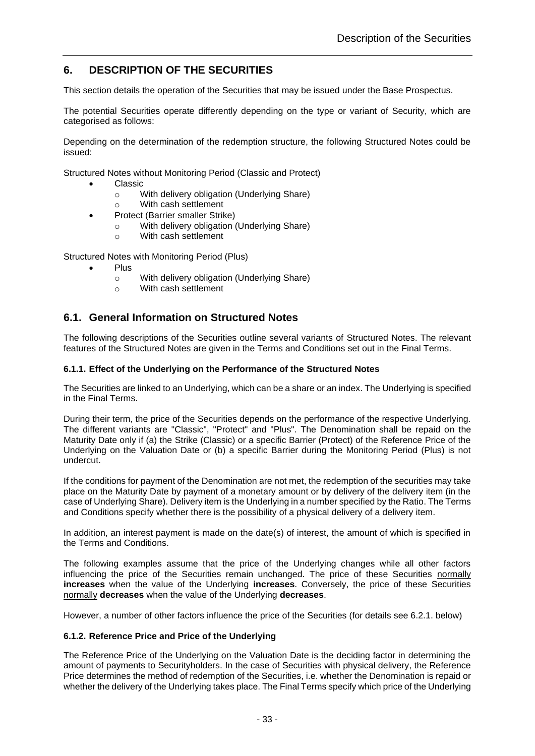## <span id="page-32-0"></span>**6. DESCRIPTION OF THE SECURITIES**

This section details the operation of the Securities that may be issued under the Base Prospectus.

The potential Securities operate differently depending on the type or variant of Security, which are categorised as follows:

Depending on the determination of the redemption structure, the following Structured Notes could be issued:

Structured Notes without Monitoring Period (Classic and Protect)

- Classic
	- o With delivery obligation (Underlying Share)
	- o With cash settlement
- Protect (Barrier smaller Strike)
	- o With delivery obligation (Underlying Share)
	- o With cash settlement

Structured Notes with Monitoring Period (Plus)

- Plus
	- o With delivery obligation (Underlying Share)
	- o With cash settlement

### <span id="page-32-1"></span>**6.1. General Information on Structured Notes**

The following descriptions of the Securities outline several variants of Structured Notes. The relevant features of the Structured Notes are given in the Terms and Conditions set out in the Final Terms.

### <span id="page-32-2"></span>**6.1.1. Effect of the Underlying on the Performance of the Structured Notes**

The Securities are linked to an Underlying, which can be a share or an index. The Underlying is specified in the Final Terms.

During their term, the price of the Securities depends on the performance of the respective Underlying. The different variants are "Classic", "Protect" and "Plus". The Denomination shall be repaid on the Maturity Date only if (a) the Strike (Classic) or a specific Barrier (Protect) of the Reference Price of the Underlying on the Valuation Date or (b) a specific Barrier during the Monitoring Period (Plus) is not undercut.

If the conditions for payment of the Denomination are not met, the redemption of the securities may take place on the Maturity Date by payment of a monetary amount or by delivery of the delivery item (in the case of Underlying Share). Delivery item is the Underlying in a number specified by the Ratio. The Terms and Conditions specify whether there is the possibility of a physical delivery of a delivery item.

In addition, an interest payment is made on the date(s) of interest, the amount of which is specified in the Terms and Conditions.

The following examples assume that the price of the Underlying changes while all other factors influencing the price of the Securities remain unchanged. The price of these Securities normally **increases** when the value of the Underlying **increases**. Conversely, the price of these Securities normally **decreases** when the value of the Underlying **decreases**.

However, a number of other factors influence the price of the Securities (for details see [6.2.1.](#page-34-1) below)

#### <span id="page-32-3"></span>**6.1.2. Reference Price and Price of the Underlying**

The Reference Price of the Underlying on the Valuation Date is the deciding factor in determining the amount of payments to Securityholders. In the case of Securities with physical delivery, the Reference Price determines the method of redemption of the Securities, i.e. whether the Denomination is repaid or whether the delivery of the Underlying takes place. The Final Terms specify which price of the Underlying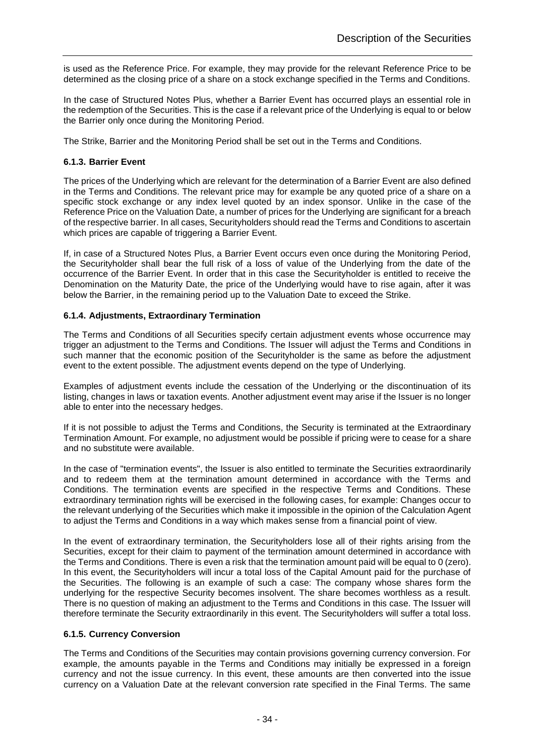is used as the Reference Price. For example, they may provide for the relevant Reference Price to be determined as the closing price of a share on a stock exchange specified in the Terms and Conditions.

In the case of Structured Notes Plus, whether a Barrier Event has occurred plays an essential role in the redemption of the Securities. This is the case if a relevant price of the Underlying is equal to or below the Barrier only once during the Monitoring Period.

The Strike, Barrier and the Monitoring Period shall be set out in the Terms and Conditions.

### <span id="page-33-0"></span>**6.1.3. Barrier Event**

The prices of the Underlying which are relevant for the determination of a Barrier Event are also defined in the Terms and Conditions. The relevant price may for example be any quoted price of a share on a specific stock exchange or any index level quoted by an index sponsor. Unlike in the case of the Reference Price on the Valuation Date, a number of prices for the Underlying are significant for a breach of the respective barrier. In all cases, Securityholders should read the Terms and Conditions to ascertain which prices are capable of triggering a Barrier Event.

If, in case of a Structured Notes Plus, a Barrier Event occurs even once during the Monitoring Period, the Securityholder shall bear the full risk of a loss of value of the Underlying from the date of the occurrence of the Barrier Event. In order that in this case the Securityholder is entitled to receive the Denomination on the Maturity Date, the price of the Underlying would have to rise again, after it was below the Barrier, in the remaining period up to the Valuation Date to exceed the Strike.

### <span id="page-33-1"></span>**6.1.4. Adjustments, Extraordinary Termination**

The Terms and Conditions of all Securities specify certain adjustment events whose occurrence may trigger an adjustment to the Terms and Conditions. The Issuer will adjust the Terms and Conditions in such manner that the economic position of the Securityholder is the same as before the adjustment event to the extent possible. The adjustment events depend on the type of Underlying.

Examples of adjustment events include the cessation of the Underlying or the discontinuation of its listing, changes in laws or taxation events. Another adjustment event may arise if the Issuer is no longer able to enter into the necessary hedges.

If it is not possible to adjust the Terms and Conditions, the Security is terminated at the Extraordinary Termination Amount. For example, no adjustment would be possible if pricing were to cease for a share and no substitute were available.

In the case of "termination events", the Issuer is also entitled to terminate the Securities extraordinarily and to redeem them at the termination amount determined in accordance with the Terms and Conditions. The termination events are specified in the respective Terms and Conditions. These extraordinary termination rights will be exercised in the following cases, for example: Changes occur to the relevant underlying of the Securities which make it impossible in the opinion of the Calculation Agent to adjust the Terms and Conditions in a way which makes sense from a financial point of view.

In the event of extraordinary termination, the Securityholders lose all of their rights arising from the Securities, except for their claim to payment of the termination amount determined in accordance with the Terms and Conditions. There is even a risk that the termination amount paid will be equal to 0 (zero). In this event, the Securityholders will incur a total loss of the Capital Amount paid for the purchase of the Securities. The following is an example of such a case: The company whose shares form the underlying for the respective Security becomes insolvent. The share becomes worthless as a result. There is no question of making an adjustment to the Terms and Conditions in this case. The Issuer will therefore terminate the Security extraordinarily in this event. The Securityholders will suffer a total loss.

### <span id="page-33-2"></span>**6.1.5. Currency Conversion**

The Terms and Conditions of the Securities may contain provisions governing currency conversion. For example, the amounts payable in the Terms and Conditions may initially be expressed in a foreign currency and not the issue currency. In this event, these amounts are then converted into the issue currency on a Valuation Date at the relevant conversion rate specified in the Final Terms. The same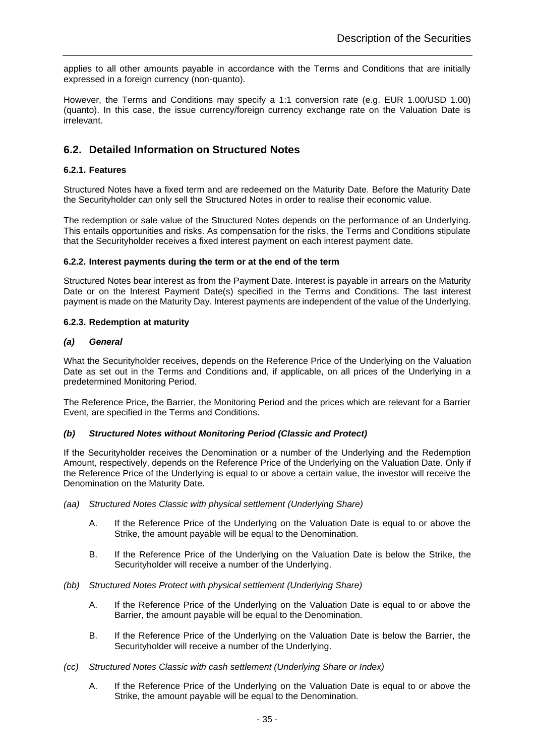applies to all other amounts payable in accordance with the Terms and Conditions that are initially expressed in a foreign currency (non-quanto).

However, the Terms and Conditions may specify a 1:1 conversion rate (e.g. EUR 1.00/USD 1.00) (quanto). In this case, the issue currency/foreign currency exchange rate on the Valuation Date is irrelevant.

### <span id="page-34-0"></span>**6.2. Detailed Information on Structured Notes**

### <span id="page-34-1"></span>**6.2.1. Features**

Structured Notes have a fixed term and are redeemed on the Maturity Date. Before the Maturity Date the Securityholder can only sell the Structured Notes in order to realise their economic value.

The redemption or sale value of the Structured Notes depends on the performance of an Underlying. This entails opportunities and risks. As compensation for the risks, the Terms and Conditions stipulate that the Securityholder receives a fixed interest payment on each interest payment date.

### <span id="page-34-2"></span>**6.2.2. Interest payments during the term or at the end of the term**

Structured Notes bear interest as from the Payment Date. Interest is payable in arrears on the Maturity Date or on the Interest Payment Date(s) specified in the Terms and Conditions. The last interest payment is made on the Maturity Day. Interest payments are independent of the value of the Underlying.

### <span id="page-34-3"></span>**6.2.3. Redemption at maturity**

### <span id="page-34-4"></span>*(a) General*

What the Securityholder receives, depends on the Reference Price of the Underlying on the Valuation Date as set out in the Terms and Conditions and, if applicable, on all prices of the Underlying in a predetermined Monitoring Period.

The Reference Price, the Barrier, the Monitoring Period and the prices which are relevant for a Barrier Event, are specified in the Terms and Conditions.

### <span id="page-34-5"></span>*(b) Structured Notes without Monitoring Period (Classic and Protect)*

If the Securityholder receives the Denomination or a number of the Underlying and the Redemption Amount, respectively, depends on the Reference Price of the Underlying on the Valuation Date. Only if the Reference Price of the Underlying is equal to or above a certain value, the investor will receive the Denomination on the Maturity Date.

- *(aa) Structured Notes Classic with physical settlement (Underlying Share)*
	- A. If the Reference Price of the Underlying on the Valuation Date is equal to or above the Strike, the amount payable will be equal to the Denomination.
	- B. If the Reference Price of the Underlying on the Valuation Date is below the Strike, the Securityholder will receive a number of the Underlying.
- *(bb) Structured Notes Protect with physical settlement (Underlying Share)*
	- A. If the Reference Price of the Underlying on the Valuation Date is equal to or above the Barrier, the amount payable will be equal to the Denomination.
	- B. If the Reference Price of the Underlying on the Valuation Date is below the Barrier, the Securityholder will receive a number of the Underlying.
- *(cc) Structured Notes Classic with cash settlement (Underlying Share or Index)*
	- A. If the Reference Price of the Underlying on the Valuation Date is equal to or above the Strike, the amount payable will be equal to the Denomination.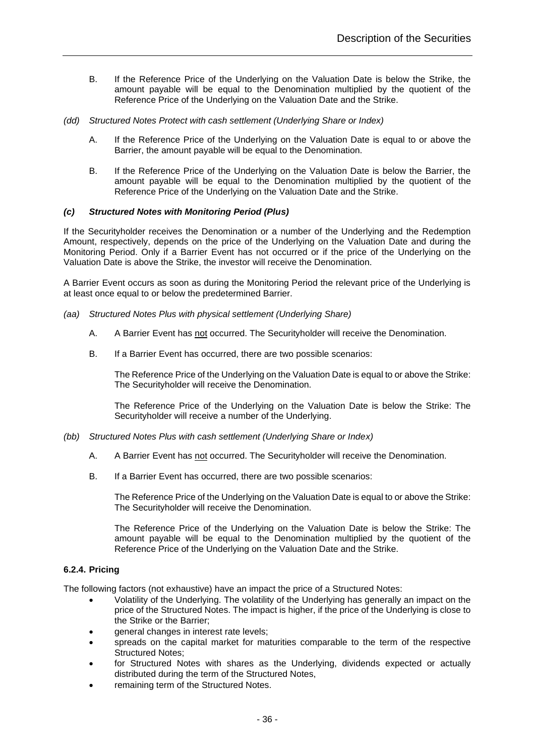- B. If the Reference Price of the Underlying on the Valuation Date is below the Strike, the amount payable will be equal to the Denomination multiplied by the quotient of the Reference Price of the Underlying on the Valuation Date and the Strike.
- *(dd) Structured Notes Protect with cash settlement (Underlying Share or Index)*
	- A. If the Reference Price of the Underlying on the Valuation Date is equal to or above the Barrier, the amount payable will be equal to the Denomination.
	- B. If the Reference Price of the Underlying on the Valuation Date is below the Barrier, the amount payable will be equal to the Denomination multiplied by the quotient of the Reference Price of the Underlying on the Valuation Date and the Strike.

### <span id="page-35-0"></span>*(c) Structured Notes with Monitoring Period (Plus)*

If the Securityholder receives the Denomination or a number of the Underlying and the Redemption Amount, respectively, depends on the price of the Underlying on the Valuation Date and during the Monitoring Period. Only if a Barrier Event has not occurred or if the price of the Underlying on the Valuation Date is above the Strike, the investor will receive the Denomination.

A Barrier Event occurs as soon as during the Monitoring Period the relevant price of the Underlying is at least once equal to or below the predetermined Barrier.

- *(aa) Structured Notes Plus with physical settlement (Underlying Share)*
	- A. A Barrier Event has not occurred. The Securityholder will receive the Denomination.
	- B. If a Barrier Event has occurred, there are two possible scenarios:

The Reference Price of the Underlying on the Valuation Date is equal to or above the Strike: The Securityholder will receive the Denomination.

The Reference Price of the Underlying on the Valuation Date is below the Strike: The Securityholder will receive a number of the Underlying.

- *(bb) Structured Notes Plus with cash settlement (Underlying Share or Index)*
	- A. A Barrier Event has not occurred. The Securityholder will receive the Denomination.
	- B. If a Barrier Event has occurred, there are two possible scenarios:

The Reference Price of the Underlying on the Valuation Date is equal to or above the Strike: The Securityholder will receive the Denomination.

The Reference Price of the Underlying on the Valuation Date is below the Strike: The amount payable will be equal to the Denomination multiplied by the quotient of the Reference Price of the Underlying on the Valuation Date and the Strike.

### <span id="page-35-1"></span>**6.2.4. Pricing**

The following factors (not exhaustive) have an impact the price of a Structured Notes:

- Volatility of the Underlying. The volatility of the Underlying has generally an impact on the price of the Structured Notes. The impact is higher, if the price of the Underlying is close to the Strike or the Barrier;
- general changes in interest rate levels;
- spreads on the capital market for maturities comparable to the term of the respective Structured Notes;
- for Structured Notes with shares as the Underlying, dividends expected or actually distributed during the term of the Structured Notes,
- remaining term of the Structured Notes.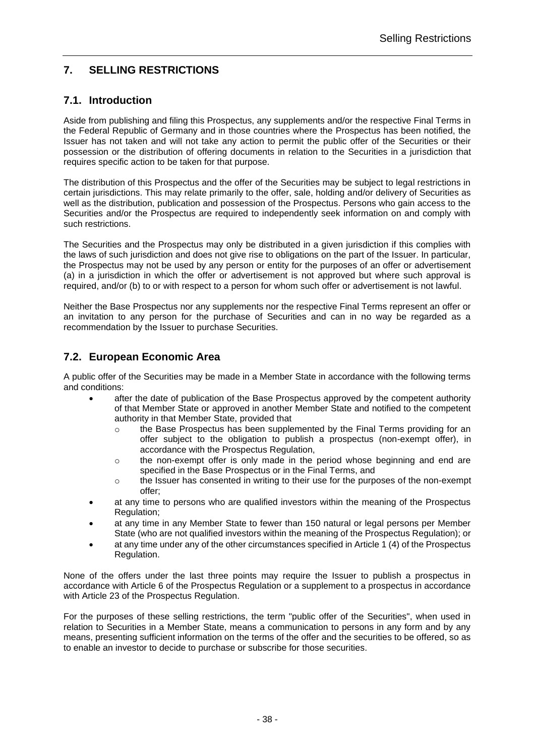# <span id="page-37-0"></span>**7. SELLING RESTRICTIONS**

# **7.1. Introduction**

Aside from publishing and filing this Prospectus, any supplements and/or the respective Final Terms in the Federal Republic of Germany and in those countries where the Prospectus has been notified, the Issuer has not taken and will not take any action to permit the public offer of the Securities or their possession or the distribution of offering documents in relation to the Securities in a jurisdiction that requires specific action to be taken for that purpose.

The distribution of this Prospectus and the offer of the Securities may be subject to legal restrictions in certain jurisdictions. This may relate primarily to the offer, sale, holding and/or delivery of Securities as well as the distribution, publication and possession of the Prospectus. Persons who gain access to the Securities and/or the Prospectus are required to independently seek information on and comply with such restrictions.

The Securities and the Prospectus may only be distributed in a given jurisdiction if this complies with the laws of such jurisdiction and does not give rise to obligations on the part of the Issuer. In particular, the Prospectus may not be used by any person or entity for the purposes of an offer or advertisement (a) in a jurisdiction in which the offer or advertisement is not approved but where such approval is required, and/or (b) to or with respect to a person for whom such offer or advertisement is not lawful.

Neither the Base Prospectus nor any supplements nor the respective Final Terms represent an offer or an invitation to any person for the purchase of Securities and can in no way be regarded as a recommendation by the Issuer to purchase Securities.

# **7.2. European Economic Area**

A public offer of the Securities may be made in a Member State in accordance with the following terms and conditions:

- after the date of publication of the Base Prospectus approved by the competent authority of that Member State or approved in another Member State and notified to the competent authority in that Member State, provided that
	- $\circ$  the Base Prospectus has been supplemented by the Final Terms providing for an offer subject to the obligation to publish a prospectus (non-exempt offer), in accordance with the Prospectus Regulation,
	- $\circ$  the non-exempt offer is only made in the period whose beginning and end are specified in the Base Prospectus or in the Final Terms, and
	- $\circ$  the Issuer has consented in writing to their use for the purposes of the non-exempt offer;
- at any time to persons who are qualified investors within the meaning of the Prospectus Regulation;
- at any time in any Member State to fewer than 150 natural or legal persons per Member State (who are not qualified investors within the meaning of the Prospectus Regulation); or
- at any time under any of the other circumstances specified in Article 1 (4) of the Prospectus Regulation.

None of the offers under the last three points may require the Issuer to publish a prospectus in accordance with Article 6 of the Prospectus Regulation or a supplement to a prospectus in accordance with Article 23 of the Prospectus Regulation.

For the purposes of these selling restrictions, the term "public offer of the Securities", when used in relation to Securities in a Member State, means a communication to persons in any form and by any means, presenting sufficient information on the terms of the offer and the securities to be offered, so as to enable an investor to decide to purchase or subscribe for those securities.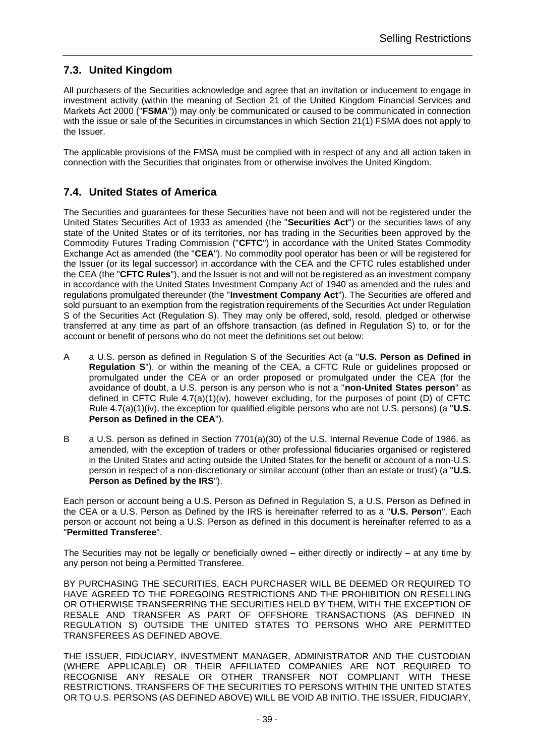# **7.3. United Kingdom**

All purchasers of the Securities acknowledge and agree that an invitation or inducement to engage in investment activity (within the meaning of Section 21 of the United Kingdom Financial Services and Markets Act 2000 ("**FSMA**")) may only be communicated or caused to be communicated in connection with the issue or sale of the Securities in circumstances in which Section 21(1) FSMA does not apply to the Issuer.

The applicable provisions of the FMSA must be complied with in respect of any and all action taken in connection with the Securities that originates from or otherwise involves the United Kingdom.

# **7.4. United States of America**

The Securities and guarantees for these Securities have not been and will not be registered under the United States Securities Act of 1933 as amended (the "**Securities Act**") or the securities laws of any state of the United States or of its territories, nor has trading in the Securities been approved by the Commodity Futures Trading Commission ("**CFTC**") in accordance with the United States Commodity Exchange Act as amended (the "**CEA**"). No commodity pool operator has been or will be registered for the Issuer (or its legal successor) in accordance with the CEA and the CFTC rules established under the CEA (the "**CFTC Rules**"), and the Issuer is not and will not be registered as an investment company in accordance with the United States Investment Company Act of 1940 as amended and the rules and regulations promulgated thereunder (the "**Investment Company Act**"). The Securities are offered and sold pursuant to an exemption from the registration requirements of the Securities Act under Regulation S of the Securities Act (Regulation S). They may only be offered, sold, resold, pledged or otherwise transferred at any time as part of an offshore transaction (as defined in Regulation S) to, or for the account or benefit of persons who do not meet the definitions set out below:

- A a U.S. person as defined in Regulation S of the Securities Act (a "**U.S. Person as Defined in Regulation S**"), or within the meaning of the CEA, a CFTC Rule or guidelines proposed or promulgated under the CEA or an order proposed or promulgated under the CEA (for the avoidance of doubt, a U.S. person is any person who is not a "**non-United States person**" as defined in CFTC Rule 4.7(a)(1)(iv), however excluding, for the purposes of point (D) of CFTC Rule 4.7(a)(1)(iv), the exception for qualified eligible persons who are not U.S. persons) (a "**U.S. Person as Defined in the CEA**").
- B a U.S. person as defined in Section 7701(a)(30) of the U.S. Internal Revenue Code of 1986, as amended, with the exception of traders or other professional fiduciaries organised or registered in the United States and acting outside the United States for the benefit or account of a non-U.S. person in respect of a non-discretionary or similar account (other than an estate or trust) (a "**U.S. Person as Defined by the IRS**").

Each person or account being a U.S. Person as Defined in Regulation S, a U.S. Person as Defined in the CEA or a U.S. Person as Defined by the IRS is hereinafter referred to as a "**U.S. Person**". Each person or account not being a U.S. Person as defined in this document is hereinafter referred to as a "**Permitted Transferee**".

The Securities may not be legally or beneficially owned – either directly or indirectly – at any time by any person not being a Permitted Transferee.

BY PURCHASING THE SECURITIES, EACH PURCHASER WILL BE DEEMED OR REQUIRED TO HAVE AGREED TO THE FOREGOING RESTRICTIONS AND THE PROHIBITION ON RESELLING OR OTHERWISE TRANSFERRING THE SECURITIES HELD BY THEM, WITH THE EXCEPTION OF RESALE AND TRANSFER AS PART OF OFFSHORE TRANSACTIONS (AS DEFINED IN REGULATION S) OUTSIDE THE UNITED STATES TO PERSONS WHO ARE PERMITTED TRANSFEREES AS DEFINED ABOVE.

THE ISSUER, FIDUCIARY, INVESTMENT MANAGER, ADMINISTRATOR AND THE CUSTODIAN (WHERE APPLICABLE) OR THEIR AFFILIATED COMPANIES ARE NOT REQUIRED TO RECOGNISE ANY RESALE OR OTHER TRANSFER NOT COMPLIANT WITH THESE RESTRICTIONS. TRANSFERS OF THE SECURITIES TO PERSONS WITHIN THE UNITED STATES OR TO U.S. PERSONS (AS DEFINED ABOVE) WILL BE VOID AB INITIO. THE ISSUER, FIDUCIARY,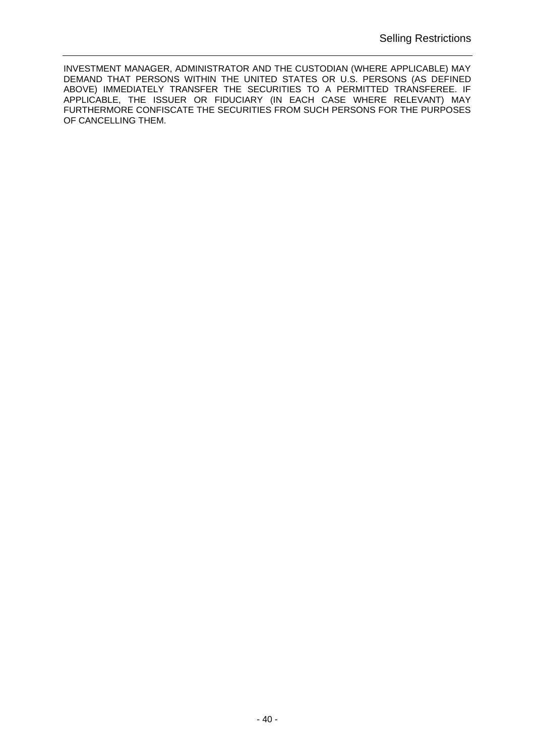INVESTMENT MANAGER, ADMINISTRATOR AND THE CUSTODIAN (WHERE APPLICABLE) MAY DEMAND THAT PERSONS WITHIN THE UNITED STATES OR U.S. PERSONS (AS DEFINED ABOVE) IMMEDIATELY TRANSFER THE SECURITIES TO A PERMITTED TRANSFEREE. IF APPLICABLE, THE ISSUER OR FIDUCIARY (IN EACH CASE WHERE RELEVANT) MAY FURTHERMORE CONFISCATE THE SECURITIES FROM SUCH PERSONS FOR THE PURPOSES OF CANCELLING THEM.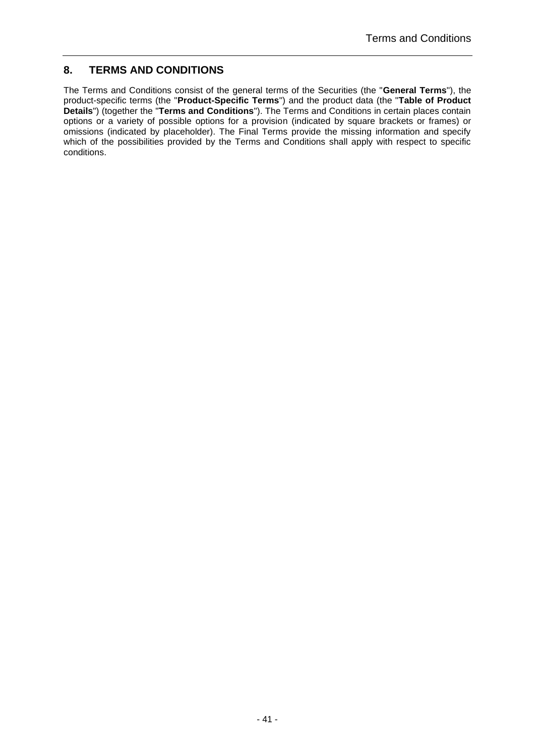# <span id="page-40-0"></span>**8. TERMS AND CONDITIONS**

The Terms and Conditions consist of the general terms of the Securities (the "**General Terms**"), the product-specific terms (the "**Product-Specific Terms**") and the product data (the "**Table of Product Details**") (together the "**Terms and Conditions**"). The Terms and Conditions in certain places contain options or a variety of possible options for a provision (indicated by square brackets or frames) or omissions (indicated by placeholder). The Final Terms provide the missing information and specify which of the possibilities provided by the Terms and Conditions shall apply with respect to specific conditions.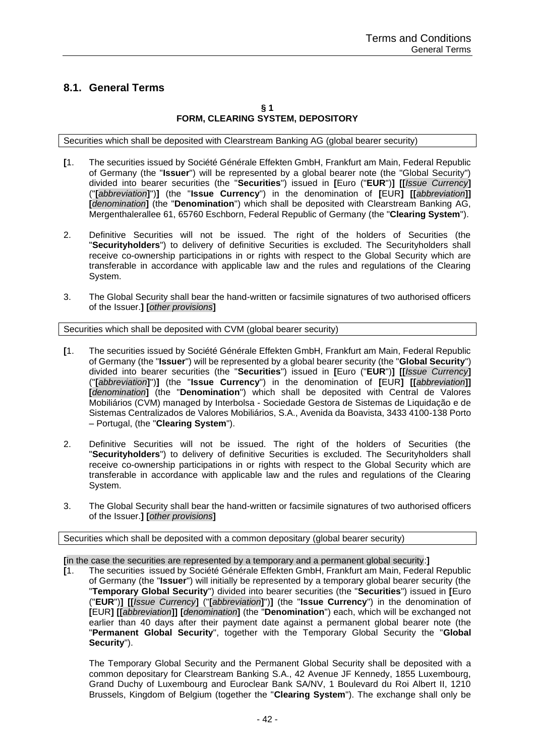# <span id="page-41-0"></span>**8.1. General Terms**

# **§ 1 FORM, CLEARING SYSTEM, DEPOSITORY**

Securities which shall be deposited with Clearstream Banking AG (global bearer security)

- **[**1. The securities issued by Société Générale Effekten GmbH, Frankfurt am Main, Federal Republic of Germany (the "**Issuer**") will be represented by a global bearer note (the "Global Security") divided into bearer securities (the "**Securities**") issued in **[**Euro ("**EUR**")**] [[***Issue Currency***]** ("**[***abbreviation***]**")**]** (the "**Issue Currency**") in the denomination of **[**EUR**] [[***abbreviation***]] [***denomination***]** (the "**Denomination**") which shall be deposited with Clearstream Banking AG, Mergenthalerallee 61, 65760 Eschborn, Federal Republic of Germany (the "**Clearing System**").
- 2. Definitive Securities will not be issued. The right of the holders of Securities (the "**Securityholders**") to delivery of definitive Securities is excluded. The Securityholders shall receive co-ownership participations in or rights with respect to the Global Security which are transferable in accordance with applicable law and the rules and regulations of the Clearing System.
- 3. The Global Security shall bear the hand-written or facsimile signatures of two authorised officers of the Issuer.**] [***other provisions***]**

Securities which shall be deposited with CVM (global bearer security)

- **[**1. The securities issued by Société Générale Effekten GmbH, Frankfurt am Main, Federal Republic of Germany (the "**Issuer**") will be represented by a global bearer security (the "**Global Security**") divided into bearer securities (the "**Securities**") issued in **[**Euro ("**EUR**")**] [[***Issue Currency***]** ("**[***abbreviation***]**")**]** (the "**Issue Currency**") in the denomination of **[**EUR**] [[***abbreviation***]] [***denomination***]** (the "**Denomination**") which shall be deposited with Central de Valores Mobiliários (CVM) managed by Interbolsa - Sociedade Gestora de Sistemas de Liquidação e de Sistemas Centralizados de Valores Mobiliários, S.A., Avenida da Boavista, 3433 4100-138 Porto – Portugal, (the "**Clearing System**").
- 2. Definitive Securities will not be issued. The right of the holders of Securities (the "**Securityholders**") to delivery of definitive Securities is excluded. The Securityholders shall receive co-ownership participations in or rights with respect to the Global Security which are transferable in accordance with applicable law and the rules and regulations of the Clearing System.
- 3. The Global Security shall bear the hand-written or facsimile signatures of two authorised officers of the Issuer.**] [***other provisions***]**

Securities which shall be deposited with a common depositary (global bearer security)

**[**in the case the securities are represented by a temporary and a permanent global security:**]**

**[**1. The securities issued by Société Générale Effekten GmbH, Frankfurt am Main, Federal Republic of Germany (the "**Issuer**") will initially be represented by a temporary global bearer security (the "**Temporary Global Security**") divided into bearer securities (the "**Securities**") issued in **[**Euro ("**EUR**")**] [[***Issue Currency***]** ("**[***abbreviation***]**")**]** (the "**Issue Currency**") in the denomination of **[**EUR**] [[***abbreviation***]] [***denomination***]** (the "**Denomination**") each, which will be exchanged not earlier than 40 days after their payment date against a permanent global bearer note (the "**Permanent Global Security**", together with the Temporary Global Security the "**Global Security**").

The Temporary Global Security and the Permanent Global Security shall be deposited with a common depositary for Clearstream Banking S.A., 42 Avenue JF Kennedy, 1855 Luxembourg, Grand Duchy of Luxembourg and Euroclear Bank SA/NV, 1 Boulevard du Roi Albert II, 1210 Brussels, Kingdom of Belgium (together the "**Clearing System**"). The exchange shall only be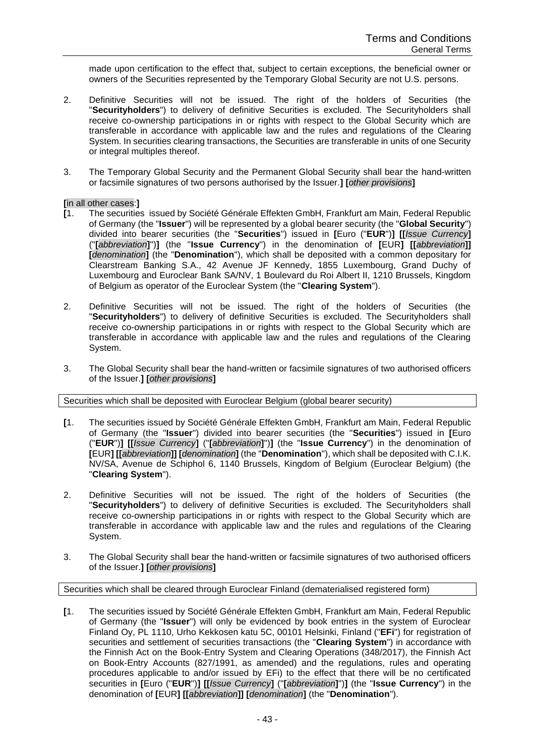made upon certification to the effect that, subject to certain exceptions, the beneficial owner or owners of the Securities represented by the Temporary Global Security are not U.S. persons.

- 2. Definitive Securities will not be issued. The right of the holders of Securities (the "**Securityholders**") to delivery of definitive Securities is excluded. The Securityholders shall receive co-ownership participations in or rights with respect to the Global Security which are transferable in accordance with applicable law and the rules and regulations of the Clearing System. In securities clearing transactions, the Securities are transferable in units of one Security or integral multiples thereof.
- 3. The Temporary Global Security and the Permanent Global Security shall bear the hand-written or facsimile signatures of two persons authorised by the Issuer.**] [***other provisions***]**

# **[**in all other cases:**]**

- **[**1. The securities issued by Société Générale Effekten GmbH, Frankfurt am Main, Federal Republic of Germany (the "**Issuer**") will be represented by a global bearer security (the "**Global Security**") divided into bearer securities (the "**Securities**") issued in **[**Euro ("**EUR**")**] [[***Issue Currency***]** ("**[***abbreviation***]**")**]** (the "**Issue Currency**") in the denomination of **[**EUR**] [[***abbreviation***]] [***denomination***]** (the "**Denomination**"), which shall be deposited with a common depositary for Clearstream Banking S.A., 42 Avenue JF Kennedy, 1855 Luxembourg, Grand Duchy of Luxembourg and Euroclear Bank SA/NV, 1 Boulevard du Roi Albert II, 1210 Brussels, Kingdom of Belgium as operator of the Euroclear System (the "**Clearing System**").
- 2. Definitive Securities will not be issued. The right of the holders of Securities (the "**Securityholders**") to delivery of definitive Securities is excluded. The Securityholders shall receive co-ownership participations in or rights with respect to the Global Security which are transferable in accordance with applicable law and the rules and regulations of the Clearing System.
- 3. The Global Security shall bear the hand-written or facsimile signatures of two authorised officers of the Issuer.**] [***other provisions***]**

Securities which shall be deposited with Euroclear Belgium (global bearer security)

- **[**1. The securities issued by Société Générale Effekten GmbH, Frankfurt am Main, Federal Republic of Germany (the "**Issuer**") divided into bearer securities (the "**Securities**") issued in **[**Euro ("**EUR**")**] [[***Issue Currency***]** ("**[***abbreviation***]**")**]** (the "**Issue Currency**") in the denomination of **[**EUR**] [[***abbreviation***]] [***denomination***]** (the "**Denomination**"), which shall be deposited with C.I.K. NV/SA, Avenue de Schiphol 6, 1140 Brussels, Kingdom of Belgium (Euroclear Belgium) (the "**Clearing System**").
- 2. Definitive Securities will not be issued. The right of the holders of Securities (the "**Securityholders**") to delivery of definitive Securities is excluded. The Securityholders shall receive co-ownership participations in or rights with respect to the Global Security which are transferable in accordance with applicable law and the rules and regulations of the Clearing System.
- 3. The Global Security shall bear the hand-written or facsimile signatures of two authorised officers of the Issuer.**] [***other provisions***]**

Securities which shall be cleared through Euroclear Finland (dematerialised registered form)

**[**1. The securities issued by Société Générale Effekten GmbH, Frankfurt am Main, Federal Republic of Germany (the "**Issuer**") will only be evidenced by book entries in the system of Euroclear Finland Oy, PL 1110, Urho Kekkosen katu 5C, 00101 Helsinki, Finland ("**EFi**") for registration of securities and settlement of securities transactions (the "**Clearing System**") in accordance with the Finnish Act on the Book-Entry System and Clearing Operations (348/2017), the Finnish Act on Book-Entry Accounts (827/1991, as amended) and the regulations, rules and operating procedures applicable to and/or issued by EFi) to the effect that there will be no certificated securities in **[**Euro ("**EUR**")**] [[***Issue Currency***]** ("**[***abbreviation***]**")**]** (the "**Issue Currency**") in the denomination of **[**EUR**] [[***abbreviation***]] [***denomination***]** (the "**Denomination**").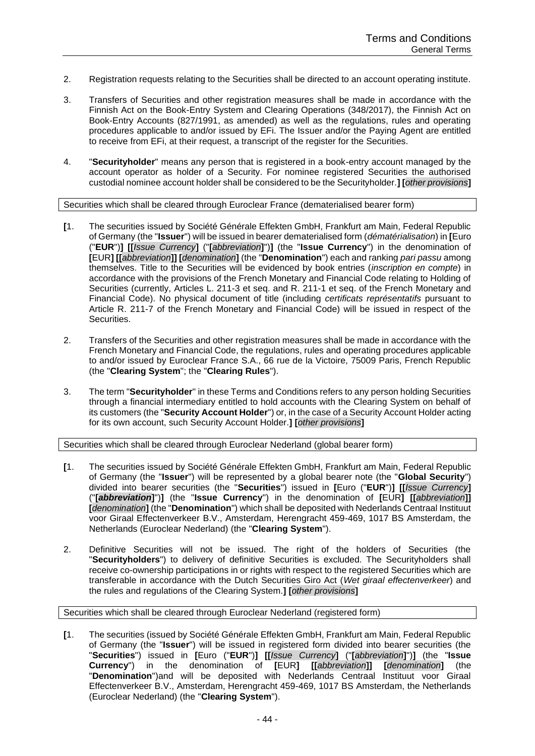- 2. Registration requests relating to the Securities shall be directed to an account operating institute.
- 3. Transfers of Securities and other registration measures shall be made in accordance with the Finnish Act on the Book-Entry System and Clearing Operations (348/2017), the Finnish Act on Book-Entry Accounts (827/1991, as amended) as well as the regulations, rules and operating procedures applicable to and/or issued by EFi. The Issuer and/or the Paying Agent are entitled to receive from EFi, at their request, a transcript of the register for the Securities.
- 4. "**Securityholder**" means any person that is registered in a book-entry account managed by the account operator as holder of a Security. For nominee registered Securities the authorised custodial nominee account holder shall be considered to be the Securityholder.**] [***other provisions***]**

Securities which shall be cleared through Euroclear France (dematerialised bearer form)

- **[**1. The securities issued by Société Générale Effekten GmbH, Frankfurt am Main, Federal Republic of Germany (the "**Issuer**") will be issued in bearer dematerialised form (*dématérialisation*) in **[**Euro ("**EUR**")**] [[***Issue Currency***]** ("**[***abbreviation***]**")**]** (the "**Issue Currency**") in the denomination of **[**EUR**] [[***abbreviation***]] [***denomination***]** (the "**Denomination**") each and ranking *pari passu* among themselves. Title to the Securities will be evidenced by book entries (*inscription en compte*) in accordance with the provisions of the French Monetary and Financial Code relating to Holding of Securities (currently, Articles L. 211-3 et seq. and R. 211-1 et seq. of the French Monetary and Financial Code). No physical document of title (including *certificats représentatifs* pursuant to Article R. 211-7 of the French Monetary and Financial Code) will be issued in respect of the Securities.
- 2. Transfers of the Securities and other registration measures shall be made in accordance with the French Monetary and Financial Code, the regulations, rules and operating procedures applicable to and/or issued by Euroclear France S.A., 66 rue de la Victoire, 75009 Paris, French Republic (the "**Clearing System**"; the "**Clearing Rules**").
- 3. The term "**Securityholder**" in these Terms and Conditions refers to any person holding Securities through a financial intermediary entitled to hold accounts with the Clearing System on behalf of its customers (the "**Security Account Holder**") or, in the case of a Security Account Holder acting for its own account, such Security Account Holder.**] [***other provisions***]**

Securities which shall be cleared through Euroclear Nederland (global bearer form)

- **[**1. The securities issued by Société Générale Effekten GmbH, Frankfurt am Main, Federal Republic of Germany (the "**Issuer**") will be represented by a global bearer note (the "**Global Security**") divided into bearer securities (the "**Securities**") issued in **[**Euro ("**EUR**")**] [[***Issue Currency***]** ("**[***abbreviation***]**")**]** (the "**Issue Currency**") in the denomination of **[**EUR**] [[***abbreviation***]] [***denomination***]** (the "**Denomination**") which shall be deposited with Nederlands Centraal Instituut voor Giraal Effectenverkeer B.V., Amsterdam, Herengracht 459-469, 1017 BS Amsterdam, the Netherlands (Euroclear Nederland) (the "**Clearing System**").
- 2. Definitive Securities will not be issued. The right of the holders of Securities (the "**Securityholders**") to delivery of definitive Securities is excluded. The Securityholders shall receive co-ownership participations in or rights with respect to the registered Securities which are transferable in accordance with the Dutch Securities Giro Act (*Wet giraal effectenverkeer*) and the rules and regulations of the Clearing System.**] [***other provisions***]**

Securities which shall be cleared through Euroclear Nederland (registered form)

**[**1. The securities (issued by Société Générale Effekten GmbH, Frankfurt am Main, Federal Republic of Germany (the "**Issuer**") will be issued in registered form divided into bearer securities (the "**Securities**") issued in **[**Euro ("**EUR**")**] [[***Issue Currency***]** ("**[***abbreviation***]**")**]** (the "**Issue Currency**") in the denomination of **[**EUR**] [[***abbreviation***]] [***denomination***]** (the "**Denomination**")and will be deposited with Nederlands Centraal Instituut voor Giraal Effectenverkeer B.V., Amsterdam, Herengracht 459-469, 1017 BS Amsterdam, the Netherlands (Euroclear Nederland) (the "**Clearing System**").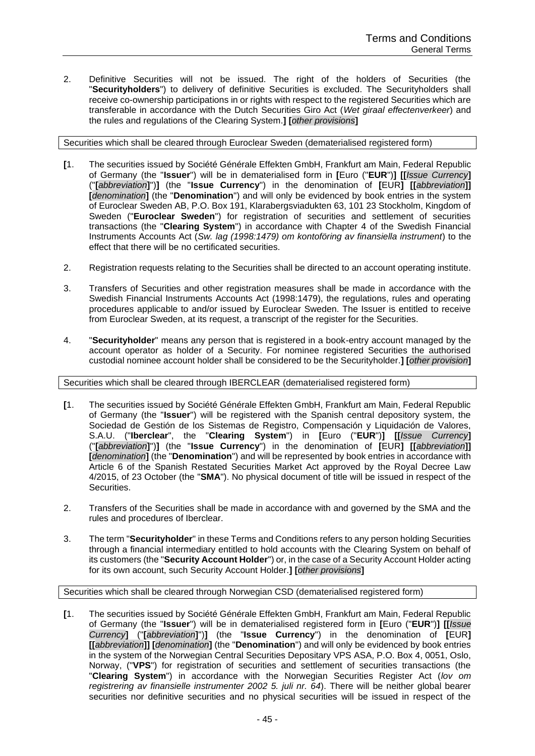2. Definitive Securities will not be issued. The right of the holders of Securities (the "**Securityholders**") to delivery of definitive Securities is excluded. The Securityholders shall receive co-ownership participations in or rights with respect to the registered Securities which are transferable in accordance with the Dutch Securities Giro Act (*Wet giraal effectenverkeer*) and the rules and regulations of the Clearing System.**] [***other provisions***]**

Securities which shall be cleared through Euroclear Sweden (dematerialised registered form)

- **[**1. The securities issued by Société Générale Effekten GmbH, Frankfurt am Main, Federal Republic of Germany (the "**Issuer**") will be in dematerialised form in **[**Euro ("**EUR**")**] [[***Issue Currency***]** ("**[***abbreviation***]**")**]** (the "**Issue Currency**") in the denomination of **[**EUR**] [[***abbreviation***]] [***denomination***]** (the "**Denomination**") and will only be evidenced by book entries in the system of Euroclear Sweden AB, P.O. Box 191, Klarabergsviadukten 63, 101 23 Stockholm, Kingdom of Sweden ("**Euroclear Sweden**") for registration of securities and settlement of securities transactions (the "**Clearing System**") in accordance with Chapter 4 of the Swedish Financial Instruments Accounts Act (*Sw. lag (1998:1479) om kontoföring av finansiella instrument*) to the effect that there will be no certificated securities.
- 2. Registration requests relating to the Securities shall be directed to an account operating institute.
- 3. Transfers of Securities and other registration measures shall be made in accordance with the Swedish Financial Instruments Accounts Act (1998:1479), the regulations, rules and operating procedures applicable to and/or issued by Euroclear Sweden. The Issuer is entitled to receive from Euroclear Sweden, at its request, a transcript of the register for the Securities.
- 4. "**Securityholder**" means any person that is registered in a book-entry account managed by the account operator as holder of a Security. For nominee registered Securities the authorised custodial nominee account holder shall be considered to be the Securityholder.**] [***other provision***]**

Securities which shall be cleared through IBERCLEAR (dematerialised registered form)

- **[**1. The securities issued by Société Générale Effekten GmbH, Frankfurt am Main, Federal Republic of Germany (the "**Issuer**") will be registered with the Spanish central depository system, the Sociedad de Gestión de los Sistemas de Registro, Compensación y Liquidación de Valores, S.A.U. ("**Iberclear**", the "**Clearing System**") in **[**Euro ("**EUR**")**] [[***Issue Currency***]** ("**[***abbreviation***]**")**]** (the "**Issue Currency**") in the denomination of **[**EUR**] [[***abbreviation***]] [***denomination***]** (the "**Denomination**") and will be represented by book entries in accordance with Article 6 of the Spanish Restated Securities Market Act approved by the Royal Decree Law 4/2015, of 23 October (the "**SMA**"). No physical document of title will be issued in respect of the Securities.
- 2. Transfers of the Securities shall be made in accordance with and governed by the SMA and the rules and procedures of Iberclear.
- 3. The term "**Securityholder**" in these Terms and Conditions refers to any person holding Securities through a financial intermediary entitled to hold accounts with the Clearing System on behalf of its customers (the "**Security Account Holder**") or, in the case of a Security Account Holder acting for its own account, such Security Account Holder.**] [***other provisions***]**

Securities which shall be cleared through Norwegian CSD (dematerialised registered form)

**[**1. The securities issued by Société Générale Effekten GmbH, Frankfurt am Main, Federal Republic of Germany (the "**Issuer**") will be in dematerialised registered form in **[**Euro ("**EUR**")**] [[***Issue Currency***]** ("**[***abbreviation***]**")**]** (the "**Issue Currency**") in the denomination of **[**EUR**] [[***abbreviation***]] [***denomination***]** (the "**Denomination**") and will only be evidenced by book entries in the system of the Norwegian Central Securities Depositary VPS ASA, P.O. Box 4, 0051, Oslo, Norway, ("**VPS**") for registration of securities and settlement of securities transactions (the "**Clearing System**") in accordance with the Norwegian Securities Register Act (*lov om registrering av finansielle instrumenter 2002 5. juli nr. 64*). There will be neither global bearer securities nor definitive securities and no physical securities will be issued in respect of the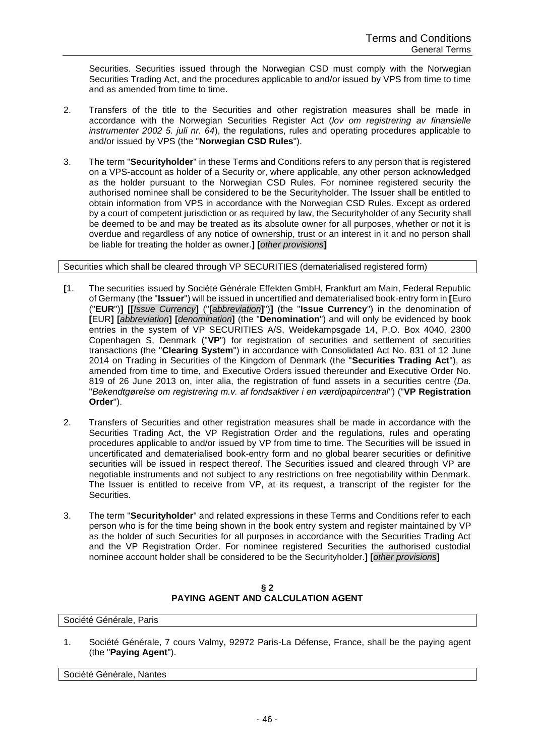Securities. Securities issued through the Norwegian CSD must comply with the Norwegian Securities Trading Act, and the procedures applicable to and/or issued by VPS from time to time and as amended from time to time.

- 2. Transfers of the title to the Securities and other registration measures shall be made in accordance with the Norwegian Securities Register Act (*lov om registrering av finansielle instrumenter 2002 5. juli nr. 64*), the regulations, rules and operating procedures applicable to and/or issued by VPS (the "**Norwegian CSD Rules**").
- 3. The term "**Securityholder**" in these Terms and Conditions refers to any person that is registered on a VPS-account as holder of a Security or, where applicable, any other person acknowledged as the holder pursuant to the Norwegian CSD Rules. For nominee registered security the authorised nominee shall be considered to be the Securityholder. The Issuer shall be entitled to obtain information from VPS in accordance with the Norwegian CSD Rules. Except as ordered by a court of competent jurisdiction or as required by law, the Securityholder of any Security shall be deemed to be and may be treated as its absolute owner for all purposes, whether or not it is overdue and regardless of any notice of ownership, trust or an interest in it and no person shall be liable for treating the holder as owner.**] [***other provisions***]**

Securities which shall be cleared through VP SECURITIES (dematerialised registered form)

- **[**1. The securities issued by Société Générale Effekten GmbH, Frankfurt am Main, Federal Republic of Germany (the "**Issuer**") will be issued in uncertified and dematerialised book-entry form in **[**Euro ("**EUR**")**] [[***Issue Currency***]** ("**[***abbreviation***]**")**]** (the "**Issue Currency**") in the denomination of **[**EUR**] [***abbreviation***] [***denomination***]** (the "**Denomination**") and will only be evidenced by book entries in the system of VP SECURITIES A/S, Weidekampsgade 14, P.O. Box 4040, 2300 Copenhagen S, Denmark ("**VP**") for registration of securities and settlement of securities transactions (the "**Clearing System**") in accordance with Consolidated Act No. 831 of 12 June 2014 on Trading in Securities of the Kingdom of Denmark (the "**Securities Trading Act**"), as amended from time to time, and Executive Orders issued thereunder and Executive Order No. 819 of 26 June 2013 on, inter alia, the registration of fund assets in a securities centre (*Da.* "*Bekendtgørelse om registrering m.v. af fondsaktiver i en værdipapircentral*") ("**VP Registration Order**").
- 2. Transfers of Securities and other registration measures shall be made in accordance with the Securities Trading Act, the VP Registration Order and the regulations, rules and operating procedures applicable to and/or issued by VP from time to time. The Securities will be issued in uncertificated and dematerialised book-entry form and no global bearer securities or definitive securities will be issued in respect thereof. The Securities issued and cleared through VP are negotiable instruments and not subject to any restrictions on free negotiability within Denmark. The Issuer is entitled to receive from VP, at its request, a transcript of the register for the Securities.
- 3. The term "**Securityholder**" and related expressions in these Terms and Conditions refer to each person who is for the time being shown in the book entry system and register maintained by VP as the holder of such Securities for all purposes in accordance with the Securities Trading Act and the VP Registration Order. For nominee registered Securities the authorised custodial nominee account holder shall be considered to be the Securityholder.**] [***other provisions***]**

**§ 2 PAYING AGENT AND CALCULATION AGENT**

Société Générale, Paris

1. Société Générale, 7 cours Valmy, 92972 Paris-La Défense, France, shall be the paying agent (the "**Paying Agent**").

Société Générale, Nantes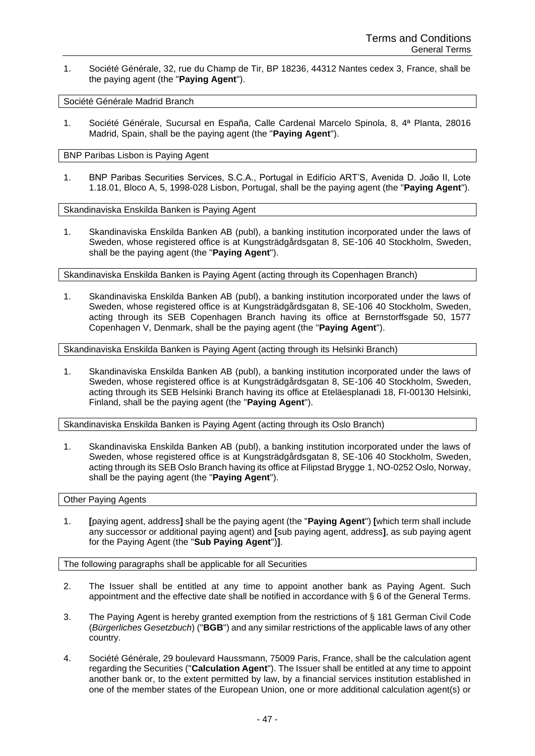1. Société Générale, 32, rue du Champ de Tir, BP 18236, 44312 Nantes cedex 3, France, shall be the paying agent (the "**Paying Agent**").

Société Générale Madrid Branch

1. Société Générale, Sucursal en España, Calle Cardenal Marcelo Spinola, 8, 4ª Planta, 28016 Madrid, Spain, shall be the paying agent (the "**Paying Agent**").

BNP Paribas Lisbon is Paying Agent

1. BNP Paribas Securities Services, S.C.A., Portugal in Edifício ART'S, Avenida D. João II, Lote 1.18.01, Bloco A, 5, 1998-028 Lisbon, Portugal, shall be the paying agent (the "**Paying Agent**").

Skandinaviska Enskilda Banken is Paying Agent

1. Skandinaviska Enskilda Banken AB (publ), a banking institution incorporated under the laws of Sweden, whose registered office is at Kungsträdgårdsgatan 8, SE-106 40 Stockholm, Sweden, shall be the paying agent (the "**Paying Agent**").

Skandinaviska Enskilda Banken is Paying Agent (acting through its Copenhagen Branch)

1. Skandinaviska Enskilda Banken AB (publ), a banking institution incorporated under the laws of Sweden, whose registered office is at Kungsträdgårdsgatan 8, SE-106 40 Stockholm, Sweden, acting through its SEB Copenhagen Branch having its office at Bernstorffsgade 50, 1577 Copenhagen V, Denmark, shall be the paying agent (the "**Paying Agent**").

Skandinaviska Enskilda Banken is Paying Agent (acting through its Helsinki Branch)

1. Skandinaviska Enskilda Banken AB (publ), a banking institution incorporated under the laws of Sweden, whose registered office is at Kungsträdgårdsgatan 8, SE-106 40 Stockholm, Sweden, acting through its SEB Helsinki Branch having its office at Eteläesplanadi 18, FI-00130 Helsinki, Finland, shall be the paying agent (the "**Paying Agent**").

Skandinaviska Enskilda Banken is Paying Agent (acting through its Oslo Branch)

1. Skandinaviska Enskilda Banken AB (publ), a banking institution incorporated under the laws of Sweden, whose registered office is at Kungsträdgårdsgatan 8, SE-106 40 Stockholm, Sweden, acting through its SEB Oslo Branch having its office at Filipstad Brygge 1, NO-0252 Oslo, Norway, shall be the paying agent (the "**Paying Agent**").

Other Paying Agents

1. **[**paying agent, address**]** shall be the paying agent (the "**Paying Agent**") **[**which term shall include any successor or additional paying agent) and **[**sub paying agent, address**]**, as sub paying agent for the Paying Agent (the "**Sub Paying Agent**")**]**.

The following paragraphs shall be applicable for all Securities

- 2. The Issuer shall be entitled at any time to appoint another bank as Paying Agent. Such appointment and the effective date shall be notified in accordance with § 6 of the General Terms.
- 3. The Paying Agent is hereby granted exemption from the restrictions of § 181 German Civil Code (*Bürgerliches Gesetzbuch*) ("**BGB**") and any similar restrictions of the applicable laws of any other country.
- 4. Société Générale, 29 boulevard Haussmann, 75009 Paris, France, shall be the calculation agent regarding the Securities ("**Calculation Agent**"). The Issuer shall be entitled at any time to appoint another bank or, to the extent permitted by law, by a financial services institution established in one of the member states of the European Union, one or more additional calculation agent(s) or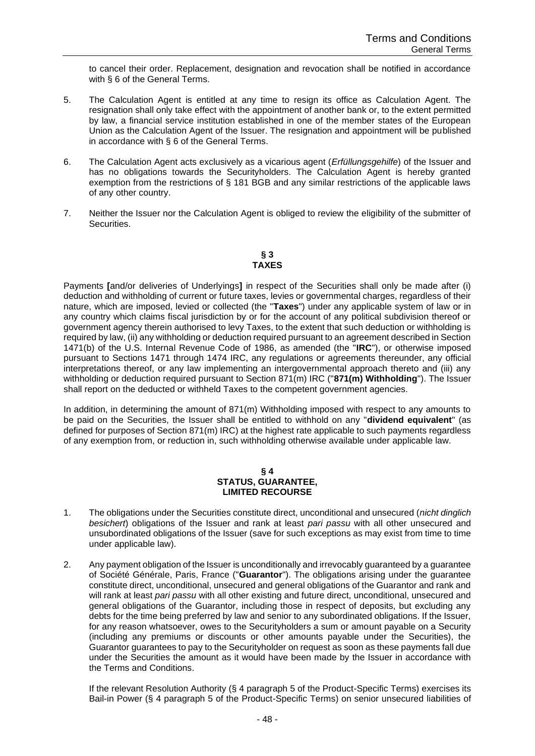to cancel their order. Replacement, designation and revocation shall be notified in accordance with § 6 of the General Terms.

- 5. The Calculation Agent is entitled at any time to resign its office as Calculation Agent. The resignation shall only take effect with the appointment of another bank or, to the extent permitted by law, a financial service institution established in one of the member states of the European Union as the Calculation Agent of the Issuer. The resignation and appointment will be published in accordance with § 6 of the General Terms.
- 6. The Calculation Agent acts exclusively as a vicarious agent (*Erfüllungsgehilfe*) of the Issuer and has no obligations towards the Securityholders. The Calculation Agent is hereby granted exemption from the restrictions of § 181 BGB and any similar restrictions of the applicable laws of any other country.
- 7. Neither the Issuer nor the Calculation Agent is obliged to review the eligibility of the submitter of Securities.

# **§ 3 TAXES**

Payments **[**and/or deliveries of Underlyings**]** in respect of the Securities shall only be made after (i) deduction and withholding of current or future taxes, levies or governmental charges, regardless of their nature, which are imposed, levied or collected (the "**Taxes**") under any applicable system of law or in any country which claims fiscal jurisdiction by or for the account of any political subdivision thereof or government agency therein authorised to levy Taxes, to the extent that such deduction or withholding is required by law, (ii) any withholding or deduction required pursuant to an agreement described in Section 1471(b) of the U.S. Internal Revenue Code of 1986, as amended (the "**IRC**"), or otherwise imposed pursuant to Sections 1471 through 1474 IRC, any regulations or agreements thereunder, any official interpretations thereof, or any law implementing an intergovernmental approach thereto and (iii) any withholding or deduction required pursuant to Section 871(m) IRC ("**871(m) Withholding**"). The Issuer shall report on the deducted or withheld Taxes to the competent government agencies.

In addition, in determining the amount of 871(m) Withholding imposed with respect to any amounts to be paid on the Securities, the Issuer shall be entitled to withhold on any "**dividend equivalent**" (as defined for purposes of Section 871(m) IRC) at the highest rate applicable to such payments regardless of any exemption from, or reduction in, such withholding otherwise available under applicable law.

#### **§ 4 STATUS, GUARANTEE, LIMITED RECOURSE**

- 1. The obligations under the Securities constitute direct, unconditional and unsecured (*nicht dinglich besichert*) obligations of the Issuer and rank at least *pari passu* with all other unsecured and unsubordinated obligations of the Issuer (save for such exceptions as may exist from time to time under applicable law).
- 2. Any payment obligation of the Issuer is unconditionally and irrevocably guaranteed by a guarantee of Société Générale, Paris, France ("**Guarantor**"). The obligations arising under the guarantee constitute direct, unconditional, unsecured and general obligations of the Guarantor and rank and will rank at least *pari passu* with all other existing and future direct, unconditional, unsecured and general obligations of the Guarantor, including those in respect of deposits, but excluding any debts for the time being preferred by law and senior to any subordinated obligations. If the Issuer, for any reason whatsoever, owes to the Securityholders a sum or amount payable on a Security (including any premiums or discounts or other amounts payable under the Securities), the Guarantor guarantees to pay to the Securityholder on request as soon as these payments fall due under the Securities the amount as it would have been made by the Issuer in accordance with the Terms and Conditions.

If the relevant Resolution Authority (§ 4 paragraph 5 of the Product-Specific Terms) exercises its Bail-in Power (§ 4 paragraph 5 of the Product-Specific Terms) on senior unsecured liabilities of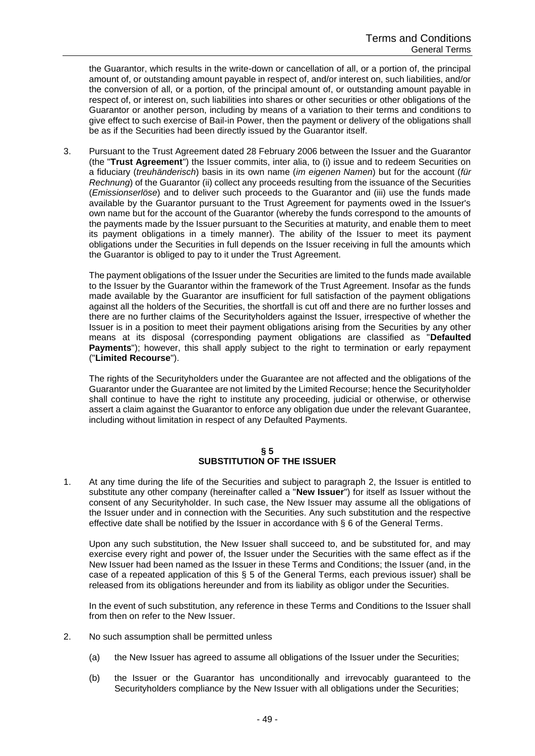the Guarantor, which results in the write-down or cancellation of all, or a portion of, the principal amount of, or outstanding amount payable in respect of, and/or interest on, such liabilities, and/or the conversion of all, or a portion, of the principal amount of, or outstanding amount payable in respect of, or interest on, such liabilities into shares or other securities or other obligations of the Guarantor or another person, including by means of a variation to their terms and conditions to give effect to such exercise of Bail-in Power, then the payment or delivery of the obligations shall be as if the Securities had been directly issued by the Guarantor itself.

3. Pursuant to the Trust Agreement dated 28 February 2006 between the Issuer and the Guarantor (the "**Trust Agreement**") the Issuer commits, inter alia, to (i) issue and to redeem Securities on a fiduciary (*treuhänderisch*) basis in its own name (*im eigenen Namen*) but for the account (*für Rechnung*) of the Guarantor (ii) collect any proceeds resulting from the issuance of the Securities (*Emissionserlöse*) and to deliver such proceeds to the Guarantor and (iii) use the funds made available by the Guarantor pursuant to the Trust Agreement for payments owed in the Issuer's own name but for the account of the Guarantor (whereby the funds correspond to the amounts of the payments made by the Issuer pursuant to the Securities at maturity, and enable them to meet its payment obligations in a timely manner). The ability of the Issuer to meet its payment obligations under the Securities in full depends on the Issuer receiving in full the amounts which the Guarantor is obliged to pay to it under the Trust Agreement.

The payment obligations of the Issuer under the Securities are limited to the funds made available to the Issuer by the Guarantor within the framework of the Trust Agreement. Insofar as the funds made available by the Guarantor are insufficient for full satisfaction of the payment obligations against all the holders of the Securities, the shortfall is cut off and there are no further losses and there are no further claims of the Securityholders against the Issuer, irrespective of whether the Issuer is in a position to meet their payment obligations arising from the Securities by any other means at its disposal (corresponding payment obligations are classified as "**Defaulted Payments**"); however, this shall apply subject to the right to termination or early repayment ("**Limited Recourse**").

The rights of the Securityholders under the Guarantee are not affected and the obligations of the Guarantor under the Guarantee are not limited by the Limited Recourse; hence the Securityholder shall continue to have the right to institute any proceeding, judicial or otherwise, or otherwise assert a claim against the Guarantor to enforce any obligation due under the relevant Guarantee, including without limitation in respect of any Defaulted Payments.

# **§ 5 SUBSTITUTION OF THE ISSUER**

1. At any time during the life of the Securities and subject to paragraph 2, the Issuer is entitled to substitute any other company (hereinafter called a "**New Issuer**") for itself as Issuer without the consent of any Securityholder. In such case, the New Issuer may assume all the obligations of the Issuer under and in connection with the Securities. Any such substitution and the respective effective date shall be notified by the Issuer in accordance with § 6 of the General Terms.

Upon any such substitution, the New Issuer shall succeed to, and be substituted for, and may exercise every right and power of, the Issuer under the Securities with the same effect as if the New Issuer had been named as the Issuer in these Terms and Conditions; the Issuer (and, in the case of a repeated application of this § 5 of the General Terms, each previous issuer) shall be released from its obligations hereunder and from its liability as obligor under the Securities.

In the event of such substitution, any reference in these Terms and Conditions to the Issuer shall from then on refer to the New Issuer.

- 2. No such assumption shall be permitted unless
	- (a) the New Issuer has agreed to assume all obligations of the Issuer under the Securities;
	- (b) the Issuer or the Guarantor has unconditionally and irrevocably guaranteed to the Securityholders compliance by the New Issuer with all obligations under the Securities;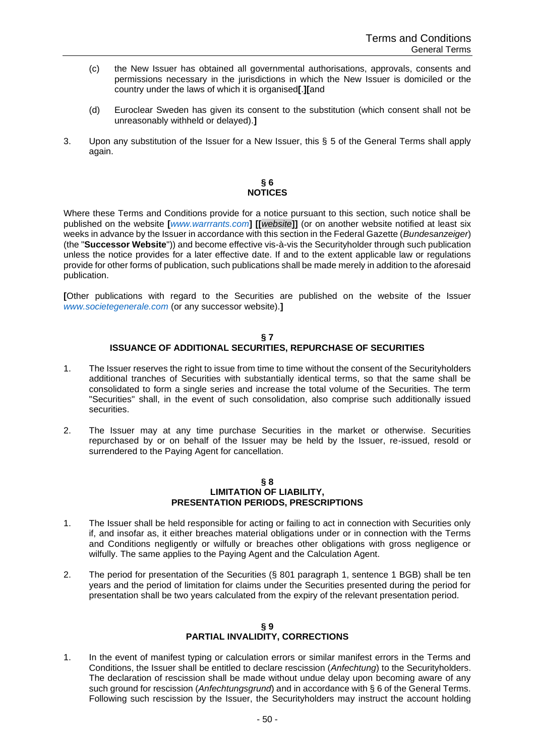- (c) the New Issuer has obtained all governmental authorisations, approvals, consents and permissions necessary in the jurisdictions in which the New Issuer is domiciled or the country under the laws of which it is organised**[**.**][**and
- (d) Euroclear Sweden has given its consent to the substitution (which consent shall not be unreasonably withheld or delayed).**]**
- 3. Upon any substitution of the Issuer for a New Issuer, this § 5 of the General Terms shall apply again.

## **§ 6 NOTICES**

Where these Terms and Conditions provide for a notice pursuant to this section, such notice shall be published on the website **[***www.warrrants.com***] [[***website***]]** (or on another website notified at least six weeks in advance by the Issuer in accordance with this section in the Federal Gazette (*Bundesanzeiger*) (the "**Successor Website**")) and become effective vis-à-vis the Securityholder through such publication unless the notice provides for a later effective date. If and to the extent applicable law or regulations provide for other forms of publication, such publications shall be made merely in addition to the aforesaid publication.

**[**Other publications with regard to the Securities are published on the website of the Issuer *[www.societegenerale.com](http://www.societegenerale.com/)* (or any successor website).**]**

# **§ 7 ISSUANCE OF ADDITIONAL SECURITIES, REPURCHASE OF SECURITIES**

- 1. The Issuer reserves the right to issue from time to time without the consent of the Securityholders additional tranches of Securities with substantially identical terms, so that the same shall be consolidated to form a single series and increase the total volume of the Securities. The term "Securities" shall, in the event of such consolidation, also comprise such additionally issued securities.
- 2. The Issuer may at any time purchase Securities in the market or otherwise. Securities repurchased by or on behalf of the Issuer may be held by the Issuer, re-issued, resold or surrendered to the Paying Agent for cancellation.

#### **§ 8 LIMITATION OF LIABILITY, PRESENTATION PERIODS, PRESCRIPTIONS**

- 1. The Issuer shall be held responsible for acting or failing to act in connection with Securities only if, and insofar as, it either breaches material obligations under or in connection with the Terms and Conditions negligently or wilfully or breaches other obligations with gross negligence or wilfully. The same applies to the Paying Agent and the Calculation Agent.
- 2. The period for presentation of the Securities (§ 801 paragraph 1, sentence 1 BGB) shall be ten years and the period of limitation for claims under the Securities presented during the period for presentation shall be two years calculated from the expiry of the relevant presentation period.

# **§ 9 PARTIAL INVALIDITY, CORRECTIONS**

1. In the event of manifest typing or calculation errors or similar manifest errors in the Terms and Conditions, the Issuer shall be entitled to declare rescission (*Anfechtung*) to the Securityholders. The declaration of rescission shall be made without undue delay upon becoming aware of any such ground for rescission (*Anfechtungsgrund*) and in accordance with § 6 of the General Terms. Following such rescission by the Issuer, the Securityholders may instruct the account holding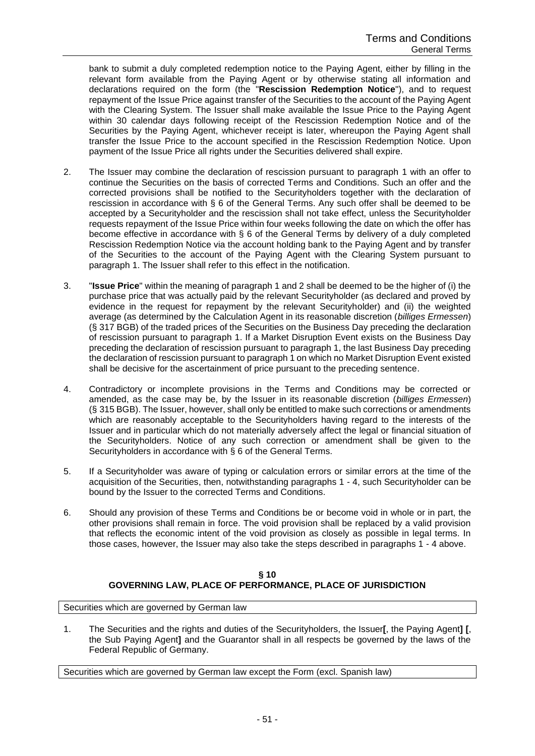bank to submit a duly completed redemption notice to the Paying Agent, either by filling in the relevant form available from the Paying Agent or by otherwise stating all information and declarations required on the form (the "**Rescission Redemption Notice**"), and to request repayment of the Issue Price against transfer of the Securities to the account of the Paying Agent with the Clearing System. The Issuer shall make available the Issue Price to the Paying Agent within 30 calendar days following receipt of the Rescission Redemption Notice and of the Securities by the Paying Agent, whichever receipt is later, whereupon the Paying Agent shall transfer the Issue Price to the account specified in the Rescission Redemption Notice. Upon payment of the Issue Price all rights under the Securities delivered shall expire.

- 2. The Issuer may combine the declaration of rescission pursuant to paragraph 1 with an offer to continue the Securities on the basis of corrected Terms and Conditions. Such an offer and the corrected provisions shall be notified to the Securityholders together with the declaration of rescission in accordance with § 6 of the General Terms. Any such offer shall be deemed to be accepted by a Securityholder and the rescission shall not take effect, unless the Securityholder requests repayment of the Issue Price within four weeks following the date on which the offer has become effective in accordance with § 6 of the General Terms by delivery of a duly completed Rescission Redemption Notice via the account holding bank to the Paying Agent and by transfer of the Securities to the account of the Paying Agent with the Clearing System pursuant to paragraph 1. The Issuer shall refer to this effect in the notification.
- 3. "**Issue Price**" within the meaning of paragraph 1 and 2 shall be deemed to be the higher of (i) the purchase price that was actually paid by the relevant Securityholder (as declared and proved by evidence in the request for repayment by the relevant Securityholder) and (ii) the weighted average (as determined by the Calculation Agent in its reasonable discretion (*billiges Ermessen*) (§ 317 BGB) of the traded prices of the Securities on the Business Day preceding the declaration of rescission pursuant to paragraph 1. If a Market Disruption Event exists on the Business Day preceding the declaration of rescission pursuant to paragraph 1, the last Business Day preceding the declaration of rescission pursuant to paragraph 1 on which no Market Disruption Event existed shall be decisive for the ascertainment of price pursuant to the preceding sentence.
- 4. Contradictory or incomplete provisions in the Terms and Conditions may be corrected or amended, as the case may be, by the Issuer in its reasonable discretion (*billiges Ermessen*) (§ 315 BGB). The Issuer, however, shall only be entitled to make such corrections or amendments which are reasonably acceptable to the Securityholders having regard to the interests of the Issuer and in particular which do not materially adversely affect the legal or financial situation of the Securityholders. Notice of any such correction or amendment shall be given to the Securityholders in accordance with § 6 of the General Terms.
- 5. If a Securityholder was aware of typing or calculation errors or similar errors at the time of the acquisition of the Securities, then, notwithstanding paragraphs 1 - 4, such Securityholder can be bound by the Issuer to the corrected Terms and Conditions.
- 6. Should any provision of these Terms and Conditions be or become void in whole or in part, the other provisions shall remain in force. The void provision shall be replaced by a valid provision that reflects the economic intent of the void provision as closely as possible in legal terms. In those cases, however, the Issuer may also take the steps described in paragraphs 1 - 4 above.

# **§ 10 GOVERNING LAW, PLACE OF PERFORMANCE, PLACE OF JURISDICTION**

Securities which are governed by German law

1. The Securities and the rights and duties of the Securityholders, the Issuer**[**, the Paying Agent**] [**, the Sub Paying Agent**]** and the Guarantor shall in all respects be governed by the laws of the Federal Republic of Germany.

Securities which are governed by German law except the Form (excl. Spanish law)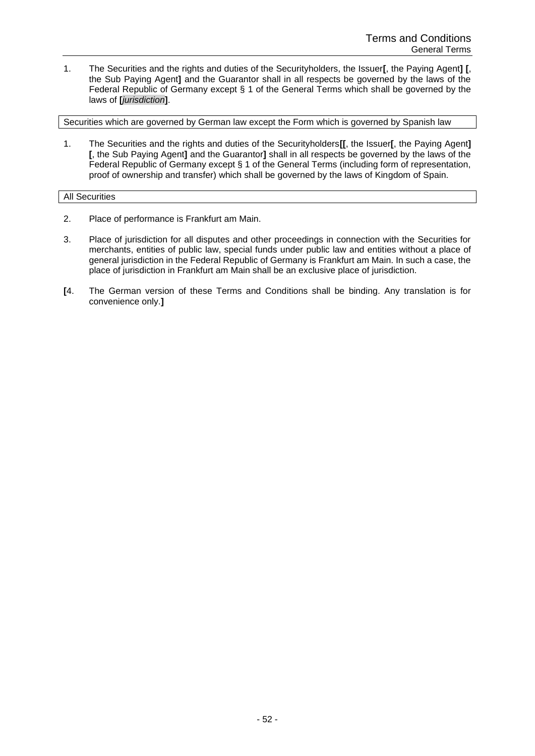1. The Securities and the rights and duties of the Securityholders, the Issuer**[**, the Paying Agent**] [**, the Sub Paying Agent**]** and the Guarantor shall in all respects be governed by the laws of the Federal Republic of Germany except § 1 of the General Terms which shall be governed by the laws of **[***jurisdiction***]**.

Securities which are governed by German law except the Form which is governed by Spanish law

1. The Securities and the rights and duties of the Securityholders**[[**, the Issuer**[**, the Paying Agent**] [**, the Sub Paying Agent**]** and the Guarantor**]** shall in all respects be governed by the laws of the Federal Republic of Germany except § 1 of the General Terms (including form of representation, proof of ownership and transfer) which shall be governed by the laws of Kingdom of Spain.

# All Securities

- 2. Place of performance is Frankfurt am Main.
- 3. Place of jurisdiction for all disputes and other proceedings in connection with the Securities for merchants, entities of public law, special funds under public law and entities without a place of general jurisdiction in the Federal Republic of Germany is Frankfurt am Main. In such a case, the place of jurisdiction in Frankfurt am Main shall be an exclusive place of jurisdiction.
- **[**4. The German version of these Terms and Conditions shall be binding. Any translation is for convenience only.**]**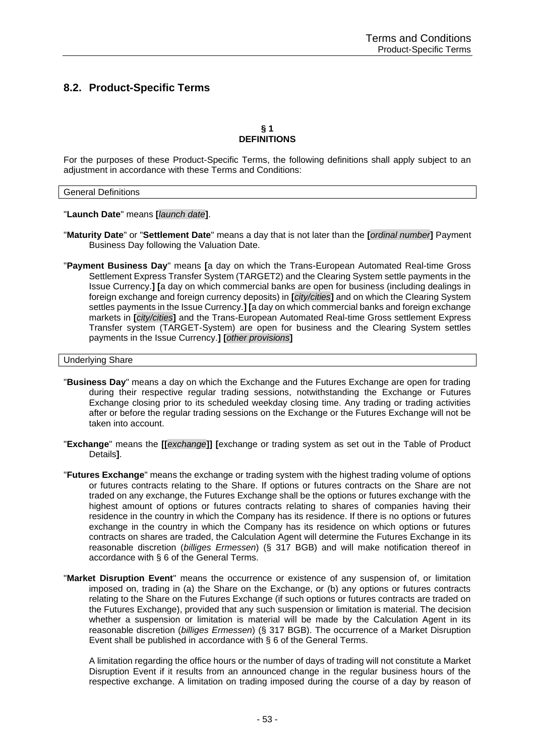# <span id="page-52-0"></span>**8.2. Product-Specific Terms**

# **§ 1 DEFINITIONS**

For the purposes of these Product-Specific Terms, the following definitions shall apply subject to an adjustment in accordance with these Terms and Conditions:

### General Definitions

"**Launch Date**" means **[***launch date***]**.

- "**Maturity Date**" or "**Settlement Date**" means a day that is not later than the **[***ordinal number***]** Payment Business Day following the Valuation Date.
- "**Payment Business Day**" means **[**a day on which the Trans-European Automated Real-time Gross Settlement Express Transfer System (TARGET2) and the Clearing System settle payments in the Issue Currency.**] [**a day on which commercial banks are open for business (including dealings in foreign exchange and foreign currency deposits) in **[***city/cities***]** and on which the Clearing System settles payments in the Issue Currency.**] [**a day on which commercial banks and foreign exchange markets in **[***city/cities***]** and the Trans-European Automated Real-time Gross settlement Express Transfer system (TARGET-System) are open for business and the Clearing System settles payments in the Issue Currency.**] [***other provisions***]**

### Underlying Share

- "**Business Day**" means a day on which the Exchange and the Futures Exchange are open for trading during their respective regular trading sessions, notwithstanding the Exchange or Futures Exchange closing prior to its scheduled weekday closing time. Any trading or trading activities after or before the regular trading sessions on the Exchange or the Futures Exchange will not be taken into account.
- "**Exchange**" means the **[[***exchange***]] [**exchange or trading system as set out in the Table of Product Details**]**.
- "**Futures Exchange**" means the exchange or trading system with the highest trading volume of options or futures contracts relating to the Share. If options or futures contracts on the Share are not traded on any exchange, the Futures Exchange shall be the options or futures exchange with the highest amount of options or futures contracts relating to shares of companies having their residence in the country in which the Company has its residence. If there is no options or futures exchange in the country in which the Company has its residence on which options or futures contracts on shares are traded, the Calculation Agent will determine the Futures Exchange in its reasonable discretion (*billiges Ermessen*) (§ 317 BGB) and will make notification thereof in accordance with § 6 of the General Terms.
- "**Market Disruption Event**" means the occurrence or existence of any suspension of, or limitation imposed on, trading in (a) the Share on the Exchange, or (b) any options or futures contracts relating to the Share on the Futures Exchange (if such options or futures contracts are traded on the Futures Exchange), provided that any such suspension or limitation is material. The decision whether a suspension or limitation is material will be made by the Calculation Agent in its reasonable discretion (*billiges Ermessen*) (§ 317 BGB). The occurrence of a Market Disruption Event shall be published in accordance with § 6 of the General Terms.

A limitation regarding the office hours or the number of days of trading will not constitute a Market Disruption Event if it results from an announced change in the regular business hours of the respective exchange. A limitation on trading imposed during the course of a day by reason of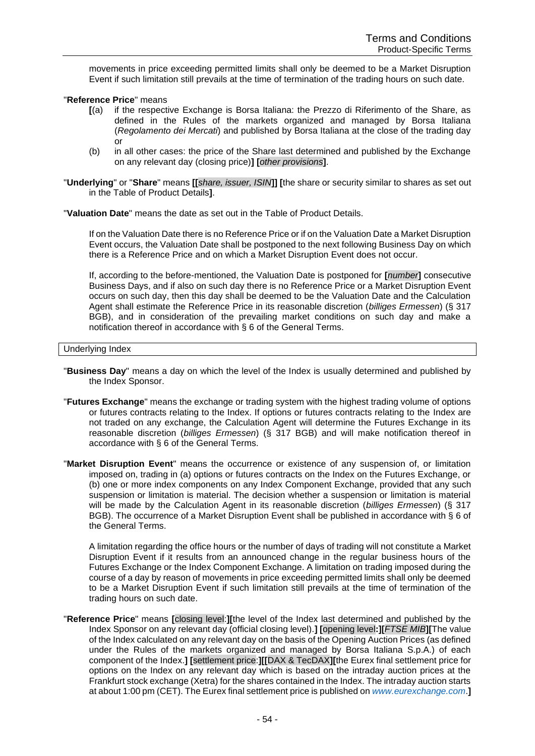movements in price exceeding permitted limits shall only be deemed to be a Market Disruption Event if such limitation still prevails at the time of termination of the trading hours on such date.

# "**Reference Price**" means

- **[**(a) if the respective Exchange is Borsa Italiana: the Prezzo di Riferimento of the Share, as defined in the Rules of the markets organized and managed by Borsa Italiana (*Regolamento dei Mercati*) and published by Borsa Italiana at the close of the trading day or
- (b) in all other cases: the price of the Share last determined and published by the Exchange on any relevant day (closing price)**] [***other provisions***]**.
- "**Underlying**" or "**Share**" means **[[***share, issuer, ISIN***]] [**the share or security similar to shares as set out in the Table of Product Details**]**.

"**Valuation Date**" means the date as set out in the Table of Product Details.

If on the Valuation Date there is no Reference Price or if on the Valuation Date a Market Disruption Event occurs, the Valuation Date shall be postponed to the next following Business Day on which there is a Reference Price and on which a Market Disruption Event does not occur.

If, according to the before-mentioned, the Valuation Date is postponed for **[***number***]** consecutive Business Days, and if also on such day there is no Reference Price or a Market Disruption Event occurs on such day, then this day shall be deemed to be the Valuation Date and the Calculation Agent shall estimate the Reference Price in its reasonable discretion (*billiges Ermessen*) (§ 317 BGB), and in consideration of the prevailing market conditions on such day and make a notification thereof in accordance with § 6 of the General Terms.

# Underlying Index

- "**Business Day**" means a day on which the level of the Index is usually determined and published by the Index Sponsor.
- "**Futures Exchange**" means the exchange or trading system with the highest trading volume of options or futures contracts relating to the Index. If options or futures contracts relating to the Index are not traded on any exchange, the Calculation Agent will determine the Futures Exchange in its reasonable discretion (*billiges Ermessen*) (§ 317 BGB) and will make notification thereof in accordance with § 6 of the General Terms.
- "**Market Disruption Event**" means the occurrence or existence of any suspension of, or limitation imposed on, trading in (a) options or futures contracts on the Index on the Futures Exchange, or (b) one or more index components on any Index Component Exchange, provided that any such suspension or limitation is material. The decision whether a suspension or limitation is material will be made by the Calculation Agent in its reasonable discretion (*billiges Ermessen*) (§ 317 BGB). The occurrence of a Market Disruption Event shall be published in accordance with § 6 of the General Terms.

A limitation regarding the office hours or the number of days of trading will not constitute a Market Disruption Event if it results from an announced change in the regular business hours of the Futures Exchange or the Index Component Exchange. A limitation on trading imposed during the course of a day by reason of movements in price exceeding permitted limits shall only be deemed to be a Market Disruption Event if such limitation still prevails at the time of termination of the trading hours on such date.

"**Reference Price**" means **[**closing level:**][**the level of the Index last determined and published by the Index Sponsor on any relevant day (official closing level).**] [**opening level**:][***FTSE MIB***][**The value of the Index calculated on any relevant day on the basis of the Opening Auction Prices (as defined under the Rules of the markets organized and managed by Borsa Italiana S.p.A.) of each component of the Index.**] [**settlement price:**][[**DAX & TecDAX**][**the Eurex final settlement price for options on the Index on any relevant day which is based on the intraday auction prices at the Frankfurt stock exchange (Xetra) for the shares contained in the Index. The intraday auction starts at about 1:00 pm (CET). The Eurex final settlement price is published on *www.eurexchange.com*.**]**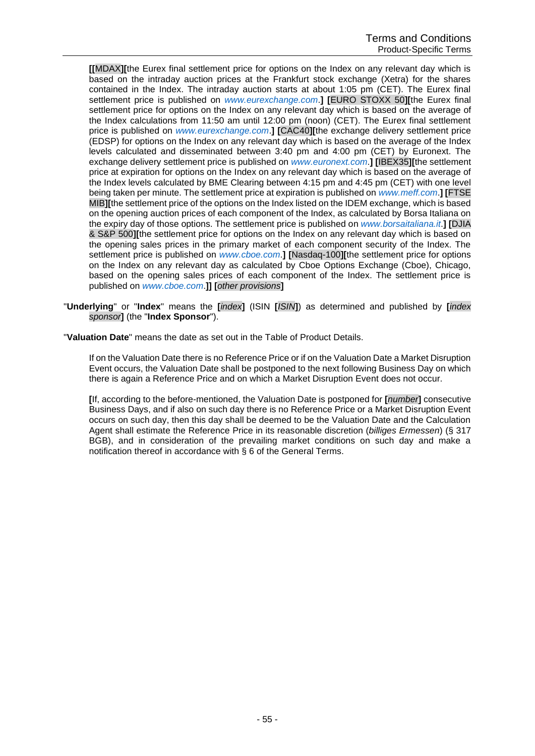**[[**MDAX**][**the Eurex final settlement price for options on the Index on any relevant day which is based on the intraday auction prices at the Frankfurt stock exchange (Xetra) for the shares contained in the Index. The intraday auction starts at about 1:05 pm (CET). The Eurex final settlement price is published on *www.eurexchange.com*.**] [**EURO STOXX 50**][**the Eurex final settlement price for options on the Index on any relevant day which is based on the average of the Index calculations from 11:50 am until 12:00 pm (noon) (CET). The Eurex final settlement price is published on *www.eurexchange.com*.**] [**CAC40**][**the exchange delivery settlement price (EDSP) for options on the Index on any relevant day which is based on the average of the Index levels calculated and disseminated between 3:40 pm and 4:00 pm (CET) by Euronext. The exchange delivery settlement price is published on *www.euronext.com*.**] [**IBEX35**][**the settlement price at expiration for options on the Index on any relevant day which is based on the average of the Index levels calculated by BME Clearing between 4:15 pm and 4:45 pm (CET) with one level being taken per minute. The settlement price at expiration is published on *www.meff.com*.**] [**FTSE MIB**][**the settlement price of the options on the Index listed on the IDEM exchange, which is based on the opening auction prices of each component of the Index, as calculated by Borsa Italiana on the expiry day of those options. The settlement price is published on *www.borsaitaliana.it*.**] [**DJIA & S&P 500**][**the settlement price for options on the Index on any relevant day which is based on the opening sales prices in the primary market of each component security of the Index. The settlement price is published on *www.cboe.com*.**] [**Nasdaq-100**][**the settlement price for options on the Index on any relevant day as calculated by Cboe Options Exchange (Cboe), Chicago, based on the opening sales prices of each component of the Index. The settlement price is published on *www.cboe.com*.**]] [***other provisions***]**

"**Underlying**" or "**Index**" means the **[***index***]** (ISIN **[***ISIN***]**) as determined and published by **[***index sponsor***]** (the "**Index Sponsor**").

"**Valuation Date**" means the date as set out in the Table of Product Details.

If on the Valuation Date there is no Reference Price or if on the Valuation Date a Market Disruption Event occurs, the Valuation Date shall be postponed to the next following Business Day on which there is again a Reference Price and on which a Market Disruption Event does not occur.

**[**If, according to the before-mentioned, the Valuation Date is postponed for **[***number***]** consecutive Business Days, and if also on such day there is no Reference Price or a Market Disruption Event occurs on such day, then this day shall be deemed to be the Valuation Date and the Calculation Agent shall estimate the Reference Price in its reasonable discretion (*billiges Ermessen*) (§ 317 BGB), and in consideration of the prevailing market conditions on such day and make a notification thereof in accordance with § 6 of the General Terms.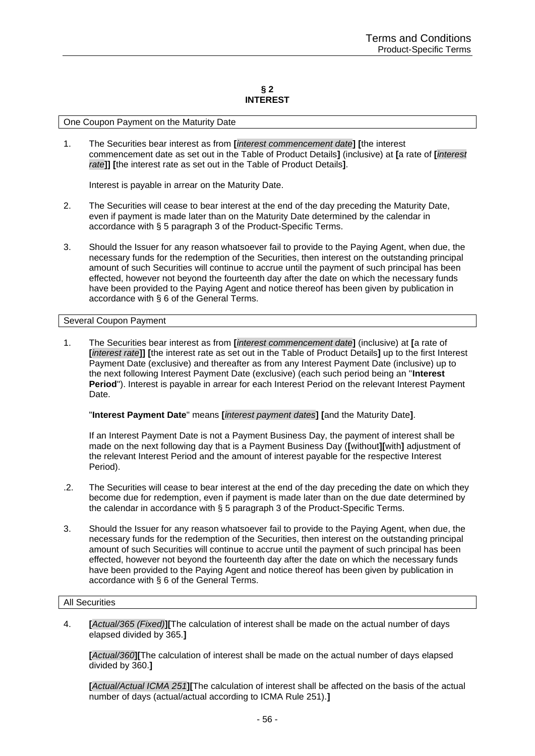#### **§ 2 INTEREST**

#### One Coupon Payment on the Maturity Date

1. The Securities bear interest as from **[***interest commencement date***] [**the interest commencement date as set out in the Table of Product Details**]** (inclusive) at **[**a rate of **[***interest rate***]] [**the interest rate as set out in the Table of Product Details**]**.

Interest is payable in arrear on the Maturity Date.

- 2. The Securities will cease to bear interest at the end of the day preceding the Maturity Date, even if payment is made later than on the Maturity Date determined by the calendar in accordance with § 5 paragraph 3 of the Product-Specific Terms.
- 3. Should the Issuer for any reason whatsoever fail to provide to the Paying Agent, when due, the necessary funds for the redemption of the Securities, then interest on the outstanding principal amount of such Securities will continue to accrue until the payment of such principal has been effected, however not beyond the fourteenth day after the date on which the necessary funds have been provided to the Paying Agent and notice thereof has been given by publication in accordance with § 6 of the General Terms.

### Several Coupon Payment

1. The Securities bear interest as from **[***interest commencement date***]** (inclusive) at **[**a rate of **[***interest rate***]] [**the interest rate as set out in the Table of Product Details**]** up to the first Interest Payment Date (exclusive) and thereafter as from any Interest Payment Date (inclusive) up to the next following Interest Payment Date (exclusive) (each such period being an "**Interest Period**"). Interest is payable in arrear for each Interest Period on the relevant Interest Payment Date.

## "**Interest Payment Date**" means **[***interest payment dates***] [**and the Maturity Date**]**.

If an Interest Payment Date is not a Payment Business Day, the payment of interest shall be made on the next following day that is a Payment Business Day (**[**without**][**with**]** adjustment of the relevant Interest Period and the amount of interest payable for the respective Interest Period).

- .2. The Securities will cease to bear interest at the end of the day preceding the date on which they become due for redemption, even if payment is made later than on the due date determined by the calendar in accordance with § 5 paragraph 3 of the Product-Specific Terms.
- 3. Should the Issuer for any reason whatsoever fail to provide to the Paying Agent, when due, the necessary funds for the redemption of the Securities, then interest on the outstanding principal amount of such Securities will continue to accrue until the payment of such principal has been effected, however not beyond the fourteenth day after the date on which the necessary funds have been provided to the Paying Agent and notice thereof has been given by publication in accordance with § 6 of the General Terms.

#### All Securities

4. **[***Actual/365 (Fixed)***][**The calculation of interest shall be made on the actual number of days elapsed divided by 365.**]**

**[***Actual/360***][**The calculation of interest shall be made on the actual number of days elapsed divided by 360.**]**

**[***Actual/Actual ICMA 251***][**The calculation of interest shall be affected on the basis of the actual number of days (actual/actual according to ICMA Rule 251).**]**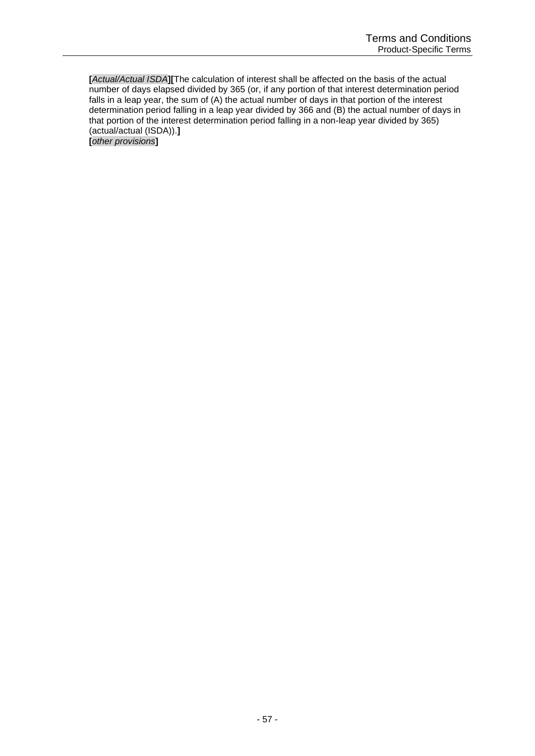**[***Actual/Actual ISDA***][**The calculation of interest shall be affected on the basis of the actual number of days elapsed divided by 365 (or, if any portion of that interest determination period falls in a leap year, the sum of (A) the actual number of days in that portion of the interest determination period falling in a leap year divided by 366 and (B) the actual number of days in that portion of the interest determination period falling in a non-leap year divided by 365) (actual/actual (ISDA)).**] [***other provisions***]**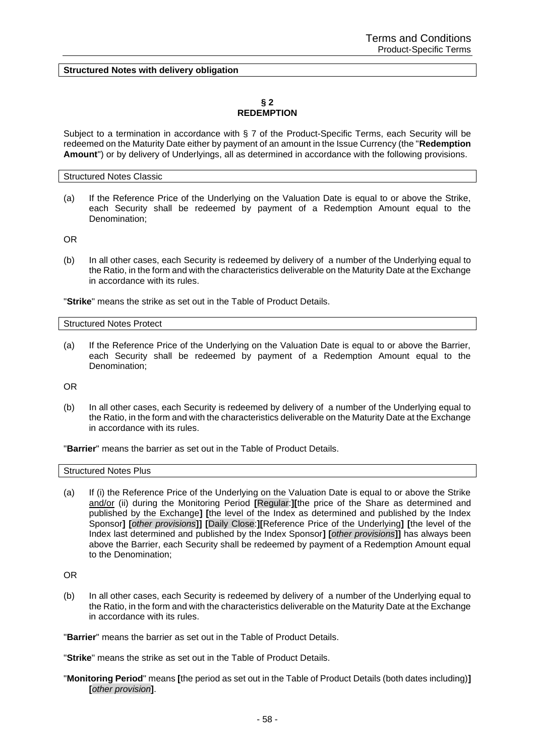**Structured Notes with delivery obligation**

## **§ 2 REDEMPTION**

Subject to a termination in accordance with § 7 of the Product-Specific Terms, each Security will be redeemed on the Maturity Date either by payment of an amount in the Issue Currency (the "**Redemption Amount**") or by delivery of Underlyings, all as determined in accordance with the following provisions.

#### Structured Notes Classic

(a) If the Reference Price of the Underlying on the Valuation Date is equal to or above the Strike, each Security shall be redeemed by payment of a Redemption Amount equal to the Denomination;

OR

(b) In all other cases, each Security is redeemed by delivery of a number of the Underlying equal to the Ratio, in the form and with the characteristics deliverable on the Maturity Date at the Exchange in accordance with its rules.

"**Strike**" means the strike as set out in the Table of Product Details.

Structured Notes Protect

(a) If the Reference Price of the Underlying on the Valuation Date is equal to or above the Barrier, each Security shall be redeemed by payment of a Redemption Amount equal to the Denomination;

OR

(b) In all other cases, each Security is redeemed by delivery of a number of the Underlying equal to the Ratio, in the form and with the characteristics deliverable on the Maturity Date at the Exchange in accordance with its rules.

"**Barrier**" means the barrier as set out in the Table of Product Details.

Structured Notes Plus

(a) If (i) the Reference Price of the Underlying on the Valuation Date is equal to or above the Strike and/or (ii) during the Monitoring Period **[**Regular:**][**the price of the Share as determined and published by the Exchange**] [**the level of the Index as determined and published by the Index Sponsor**] [***other provisions***]] [**Daily Close:**][**Reference Price of the Underlying**] [**the level of the Index last determined and published by the Index Sponsor**] [***other provisions***]]** has always been above the Barrier, each Security shall be redeemed by payment of a Redemption Amount equal to the Denomination;

OR

(b) In all other cases, each Security is redeemed by delivery of a number of the Underlying equal to the Ratio, in the form and with the characteristics deliverable on the Maturity Date at the Exchange in accordance with its rules.

"**Barrier**" means the barrier as set out in the Table of Product Details.

"**Strike**" means the strike as set out in the Table of Product Details.

"**Monitoring Period**" means **[**the period as set out in the Table of Product Details (both dates including)**] [***other provision***]**.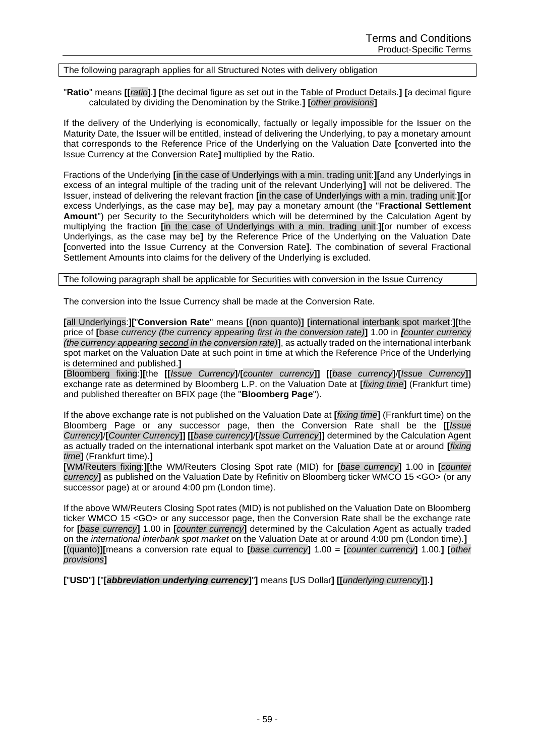# The following paragraph applies for all Structured Notes with delivery obligation

"**Ratio**" means **[[***ratio***]**.**] [**the decimal figure as set out in the Table of Product Details.**] [**a decimal figure calculated by dividing the Denomination by the Strike.**] [***other provisions***]**

If the delivery of the Underlying is economically, factually or legally impossible for the Issuer on the Maturity Date, the Issuer will be entitled, instead of delivering the Underlying, to pay a monetary amount that corresponds to the Reference Price of the Underlying on the Valuation Date **[**converted into the Issue Currency at the Conversion Rate**]** multiplied by the Ratio.

Fractions of the Underlying **[**in the case of Underlyings with a min. trading unit:**][**and any Underlyings in excess of an integral multiple of the trading unit of the relevant Underlying**]** will not be delivered. The Issuer, instead of delivering the relevant fraction **[**in the case of Underlyings with a min. trading unit:**][**or excess Underlyings, as the case may be**]**, may pay a monetary amount (the "**Fractional Settlement Amount**") per Security to the Securityholders which will be determined by the Calculation Agent by multiplying the fraction **[**in the case of Underlyings with a min. trading unit:**][**or number of excess Underlyings, as the case may be**]** by the Reference Price of the Underlying on the Valuation Date **[**converted into the Issue Currency at the Conversion Rate**]**. The combination of several Fractional Settlement Amounts into claims for the delivery of the Underlying is excluded.

The following paragraph shall be applicable for Securities with conversion in the Issue Currency

The conversion into the Issue Currency shall be made at the Conversion Rate.

**[**all Underlyings:**][**"**Conversion Rate**" means **[**(non quanto)**] [**international interbank spot market:**][**the price of **[**bas*e currency (the currency appearing first in the conversion rate)***]** 1.00 in *[counter currency (the currency appearing second in the conversion rate)***]**, as actually traded on the international interbank spot market on the Valuation Date at such point in time at which the Reference Price of the Underlying is determined and published.**]**

**[**Bloomberg fixing:**][**the **[[***Issue Currency***]**/**[***counter currency***]] [[***base currency***]**/**[***Issue Currency***]]** exchange rate as determined by Bloomberg L.P. on the Valuation Date at **[***fixing time***]** (Frankfurt time) and published thereafter on BFIX page (the "**Bloomberg Page**").

If the above exchange rate is not published on the Valuation Date at **[***fixing time***]** (Frankfurt time) on the Bloomberg Page or any successor page, then the Conversion Rate shall be the **[[***Issue Currency***]**/**[***Counter Currency***]] [[***base currency***]**/**[***Issue Currency***]]** determined by the Calculation Agent as actually traded on the international interbank spot market on the Valuation Date at or around **[***fixing time***]** (Frankfurt time).**]**

**[**WM/Reuters fixing:**][**the WM/Reuters Closing Spot rate (MID) for **[***base currency***]** 1.00 in **[***counter currency***]** as published on the Valuation Date by Refinitiv on Bloomberg ticker WMCO 15 <GO> (or any successor page) at or around 4:00 pm (London time).

If the above WM/Reuters Closing Spot rates (MID) is not published on the Valuation Date on Bloomberg ticker WMCO 15 <GO> or any successor page, then the Conversion Rate shall be the exchange rate for **[***base currency***]** 1.00 in **[***counter currency***]** determined by the Calculation Agent as actually traded on the *international interbank spot market* on the Valuation Date at or around 4:00 pm (London time).**] [**(quanto)**][**means a conversion rate equal to **[***base currency***]** 1.00 = **[***counter currency***]** 1.00.**] [***other provisions***]**

**[**"**USD**"**] [**"**[***abbreviation underlying currency***]**"**]** means **[**US Dollar**] [[***underlying currency***]]**.**]**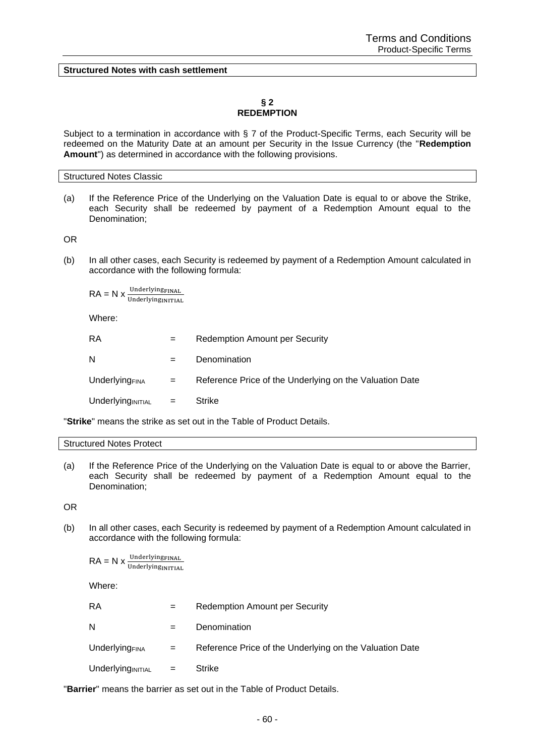**Structured Notes with cash settlement**

## **§ 2 REDEMPTION**

Subject to a termination in accordance with § 7 of the Product-Specific Terms, each Security will be redeemed on the Maturity Date at an amount per Security in the Issue Currency (the "**Redemption Amount**") as determined in accordance with the following provisions.

#### Structured Notes Classic

(a) If the Reference Price of the Underlying on the Valuation Date is equal to or above the Strike, each Security shall be redeemed by payment of a Redemption Amount equal to the Denomination;

OR

(b) In all other cases, each Security is redeemed by payment of a Redemption Amount calculated in accordance with the following formula:

 $RA = N \times \frac{Underlying **FINAL**$ UnderlyingINITIAL

Where:

| RA                         | $=$ | <b>Redemption Amount per Security</b>                   |
|----------------------------|-----|---------------------------------------------------------|
| N                          | $=$ | Denomination                                            |
| Underlying <sub>FINA</sub> | $=$ | Reference Price of the Underlying on the Valuation Date |
| $Underlying INITIAL =$     |     | Strike                                                  |

"**Strike**" means the strike as set out in the Table of Product Details.

#### Structured Notes Protect

(a) If the Reference Price of the Underlying on the Valuation Date is equal to or above the Barrier, each Security shall be redeemed by payment of a Redemption Amount equal to the Denomination;

OR

(b) In all other cases, each Security is redeemed by payment of a Redemption Amount calculated in accordance with the following formula:

 $\mathsf{RA} = \mathsf{N} \times \frac{\text{Underlying final}}{\text{Underlying initial}}$ 

Where:

| RA                     | $=$ | Redemption Amount per Security                          |
|------------------------|-----|---------------------------------------------------------|
| N                      |     | Denomination                                            |
| <b>Underlying</b> FINA | $=$ | Reference Price of the Underlying on the Valuation Date |
| $Underlying INITIAL =$ |     | Strike                                                  |

"**Barrier**" means the barrier as set out in the Table of Product Details.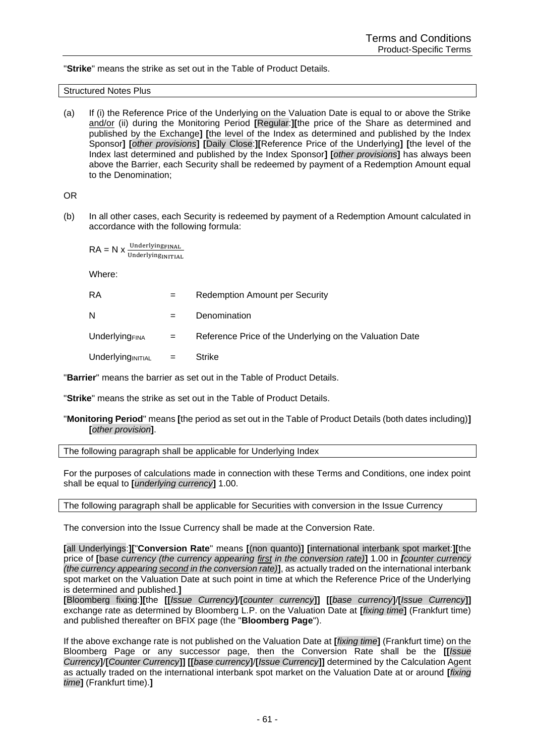"**Strike**" means the strike as set out in the Table of Product Details.

Structured Notes Plus

(a) If (i) the Reference Price of the Underlying on the Valuation Date is equal to or above the Strike and/or (ii) during the Monitoring Period **[**Regular:**][**the price of the Share as determined and published by the Exchange**] [**the level of the Index as determined and published by the Index Sponsor**] [***other provisions***] [**Daily Close:**][**Reference Price of the Underlying**] [**the level of the Index last determined and published by the Index Sponsor**] [***other provisions***]** has always been above the Barrier, each Security shall be redeemed by payment of a Redemption Amount equal to the Denomination;

OR

(b) In all other cases, each Security is redeemed by payment of a Redemption Amount calculated in accordance with the following formula:

$$
RA = N \times \frac{\text{Underlying}_{\text{FINAL}}}{\text{Underlying}_{\text{INITIAL}}}
$$

Where:

| RA                         | $=$ | <b>Redemption Amount per Security</b>                   |
|----------------------------|-----|---------------------------------------------------------|
| N                          |     | Denomination                                            |
| Underlying <sub>FINA</sub> | $=$ | Reference Price of the Underlying on the Valuation Date |
| Underlyingınıtıal          | $=$ | Strike                                                  |

"**Barrier**" means the barrier as set out in the Table of Product Details.

"**Strike**" means the strike as set out in the Table of Product Details.

"**Monitoring Period**" means **[**the period as set out in the Table of Product Details (both dates including)**] [***other provision***]**.

The following paragraph shall be applicable for Underlying Index

For the purposes of calculations made in connection with these Terms and Conditions, one index point shall be equal to **[***underlying currency***]** 1.00.

The following paragraph shall be applicable for Securities with conversion in the Issue Currency

The conversion into the Issue Currency shall be made at the Conversion Rate.

**[**all Underlyings:**][**"**Conversion Rate**" means **[**(non quanto)**] [**international interbank spot market:**][**the price of **[**bas*e currency (the currency appearing first in the conversion rate)***]** 1.00 in *[counter currency (the currency appearing second in the conversion rate)***]**, as actually traded on the international interbank spot market on the Valuation Date at such point in time at which the Reference Price of the Underlying is determined and published.**]**

**[**Bloomberg fixing:**][**the **[[***Issue Currency***]**/**[***counter currency***]] [[***base currency***]**/**[***Issue Currency***]]** exchange rate as determined by Bloomberg L.P. on the Valuation Date at **[***fixing time***]** (Frankfurt time) and published thereafter on BFIX page (the "**Bloomberg Page**").

If the above exchange rate is not published on the Valuation Date at **[***fixing time***]** (Frankfurt time) on the Bloomberg Page or any successor page, then the Conversion Rate shall be the **[[***Issue Currency***]**/**[***Counter Currency***]] [[***base currency***]**/**[***Issue Currency***]]** determined by the Calculation Agent as actually traded on the international interbank spot market on the Valuation Date at or around **[***fixing time***]** (Frankfurt time).**]**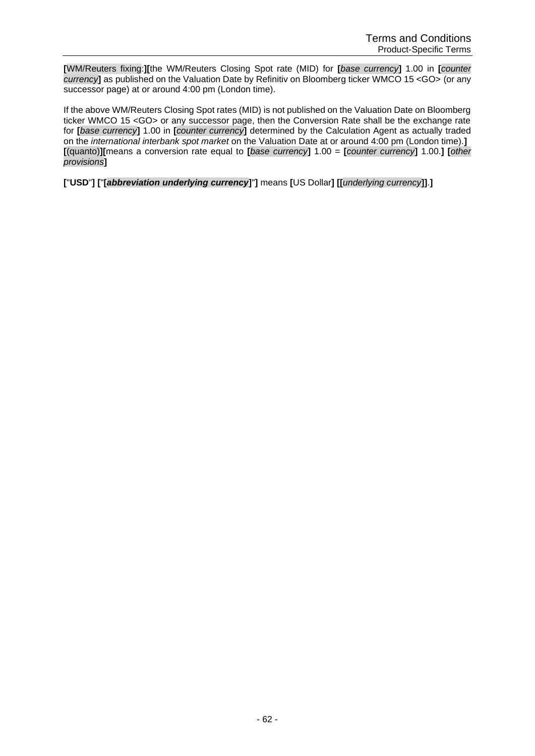**[**WM/Reuters fixing:**][**the WM/Reuters Closing Spot rate (MID) for **[***base currency***]** 1.00 in **[***counter currency***]** as published on the Valuation Date by Refinitiv on Bloomberg ticker WMCO 15 <GO> (or any successor page) at or around 4:00 pm (London time).

If the above WM/Reuters Closing Spot rates (MID) is not published on the Valuation Date on Bloomberg ticker WMCO 15 <GO> or any successor page, then the Conversion Rate shall be the exchange rate for **[***base currency***]** 1.00 in **[***counter currency***]** determined by the Calculation Agent as actually traded on the *international interbank spot market* on the Valuation Date at or around 4:00 pm (London time).**] [**(quanto)**][**means a conversion rate equal to **[***base currency***]** 1.00 = **[***counter currency***]** 1.00.**] [***other provisions***]**

**[**"**USD**"**] [**"**[***abbreviation underlying currency***]**"**]** means **[**US Dollar**] [[***underlying currency***]]**.**]**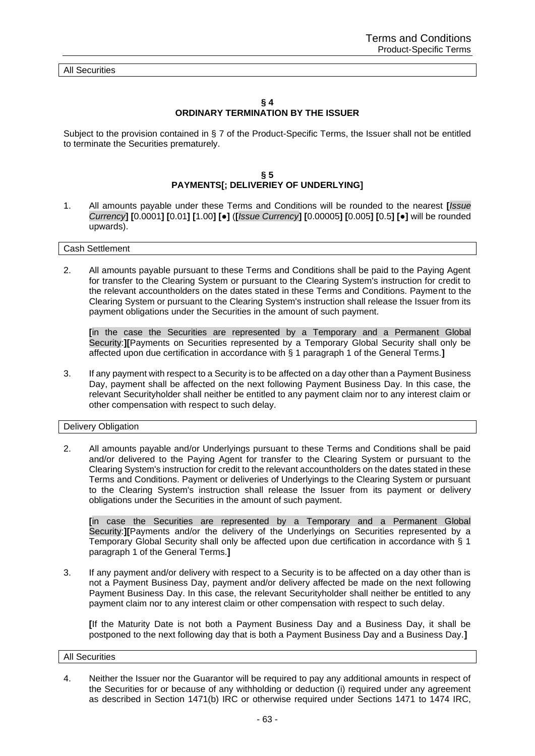All Securities

#### **§ 4 ORDINARY TERMINATION BY THE ISSUER**

Subject to the provision contained in § 7 of the Product-Specific Terms, the Issuer shall not be entitled to terminate the Securities prematurely.

# **§ 5 PAYMENTS[; DELIVERIEY OF UNDERLYING]**

1. All amounts payable under these Terms and Conditions will be rounded to the nearest **[***Issue*  Currency] [0.0001] [0.01] [1.00] [ $\bullet$ ] ([Issue Currency] [0.00005] [0.005] [0.5] [ $\bullet$ ] will be rounded upwards).

#### Cash Settlement

2. All amounts payable pursuant to these Terms and Conditions shall be paid to the Paying Agent for transfer to the Clearing System or pursuant to the Clearing System's instruction for credit to the relevant accountholders on the dates stated in these Terms and Conditions. Payment to the Clearing System or pursuant to the Clearing System's instruction shall release the Issuer from its payment obligations under the Securities in the amount of such payment.

**[**in the case the Securities are represented by a Temporary and a Permanent Global Security:**][**Payments on Securities represented by a Temporary Global Security shall only be affected upon due certification in accordance with § 1 paragraph 1 of the General Terms.**]**

3. If any payment with respect to a Security is to be affected on a day other than a Payment Business Day, payment shall be affected on the next following Payment Business Day. In this case, the relevant Securityholder shall neither be entitled to any payment claim nor to any interest claim or other compensation with respect to such delay.

## Delivery Obligation

2. All amounts payable and/or Underlyings pursuant to these Terms and Conditions shall be paid and/or delivered to the Paying Agent for transfer to the Clearing System or pursuant to the Clearing System's instruction for credit to the relevant accountholders on the dates stated in these Terms and Conditions. Payment or deliveries of Underlyings to the Clearing System or pursuant to the Clearing System's instruction shall release the Issuer from its payment or delivery obligations under the Securities in the amount of such payment.

**[**in case the Securities are represented by a Temporary and a Permanent Global Security:**][**Payments and/or the delivery of the Underlyings on Securities represented by a Temporary Global Security shall only be affected upon due certification in accordance with § 1 paragraph 1 of the General Terms.**]**

3. If any payment and/or delivery with respect to a Security is to be affected on a day other than is not a Payment Business Day, payment and/or delivery affected be made on the next following Payment Business Day. In this case, the relevant Securityholder shall neither be entitled to any payment claim nor to any interest claim or other compensation with respect to such delay.

**[**If the Maturity Date is not both a Payment Business Day and a Business Day, it shall be postponed to the next following day that is both a Payment Business Day and a Business Day.**]**

#### All Securities

4. Neither the Issuer nor the Guarantor will be required to pay any additional amounts in respect of the Securities for or because of any withholding or deduction (i) required under any agreement as described in Section 1471(b) IRC or otherwise required under Sections 1471 to 1474 IRC,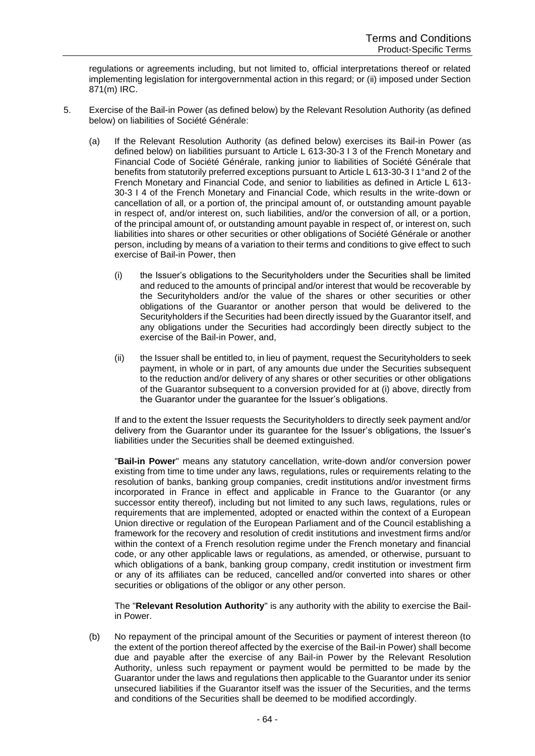regulations or agreements including, but not limited to, official interpretations thereof or related implementing legislation for intergovernmental action in this regard; or (ii) imposed under Section 871(m) IRC.

- 5. Exercise of the Bail-in Power (as defined below) by the Relevant Resolution Authority (as defined below) on liabilities of Société Générale:
	- (a) If the Relevant Resolution Authority (as defined below) exercises its Bail-in Power (as defined below) on liabilities pursuant to Article L 613-30-3 I 3 of the French Monetary and Financial Code of Société Générale, ranking junior to liabilities of Société Générale that benefits from statutorily preferred exceptions pursuant to Article L 613-30-3 I 1°and 2 of the French Monetary and Financial Code, and senior to liabilities as defined in Article L 613- 30-3 I 4 of the French Monetary and Financial Code, which results in the write-down or cancellation of all, or a portion of, the principal amount of, or outstanding amount payable in respect of, and/or interest on, such liabilities, and/or the conversion of all, or a portion, of the principal amount of, or outstanding amount payable in respect of, or interest on, such liabilities into shares or other securities or other obligations of Société Générale or another person, including by means of a variation to their terms and conditions to give effect to such exercise of Bail-in Power, then
		- (i) the Issuer's obligations to the Securityholders under the Securities shall be limited and reduced to the amounts of principal and/or interest that would be recoverable by the Securityholders and/or the value of the shares or other securities or other obligations of the Guarantor or another person that would be delivered to the Securityholders if the Securities had been directly issued by the Guarantor itself, and any obligations under the Securities had accordingly been directly subject to the exercise of the Bail-in Power, and,
		- (ii) the Issuer shall be entitled to, in lieu of payment, request the Securityholders to seek payment, in whole or in part, of any amounts due under the Securities subsequent to the reduction and/or delivery of any shares or other securities or other obligations of the Guarantor subsequent to a conversion provided for at (i) above, directly from the Guarantor under the guarantee for the Issuer's obligations.

If and to the extent the Issuer requests the Securityholders to directly seek payment and/or delivery from the Guarantor under its guarantee for the Issuer's obligations, the Issuer's liabilities under the Securities shall be deemed extinguished.

"**Bail-in Power**" means any statutory cancellation, write-down and/or conversion power existing from time to time under any laws, regulations, rules or requirements relating to the resolution of banks, banking group companies, credit institutions and/or investment firms incorporated in France in effect and applicable in France to the Guarantor (or any successor entity thereof), including but not limited to any such laws, regulations, rules or requirements that are implemented, adopted or enacted within the context of a European Union directive or regulation of the European Parliament and of the Council establishing a framework for the recovery and resolution of credit institutions and investment firms and/or within the context of a French resolution regime under the French monetary and financial code, or any other applicable laws or regulations, as amended, or otherwise, pursuant to which obligations of a bank, banking group company, credit institution or investment firm or any of its affiliates can be reduced, cancelled and/or converted into shares or other securities or obligations of the obligor or any other person.

The "**Relevant Resolution Authority**" is any authority with the ability to exercise the Bailin Power.

(b) No repayment of the principal amount of the Securities or payment of interest thereon (to the extent of the portion thereof affected by the exercise of the Bail-in Power) shall become due and payable after the exercise of any Bail-in Power by the Relevant Resolution Authority, unless such repayment or payment would be permitted to be made by the Guarantor under the laws and regulations then applicable to the Guarantor under its senior unsecured liabilities if the Guarantor itself was the issuer of the Securities, and the terms and conditions of the Securities shall be deemed to be modified accordingly.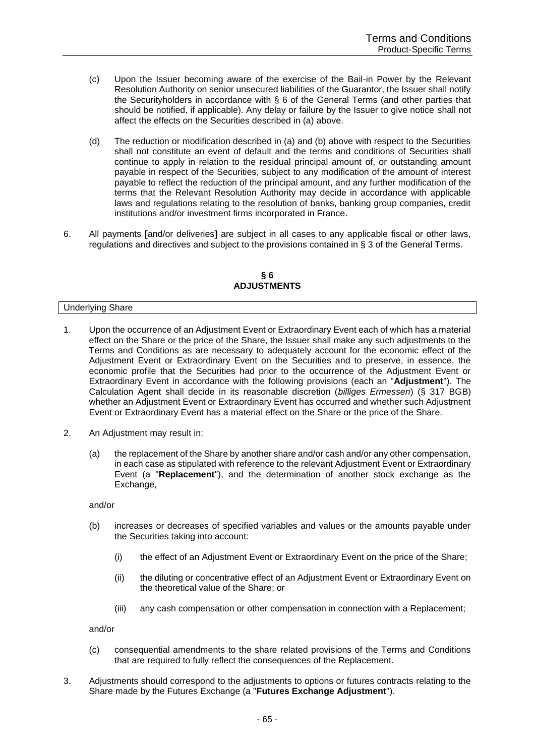- (c) Upon the Issuer becoming aware of the exercise of the Bail-in Power by the Relevant Resolution Authority on senior unsecured liabilities of the Guarantor, the Issuer shall notify the Securityholders in accordance with § 6 of the General Terms (and other parties that should be notified, if applicable). Any delay or failure by the Issuer to give notice shall not affect the effects on the Securities described in (a) above.
- (d) The reduction or modification described in (a) and (b) above with respect to the Securities shall not constitute an event of default and the terms and conditions of Securities shall continue to apply in relation to the residual principal amount of, or outstanding amount payable in respect of the Securities, subject to any modification of the amount of interest payable to reflect the reduction of the principal amount, and any further modification of the terms that the Relevant Resolution Authority may decide in accordance with applicable laws and regulations relating to the resolution of banks, banking group companies, credit institutions and/or investment firms incorporated in France.
- 6. All payments **[**and/or deliveries**]** are subject in all cases to any applicable fiscal or other laws, regulations and directives and subject to the provisions contained in § 3 of the General Terms.

#### **§ 6 ADJUSTMENTS**

### Underlying Share

- 1. Upon the occurrence of an Adjustment Event or Extraordinary Event each of which has a material effect on the Share or the price of the Share, the Issuer shall make any such adjustments to the Terms and Conditions as are necessary to adequately account for the economic effect of the Adjustment Event or Extraordinary Event on the Securities and to preserve, in essence, the economic profile that the Securities had prior to the occurrence of the Adjustment Event or Extraordinary Event in accordance with the following provisions (each an "**Adjustment**"). The Calculation Agent shall decide in its reasonable discretion (*billiges Ermessen*) (§ 317 BGB) whether an Adjustment Event or Extraordinary Event has occurred and whether such Adjustment Event or Extraordinary Event has a material effect on the Share or the price of the Share.
- 2. An Adjustment may result in:
	- (a) the replacement of the Share by another share and/or cash and/or any other compensation, in each case as stipulated with reference to the relevant Adjustment Event or Extraordinary Event (a "**Replacement**"), and the determination of another stock exchange as the Exchange,

and/or

- (b) increases or decreases of specified variables and values or the amounts payable under the Securities taking into account:
	- (i) the effect of an Adjustment Event or Extraordinary Event on the price of the Share;
	- (ii) the diluting or concentrative effect of an Adjustment Event or Extraordinary Event on the theoretical value of the Share; or
	- (iii) any cash compensation or other compensation in connection with a Replacement;

and/or

- (c) consequential amendments to the share related provisions of the Terms and Conditions that are required to fully reflect the consequences of the Replacement.
- 3. Adjustments should correspond to the adjustments to options or futures contracts relating to the Share made by the Futures Exchange (a "**Futures Exchange Adjustment**").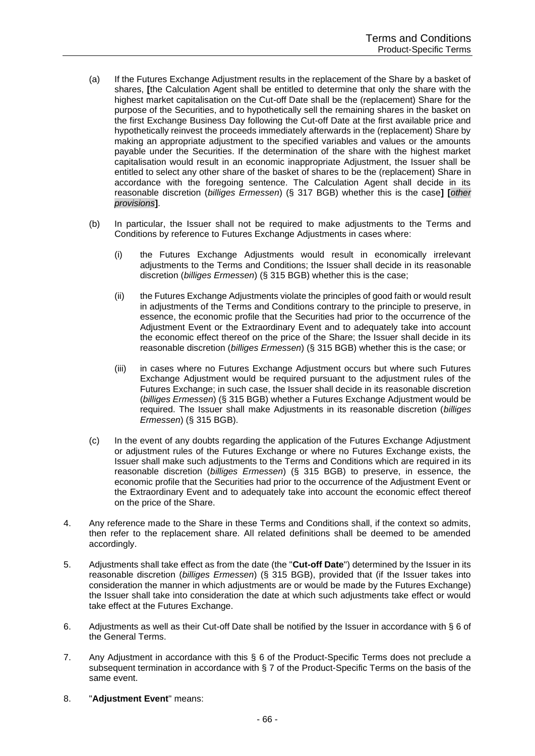- (a) If the Futures Exchange Adjustment results in the replacement of the Share by a basket of shares, **[**the Calculation Agent shall be entitled to determine that only the share with the highest market capitalisation on the Cut-off Date shall be the (replacement) Share for the purpose of the Securities, and to hypothetically sell the remaining shares in the basket on the first Exchange Business Day following the Cut-off Date at the first available price and hypothetically reinvest the proceeds immediately afterwards in the (replacement) Share by making an appropriate adjustment to the specified variables and values or the amounts payable under the Securities. If the determination of the share with the highest market capitalisation would result in an economic inappropriate Adjustment, the Issuer shall be entitled to select any other share of the basket of shares to be the (replacement) Share in accordance with the foregoing sentence. The Calculation Agent shall decide in its reasonable discretion (*billiges Ermessen*) (§ 317 BGB) whether this is the case**] [***other provisions***]**.
- (b) In particular, the Issuer shall not be required to make adjustments to the Terms and Conditions by reference to Futures Exchange Adjustments in cases where:
	- (i) the Futures Exchange Adjustments would result in economically irrelevant adjustments to the Terms and Conditions; the Issuer shall decide in its reasonable discretion (*billiges Ermessen*) (§ 315 BGB) whether this is the case;
	- (ii) the Futures Exchange Adjustments violate the principles of good faith or would result in adjustments of the Terms and Conditions contrary to the principle to preserve, in essence, the economic profile that the Securities had prior to the occurrence of the Adjustment Event or the Extraordinary Event and to adequately take into account the economic effect thereof on the price of the Share; the Issuer shall decide in its reasonable discretion (*billiges Ermessen*) (§ 315 BGB) whether this is the case; or
	- (iii) in cases where no Futures Exchange Adjustment occurs but where such Futures Exchange Adjustment would be required pursuant to the adjustment rules of the Futures Exchange; in such case, the Issuer shall decide in its reasonable discretion (*billiges Ermessen*) (§ 315 BGB) whether a Futures Exchange Adjustment would be required. The Issuer shall make Adjustments in its reasonable discretion (*billiges Ermessen*) (§ 315 BGB).
- (c) In the event of any doubts regarding the application of the Futures Exchange Adjustment or adjustment rules of the Futures Exchange or where no Futures Exchange exists, the Issuer shall make such adjustments to the Terms and Conditions which are required in its reasonable discretion (*billiges Ermessen*) (§ 315 BGB) to preserve, in essence, the economic profile that the Securities had prior to the occurrence of the Adjustment Event or the Extraordinary Event and to adequately take into account the economic effect thereof on the price of the Share.
- 4. Any reference made to the Share in these Terms and Conditions shall, if the context so admits, then refer to the replacement share. All related definitions shall be deemed to be amended accordingly.
- 5. Adjustments shall take effect as from the date (the "**Cut-off Date**") determined by the Issuer in its reasonable discretion (*billiges Ermessen*) (§ 315 BGB), provided that (if the Issuer takes into consideration the manner in which adjustments are or would be made by the Futures Exchange) the Issuer shall take into consideration the date at which such adjustments take effect or would take effect at the Futures Exchange.
- 6. Adjustments as well as their Cut-off Date shall be notified by the Issuer in accordance with § 6 of the General Terms.
- 7. Any Adjustment in accordance with this § 6 of the Product-Specific Terms does not preclude a subsequent termination in accordance with § 7 of the Product-Specific Terms on the basis of the same event.
- 8. "**Adjustment Event**" means: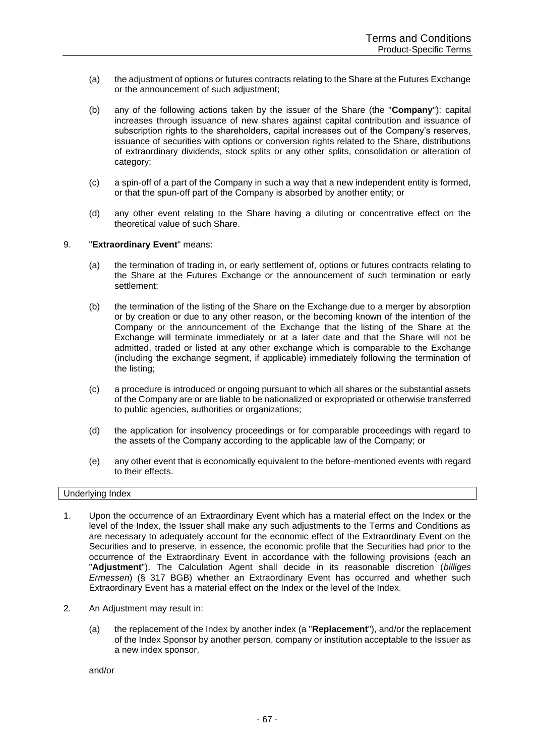- (a) the adjustment of options or futures contracts relating to the Share at the Futures Exchange or the announcement of such adjustment;
- (b) any of the following actions taken by the issuer of the Share (the "**Company**"): capital increases through issuance of new shares against capital contribution and issuance of subscription rights to the shareholders, capital increases out of the Company's reserves, issuance of securities with options or conversion rights related to the Share, distributions of extraordinary dividends, stock splits or any other splits, consolidation or alteration of category;
- (c) a spin-off of a part of the Company in such a way that a new independent entity is formed, or that the spun-off part of the Company is absorbed by another entity; or
- (d) any other event relating to the Share having a diluting or concentrative effect on the theoretical value of such Share.

# 9. "**Extraordinary Event**" means:

- (a) the termination of trading in, or early settlement of, options or futures contracts relating to the Share at the Futures Exchange or the announcement of such termination or early settlement;
- (b) the termination of the listing of the Share on the Exchange due to a merger by absorption or by creation or due to any other reason, or the becoming known of the intention of the Company or the announcement of the Exchange that the listing of the Share at the Exchange will terminate immediately or at a later date and that the Share will not be admitted, traded or listed at any other exchange which is comparable to the Exchange (including the exchange segment, if applicable) immediately following the termination of the listing;
- (c) a procedure is introduced or ongoing pursuant to which all shares or the substantial assets of the Company are or are liable to be nationalized or expropriated or otherwise transferred to public agencies, authorities or organizations;
- (d) the application for insolvency proceedings or for comparable proceedings with regard to the assets of the Company according to the applicable law of the Company; or
- (e) any other event that is economically equivalent to the before-mentioned events with regard to their effects.

### Underlying Index

- 1. Upon the occurrence of an Extraordinary Event which has a material effect on the Index or the level of the Index, the Issuer shall make any such adjustments to the Terms and Conditions as are necessary to adequately account for the economic effect of the Extraordinary Event on the Securities and to preserve, in essence, the economic profile that the Securities had prior to the occurrence of the Extraordinary Event in accordance with the following provisions (each an "**Adjustment**"). The Calculation Agent shall decide in its reasonable discretion (*billiges Ermessen*) (§ 317 BGB) whether an Extraordinary Event has occurred and whether such Extraordinary Event has a material effect on the Index or the level of the Index.
- 2. An Adjustment may result in:
	- (a) the replacement of the Index by another index (a "**Replacement**"), and/or the replacement of the Index Sponsor by another person, company or institution acceptable to the Issuer as a new index sponsor,

and/or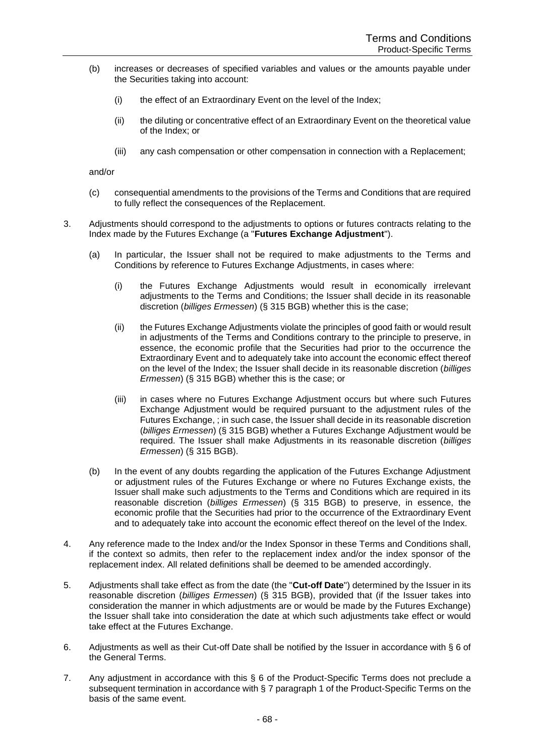- (b) increases or decreases of specified variables and values or the amounts payable under the Securities taking into account:
	- (i) the effect of an Extraordinary Event on the level of the Index;
	- (ii) the diluting or concentrative effect of an Extraordinary Event on the theoretical value of the Index; or
	- (iii) any cash compensation or other compensation in connection with a Replacement;

and/or

- (c) consequential amendments to the provisions of the Terms and Conditions that are required to fully reflect the consequences of the Replacement.
- 3. Adjustments should correspond to the adjustments to options or futures contracts relating to the Index made by the Futures Exchange (a "**Futures Exchange Adjustment**").
	- (a) In particular, the Issuer shall not be required to make adjustments to the Terms and Conditions by reference to Futures Exchange Adjustments, in cases where:
		- (i) the Futures Exchange Adjustments would result in economically irrelevant adjustments to the Terms and Conditions; the Issuer shall decide in its reasonable discretion (*billiges Ermessen*) (§ 315 BGB) whether this is the case;
		- (ii) the Futures Exchange Adjustments violate the principles of good faith or would result in adjustments of the Terms and Conditions contrary to the principle to preserve, in essence, the economic profile that the Securities had prior to the occurrence the Extraordinary Event and to adequately take into account the economic effect thereof on the level of the Index; the Issuer shall decide in its reasonable discretion (*billiges Ermessen*) (§ 315 BGB) whether this is the case; or
		- (iii) in cases where no Futures Exchange Adjustment occurs but where such Futures Exchange Adjustment would be required pursuant to the adjustment rules of the Futures Exchange, ; in such case, the Issuer shall decide in its reasonable discretion (*billiges Ermessen*) (§ 315 BGB) whether a Futures Exchange Adjustment would be required. The Issuer shall make Adjustments in its reasonable discretion (*billiges Ermessen*) (§ 315 BGB).
	- (b) In the event of any doubts regarding the application of the Futures Exchange Adjustment or adjustment rules of the Futures Exchange or where no Futures Exchange exists, the Issuer shall make such adjustments to the Terms and Conditions which are required in its reasonable discretion (*billiges Ermessen*) (§ 315 BGB) to preserve, in essence, the economic profile that the Securities had prior to the occurrence of the Extraordinary Event and to adequately take into account the economic effect thereof on the level of the Index.
- 4. Any reference made to the Index and/or the Index Sponsor in these Terms and Conditions shall, if the context so admits, then refer to the replacement index and/or the index sponsor of the replacement index. All related definitions shall be deemed to be amended accordingly.
- 5. Adjustments shall take effect as from the date (the "**Cut-off Date**") determined by the Issuer in its reasonable discretion (*billiges Ermessen*) (§ 315 BGB), provided that (if the Issuer takes into consideration the manner in which adjustments are or would be made by the Futures Exchange) the Issuer shall take into consideration the date at which such adjustments take effect or would take effect at the Futures Exchange.
- 6. Adjustments as well as their Cut-off Date shall be notified by the Issuer in accordance with § 6 of the General Terms.
- 7. Any adjustment in accordance with this § 6 of the Product-Specific Terms does not preclude a subsequent termination in accordance with § 7 paragraph 1 of the Product-Specific Terms on the basis of the same event.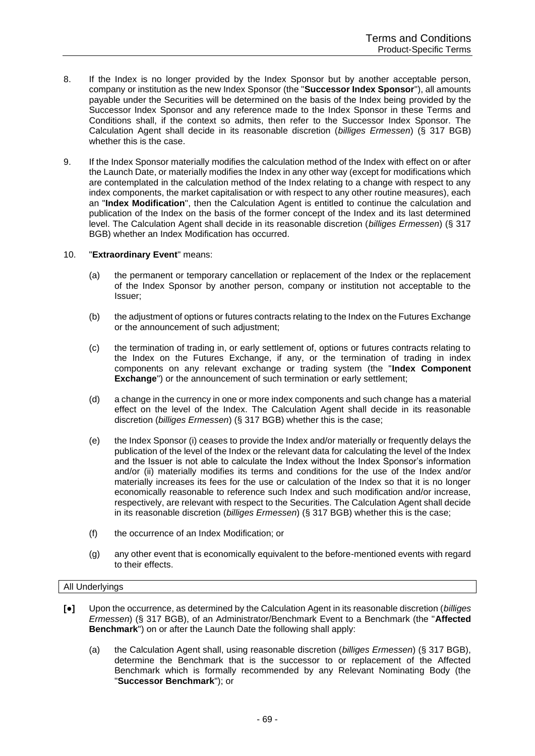- 8. If the Index is no longer provided by the Index Sponsor but by another acceptable person, company or institution as the new Index Sponsor (the "**Successor Index Sponsor**"), all amounts payable under the Securities will be determined on the basis of the Index being provided by the Successor Index Sponsor and any reference made to the Index Sponsor in these Terms and Conditions shall, if the context so admits, then refer to the Successor Index Sponsor. The Calculation Agent shall decide in its reasonable discretion (*billiges Ermessen*) (§ 317 BGB) whether this is the case.
- 9. If the Index Sponsor materially modifies the calculation method of the Index with effect on or after the Launch Date, or materially modifies the Index in any other way (except for modifications which are contemplated in the calculation method of the Index relating to a change with respect to any index components, the market capitalisation or with respect to any other routine measures), each an "**Index Modification**", then the Calculation Agent is entitled to continue the calculation and publication of the Index on the basis of the former concept of the Index and its last determined level. The Calculation Agent shall decide in its reasonable discretion (*billiges Ermessen*) (§ 317 BGB) whether an Index Modification has occurred.

# 10. "**Extraordinary Event**" means:

- (a) the permanent or temporary cancellation or replacement of the Index or the replacement of the Index Sponsor by another person, company or institution not acceptable to the Issuer;
- (b) the adjustment of options or futures contracts relating to the Index on the Futures Exchange or the announcement of such adjustment;
- (c) the termination of trading in, or early settlement of, options or futures contracts relating to the Index on the Futures Exchange, if any, or the termination of trading in index components on any relevant exchange or trading system (the "**Index Component Exchange**") or the announcement of such termination or early settlement;
- (d) a change in the currency in one or more index components and such change has a material effect on the level of the Index. The Calculation Agent shall decide in its reasonable discretion (*billiges Ermessen*) (§ 317 BGB) whether this is the case;
- (e) the Index Sponsor (i) ceases to provide the Index and/or materially or frequently delays the publication of the level of the Index or the relevant data for calculating the level of the Index and the Issuer is not able to calculate the Index without the Index Sponsor's information and/or (ii) materially modifies its terms and conditions for the use of the Index and/or materially increases its fees for the use or calculation of the Index so that it is no longer economically reasonable to reference such Index and such modification and/or increase, respectively, are relevant with respect to the Securities. The Calculation Agent shall decide in its reasonable discretion (*billiges Ermessen*) (§ 317 BGB) whether this is the case;
- (f) the occurrence of an Index Modification; or
- (g) any other event that is economically equivalent to the before-mentioned events with regard to their effects.

### All Underlyings

- **[**●**]** Upon the occurrence, as determined by the Calculation Agent in its reasonable discretion (*billiges Ermessen*) (§ 317 BGB), of an Administrator/Benchmark Event to a Benchmark (the "**Affected Benchmark**") on or after the Launch Date the following shall apply:
	- (a) the Calculation Agent shall, using reasonable discretion (*billiges Ermessen*) (§ 317 BGB), determine the Benchmark that is the successor to or replacement of the Affected Benchmark which is formally recommended by any Relevant Nominating Body (the "**Successor Benchmark**"); or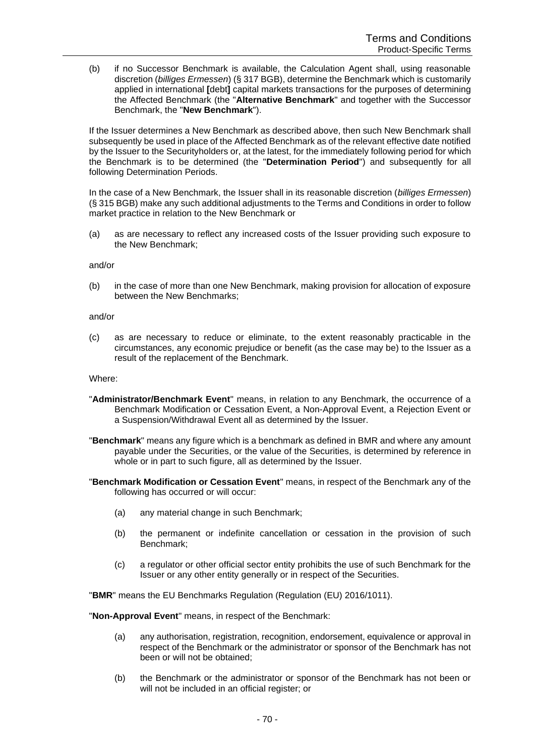(b) if no Successor Benchmark is available, the Calculation Agent shall, using reasonable discretion (*billiges Ermessen*) (§ 317 BGB), determine the Benchmark which is customarily applied in international **[**debt**]** capital markets transactions for the purposes of determining the Affected Benchmark (the "**Alternative Benchmark**" and together with the Successor Benchmark, the "**New Benchmark**").

If the Issuer determines a New Benchmark as described above, then such New Benchmark shall subsequently be used in place of the Affected Benchmark as of the relevant effective date notified by the Issuer to the Securityholders or, at the latest, for the immediately following period for which the Benchmark is to be determined (the "**Determination Period**") and subsequently for all following Determination Periods.

In the case of a New Benchmark, the Issuer shall in its reasonable discretion (*billiges Ermessen*) (§ 315 BGB) make any such additional adjustments to the Terms and Conditions in order to follow market practice in relation to the New Benchmark or

(a) as are necessary to reflect any increased costs of the Issuer providing such exposure to the New Benchmark;

#### and/or

(b) in the case of more than one New Benchmark, making provision for allocation of exposure between the New Benchmarks;

#### and/or

(c) as are necessary to reduce or eliminate, to the extent reasonably practicable in the circumstances, any economic prejudice or benefit (as the case may be) to the Issuer as a result of the replacement of the Benchmark.

## Where:

- "**Administrator/Benchmark Event**" means, in relation to any Benchmark, the occurrence of a Benchmark Modification or Cessation Event, a Non-Approval Event, a Rejection Event or a Suspension/Withdrawal Event all as determined by the Issuer.
- "**Benchmark**" means any figure which is a benchmark as defined in BMR and where any amount payable under the Securities, or the value of the Securities, is determined by reference in whole or in part to such figure, all as determined by the Issuer.
- "**Benchmark Modification or Cessation Event**" means, in respect of the Benchmark any of the following has occurred or will occur:
	- (a) any material change in such Benchmark;
	- (b) the permanent or indefinite cancellation or cessation in the provision of such Benchmark;
	- (c) a regulator or other official sector entity prohibits the use of such Benchmark for the Issuer or any other entity generally or in respect of the Securities.

"**BMR**" means the EU Benchmarks Regulation (Regulation (EU) 2016/1011).

"**Non-Approval Event**" means, in respect of the Benchmark:

- (a) any authorisation, registration, recognition, endorsement, equivalence or approval in respect of the Benchmark or the administrator or sponsor of the Benchmark has not been or will not be obtained;
- (b) the Benchmark or the administrator or sponsor of the Benchmark has not been or will not be included in an official register; or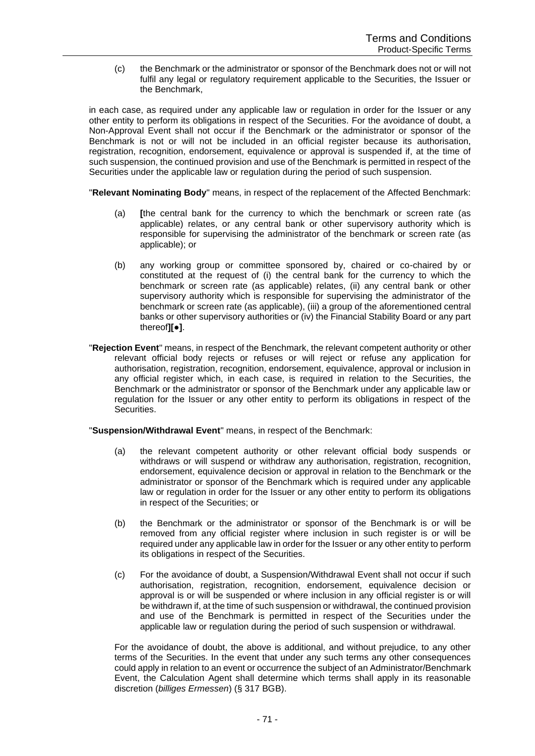(c) the Benchmark or the administrator or sponsor of the Benchmark does not or will not fulfil any legal or regulatory requirement applicable to the Securities, the Issuer or the Benchmark,

in each case, as required under any applicable law or regulation in order for the Issuer or any other entity to perform its obligations in respect of the Securities. For the avoidance of doubt, a Non-Approval Event shall not occur if the Benchmark or the administrator or sponsor of the Benchmark is not or will not be included in an official register because its authorisation, registration, recognition, endorsement, equivalence or approval is suspended if, at the time of such suspension, the continued provision and use of the Benchmark is permitted in respect of the Securities under the applicable law or regulation during the period of such suspension.

"**Relevant Nominating Body**" means, in respect of the replacement of the Affected Benchmark:

- (a) **[**the central bank for the currency to which the benchmark or screen rate (as applicable) relates, or any central bank or other supervisory authority which is responsible for supervising the administrator of the benchmark or screen rate (as applicable); or
- (b) any working group or committee sponsored by, chaired or co-chaired by or constituted at the request of (i) the central bank for the currency to which the benchmark or screen rate (as applicable) relates, (ii) any central bank or other supervisory authority which is responsible for supervising the administrator of the benchmark or screen rate (as applicable), (iii) a group of the aforementioned central banks or other supervisory authorities or (iv) the Financial Stability Board or any part thereof**][**●**]**.
- "**Rejection Event**" means, in respect of the Benchmark, the relevant competent authority or other relevant official body rejects or refuses or will reject or refuse any application for authorisation, registration, recognition, endorsement, equivalence, approval or inclusion in any official register which, in each case, is required in relation to the Securities, the Benchmark or the administrator or sponsor of the Benchmark under any applicable law or regulation for the Issuer or any other entity to perform its obligations in respect of the Securities.

"**Suspension/Withdrawal Event**" means, in respect of the Benchmark:

- (a) the relevant competent authority or other relevant official body suspends or withdraws or will suspend or withdraw any authorisation, registration, recognition, endorsement, equivalence decision or approval in relation to the Benchmark or the administrator or sponsor of the Benchmark which is required under any applicable law or regulation in order for the Issuer or any other entity to perform its obligations in respect of the Securities; or
- (b) the Benchmark or the administrator or sponsor of the Benchmark is or will be removed from any official register where inclusion in such register is or will be required under any applicable law in order for the Issuer or any other entity to perform its obligations in respect of the Securities.
- (c) For the avoidance of doubt, a Suspension/Withdrawal Event shall not occur if such authorisation, registration, recognition, endorsement, equivalence decision or approval is or will be suspended or where inclusion in any official register is or will be withdrawn if, at the time of such suspension or withdrawal, the continued provision and use of the Benchmark is permitted in respect of the Securities under the applicable law or regulation during the period of such suspension or withdrawal.

For the avoidance of doubt, the above is additional, and without prejudice, to any other terms of the Securities. In the event that under any such terms any other consequences could apply in relation to an event or occurrence the subject of an Administrator/Benchmark Event, the Calculation Agent shall determine which terms shall apply in its reasonable discretion (*billiges Ermessen*) (§ 317 BGB).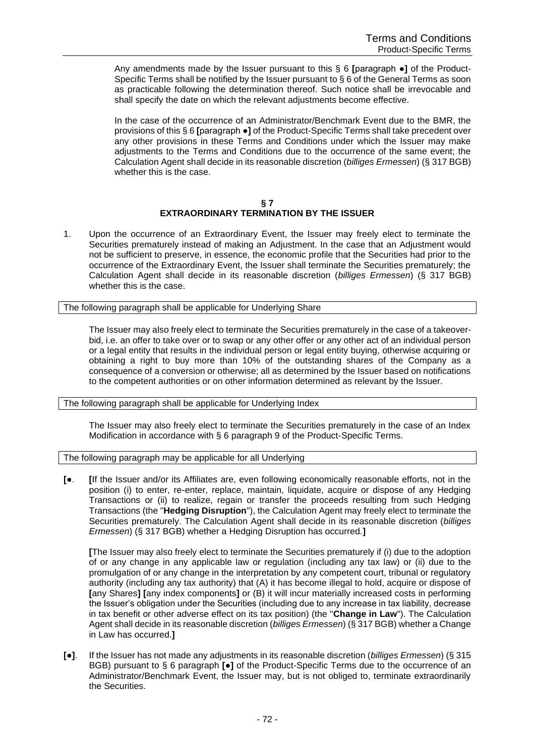Any amendments made by the Issuer pursuant to this § 6 **[**paragraph ●**]** of the Product-Specific Terms shall be notified by the Issuer pursuant to § 6 of the General Terms as soon as practicable following the determination thereof. Such notice shall be irrevocable and shall specify the date on which the relevant adjustments become effective.

In the case of the occurrence of an Administrator/Benchmark Event due to the BMR, the provisions of this § 6 **[**paragraph ●**]** of the Product-Specific Terms shall take precedent over any other provisions in these Terms and Conditions under which the Issuer may make adjustments to the Terms and Conditions due to the occurrence of the same event; the Calculation Agent shall decide in its reasonable discretion (*billiges Ermessen*) (§ 317 BGB) whether this is the case.

#### **§ 7 EXTRAORDINARY TERMINATION BY THE ISSUER**

1. Upon the occurrence of an Extraordinary Event, the Issuer may freely elect to terminate the Securities prematurely instead of making an Adjustment. In the case that an Adjustment would not be sufficient to preserve, in essence, the economic profile that the Securities had prior to the occurrence of the Extraordinary Event, the Issuer shall terminate the Securities prematurely; the Calculation Agent shall decide in its reasonable discretion (*billiges Ermessen*) (§ 317 BGB) whether this is the case.

The following paragraph shall be applicable for Underlying Share

The Issuer may also freely elect to terminate the Securities prematurely in the case of a takeoverbid, i.e. an offer to take over or to swap or any other offer or any other act of an individual person or a legal entity that results in the individual person or legal entity buying, otherwise acquiring or obtaining a right to buy more than 10% of the outstanding shares of the Company as a consequence of a conversion or otherwise; all as determined by the Issuer based on notifications to the competent authorities or on other information determined as relevant by the Issuer.

The following paragraph shall be applicable for Underlying Index

The Issuer may also freely elect to terminate the Securities prematurely in the case of an Index Modification in accordance with § 6 paragraph 9 of the Product-Specific Terms.

The following paragraph may be applicable for all Underlying

**[**●. **[**If the Issuer and/or its Affiliates are, even following economically reasonable efforts, not in the position (i) to enter, re-enter, replace, maintain, liquidate, acquire or dispose of any Hedging Transactions or (ii) to realize, regain or transfer the proceeds resulting from such Hedging Transactions (the "**Hedging Disruption**"), the Calculation Agent may freely elect to terminate the Securities prematurely. The Calculation Agent shall decide in its reasonable discretion (*billiges Ermessen*) (§ 317 BGB) whether a Hedging Disruption has occurred.**]**

**[**The Issuer may also freely elect to terminate the Securities prematurely if (i) due to the adoption of or any change in any applicable law or regulation (including any tax law) or (ii) due to the promulgation of or any change in the interpretation by any competent court, tribunal or regulatory authority (including any tax authority) that (A) it has become illegal to hold, acquire or dispose of **[**any Shares**] [**any index components**]** or (B) it will incur materially increased costs in performing the Issuer's obligation under the Securities (including due to any increase in tax liability, decrease in tax benefit or other adverse effect on its tax position) (the "**Change in Law**"). The Calculation Agent shall decide in its reasonable discretion (*billiges Ermessen*) (§ 317 BGB) whether a Change in Law has occurred.**]**

**[**●**]**. If the Issuer has not made any adjustments in its reasonable discretion (*billiges Ermessen*) (§ 315 BGB) pursuant to § 6 paragraph **[**●**]** of the Product-Specific Terms due to the occurrence of an Administrator/Benchmark Event, the Issuer may, but is not obliged to, terminate extraordinarily the Securities.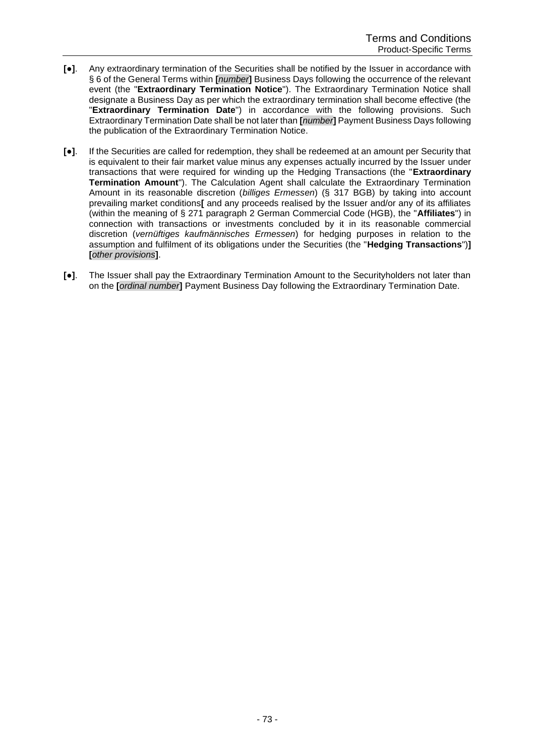- **[**●**]**. Any extraordinary termination of the Securities shall be notified by the Issuer in accordance with § 6 of the General Terms within **[***number***]** Business Days following the occurrence of the relevant event (the "**Extraordinary Termination Notice**"). The Extraordinary Termination Notice shall designate a Business Day as per which the extraordinary termination shall become effective (the "**Extraordinary Termination Date**") in accordance with the following provisions. Such Extraordinary Termination Date shall be not later than **[***number***]** Payment Business Days following the publication of the Extraordinary Termination Notice.
- **[**●**]**. If the Securities are called for redemption, they shall be redeemed at an amount per Security that is equivalent to their fair market value minus any expenses actually incurred by the Issuer under transactions that were required for winding up the Hedging Transactions (the "**Extraordinary Termination Amount**"). The Calculation Agent shall calculate the Extraordinary Termination Amount in its reasonable discretion (*billiges Ermessen*) (§ 317 BGB) by taking into account prevailing market conditions**[** and any proceeds realised by the Issuer and/or any of its affiliates (within the meaning of § 271 paragraph 2 German Commercial Code (HGB), the "**Affiliates**") in connection with transactions or investments concluded by it in its reasonable commercial discretion (*vernüftiges kaufmännisches Ermessen*) for hedging purposes in relation to the assumption and fulfilment of its obligations under the Securities (the "**Hedging Transactions**")**] [***other provisions***]**.
- **[**●**]**. The Issuer shall pay the Extraordinary Termination Amount to the Securityholders not later than on the **[***ordinal number***]** Payment Business Day following the Extraordinary Termination Date.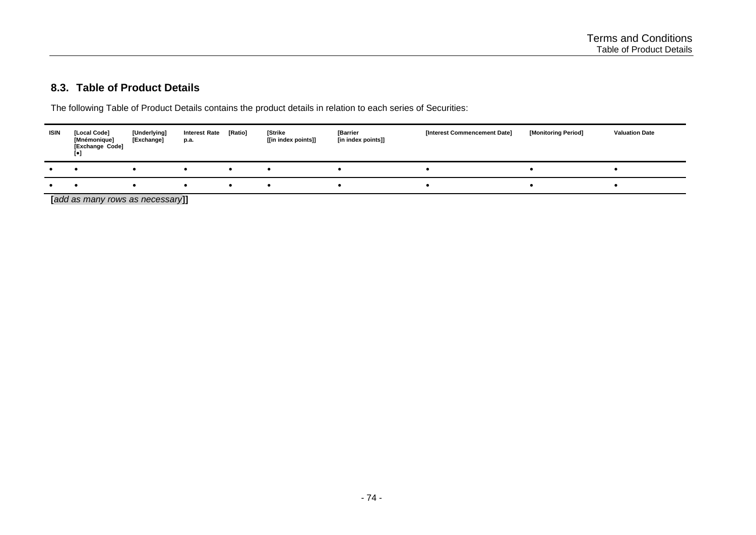#### <span id="page-73-0"></span>**8.3. Table of Product Details**

The following Table of Product Details contains the product details in relation to each series of Securities:

| ISIN | [Local Code]<br>[Mnémonique]<br>[Exchange Code]<br>[•] | [Underlying]<br>[Exchange] | <b>Interest Rate</b><br>p.a. | [Ratio] | <b>Strike</b><br>[[in index points]] | <b>[Barrier</b><br>[in index points]] | [Interest Commencement Date] | [Monitoring Period] | <b>Valuation Date</b> |
|------|--------------------------------------------------------|----------------------------|------------------------------|---------|--------------------------------------|---------------------------------------|------------------------------|---------------------|-----------------------|
|      |                                                        |                            |                              |         |                                      |                                       |                              |                     |                       |
|      |                                                        |                            |                              |         |                                      |                                       |                              |                     |                       |

**[***add as many rows as necessary***]]**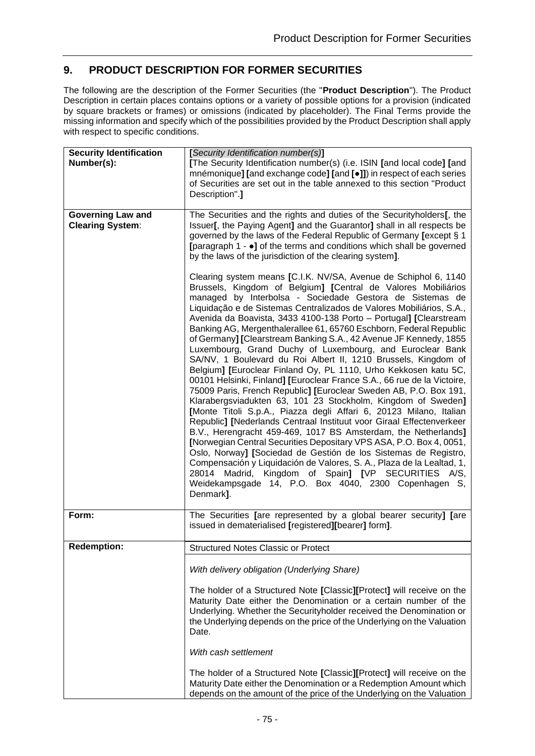# <span id="page-74-0"></span>**9. PRODUCT DESCRIPTION FOR FORMER SECURITIES**

The following are the description of the Former Securities (the "**Product Description**"). The Product Description in certain places contains options or a variety of possible options for a provision (indicated by square brackets or frames) or omissions (indicated by placeholder). The Final Terms provide the missing information and specify which of the possibilities provided by the Product Description shall apply with respect to specific conditions.

| <b>Security Identification</b><br>Number(s):        | [Security Identification number(s)]<br>[The Security Identification number(s) (i.e. ISIN [and local code] [and<br>mnémonique] [and exchange code] [and [•]]) in respect of each series<br>of Securities are set out in the table annexed to this section "Product<br>Description".]                                                                                                                                                                                                                                                                                                                                                                                                                                                                                                                                                                                                                                                                                                                                                                                                                                                                                                                                                                                                                                                                                                                                                                                   |
|-----------------------------------------------------|-----------------------------------------------------------------------------------------------------------------------------------------------------------------------------------------------------------------------------------------------------------------------------------------------------------------------------------------------------------------------------------------------------------------------------------------------------------------------------------------------------------------------------------------------------------------------------------------------------------------------------------------------------------------------------------------------------------------------------------------------------------------------------------------------------------------------------------------------------------------------------------------------------------------------------------------------------------------------------------------------------------------------------------------------------------------------------------------------------------------------------------------------------------------------------------------------------------------------------------------------------------------------------------------------------------------------------------------------------------------------------------------------------------------------------------------------------------------------|
| <b>Governing Law and</b><br><b>Clearing System:</b> | The Securities and the rights and duties of the Securityholders[, the<br>Issuer[, the Paying Agent] and the Guarantor] shall in all respects be<br>governed by the laws of the Federal Republic of Germany [except § 1<br>[paragraph 1 - $\bullet$ ] of the terms and conditions which shall be governed<br>by the laws of the jurisdiction of the clearing system].                                                                                                                                                                                                                                                                                                                                                                                                                                                                                                                                                                                                                                                                                                                                                                                                                                                                                                                                                                                                                                                                                                  |
|                                                     | Clearing system means [C.I.K. NV/SA, Avenue de Schiphol 6, 1140<br>Brussels, Kingdom of Belgium] [Central de Valores Mobiliários<br>managed by Interbolsa - Sociedade Gestora de Sistemas de<br>Liquidação e de Sistemas Centralizados de Valores Mobiliários, S.A.,<br>Avenida da Boavista, 3433 4100-138 Porto - Portugal] [Clearstream<br>Banking AG, Mergenthalerallee 61, 65760 Eschborn, Federal Republic<br>of Germany] [Clearstream Banking S.A., 42 Avenue JF Kennedy, 1855<br>Luxembourg, Grand Duchy of Luxembourg, and Euroclear Bank<br>SA/NV, 1 Boulevard du Roi Albert II, 1210 Brussels, Kingdom of<br>Belgium] [Euroclear Finland Oy, PL 1110, Urho Kekkosen katu 5C,<br>00101 Helsinki, Finland] [Euroclear France S.A., 66 rue de la Victoire,<br>75009 Paris, French Republic] [Euroclear Sweden AB, P.O. Box 191,<br>Klarabergsviadukten 63, 101 23 Stockholm, Kingdom of Sweden]<br>[Monte Titoli S.p.A., Piazza degli Affari 6, 20123 Milano, Italian<br>Republic] [Nederlands Centraal Instituut voor Giraal Effectenverkeer<br>B.V., Herengracht 459-469, 1017 BS Amsterdam, the Netherlands]<br>[Norwegian Central Securities Depositary VPS ASA, P.O. Box 4, 0051,<br>Oslo, Norway] [Sociedad de Gestión de los Sistemas de Registro,<br>Compensación y Liquidación de Valores, S. A., Plaza de la Lealtad, 1,<br>28014 Madrid, Kingdom of Spain] [VP SECURITIES A/S,<br>Weidekampsgade 14, P.O. Box 4040, 2300 Copenhagen S,<br>Denmark]. |
| Form:                                               | The Securities [are represented by a global bearer security] [are<br>issued in dematerialised [registered][bearer] form].                                                                                                                                                                                                                                                                                                                                                                                                                                                                                                                                                                                                                                                                                                                                                                                                                                                                                                                                                                                                                                                                                                                                                                                                                                                                                                                                             |
| <b>Redemption:</b>                                  | <b>Structured Notes Classic or Protect</b>                                                                                                                                                                                                                                                                                                                                                                                                                                                                                                                                                                                                                                                                                                                                                                                                                                                                                                                                                                                                                                                                                                                                                                                                                                                                                                                                                                                                                            |
|                                                     | With delivery obligation (Underlying Share)                                                                                                                                                                                                                                                                                                                                                                                                                                                                                                                                                                                                                                                                                                                                                                                                                                                                                                                                                                                                                                                                                                                                                                                                                                                                                                                                                                                                                           |
|                                                     | The holder of a Structured Note [Classic][Protect] will receive on the<br>Maturity Date either the Denomination or a certain number of the<br>Underlying. Whether the Securityholder received the Denomination or<br>the Underlying depends on the price of the Underlying on the Valuation<br>Date.                                                                                                                                                                                                                                                                                                                                                                                                                                                                                                                                                                                                                                                                                                                                                                                                                                                                                                                                                                                                                                                                                                                                                                  |
|                                                     | With cash settlement                                                                                                                                                                                                                                                                                                                                                                                                                                                                                                                                                                                                                                                                                                                                                                                                                                                                                                                                                                                                                                                                                                                                                                                                                                                                                                                                                                                                                                                  |
|                                                     | The holder of a Structured Note [Classic][Protect] will receive on the<br>Maturity Date either the Denomination or a Redemption Amount which<br>depends on the amount of the price of the Underlying on the Valuation                                                                                                                                                                                                                                                                                                                                                                                                                                                                                                                                                                                                                                                                                                                                                                                                                                                                                                                                                                                                                                                                                                                                                                                                                                                 |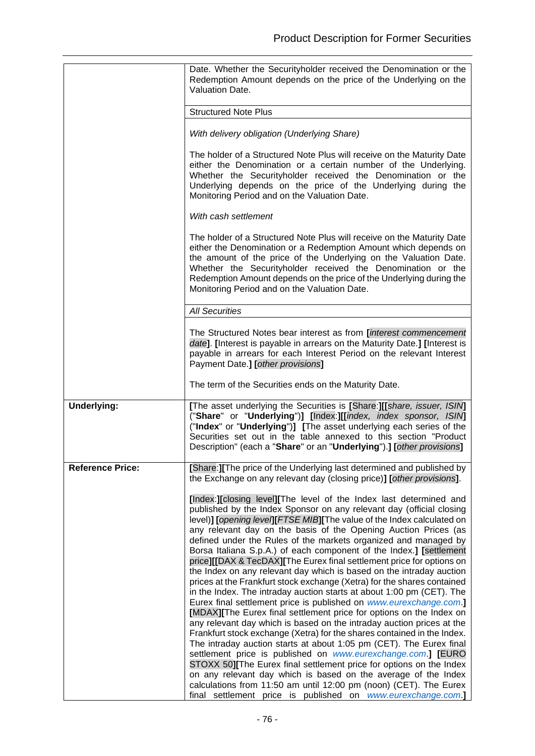|                         | Date. Whether the Securityholder received the Denomination or the<br>Redemption Amount depends on the price of the Underlying on the<br>Valuation Date.                                                                                                                                                                                                                                                                                                                                                                                                                                                                                                                                                                                                                                                                                                                                                                                                                                                                                                                                                                                                                                                                                                                                                                                                                                                                                                      |
|-------------------------|--------------------------------------------------------------------------------------------------------------------------------------------------------------------------------------------------------------------------------------------------------------------------------------------------------------------------------------------------------------------------------------------------------------------------------------------------------------------------------------------------------------------------------------------------------------------------------------------------------------------------------------------------------------------------------------------------------------------------------------------------------------------------------------------------------------------------------------------------------------------------------------------------------------------------------------------------------------------------------------------------------------------------------------------------------------------------------------------------------------------------------------------------------------------------------------------------------------------------------------------------------------------------------------------------------------------------------------------------------------------------------------------------------------------------------------------------------------|
|                         | <b>Structured Note Plus</b>                                                                                                                                                                                                                                                                                                                                                                                                                                                                                                                                                                                                                                                                                                                                                                                                                                                                                                                                                                                                                                                                                                                                                                                                                                                                                                                                                                                                                                  |
|                         | With delivery obligation (Underlying Share)                                                                                                                                                                                                                                                                                                                                                                                                                                                                                                                                                                                                                                                                                                                                                                                                                                                                                                                                                                                                                                                                                                                                                                                                                                                                                                                                                                                                                  |
|                         | The holder of a Structured Note Plus will receive on the Maturity Date<br>either the Denomination or a certain number of the Underlying.<br>Whether the Securityholder received the Denomination or the<br>Underlying depends on the price of the Underlying during the<br>Monitoring Period and on the Valuation Date.                                                                                                                                                                                                                                                                                                                                                                                                                                                                                                                                                                                                                                                                                                                                                                                                                                                                                                                                                                                                                                                                                                                                      |
|                         | With cash settlement                                                                                                                                                                                                                                                                                                                                                                                                                                                                                                                                                                                                                                                                                                                                                                                                                                                                                                                                                                                                                                                                                                                                                                                                                                                                                                                                                                                                                                         |
|                         | The holder of a Structured Note Plus will receive on the Maturity Date<br>either the Denomination or a Redemption Amount which depends on<br>the amount of the price of the Underlying on the Valuation Date.<br>Whether the Securityholder received the Denomination or the<br>Redemption Amount depends on the price of the Underlying during the<br>Monitoring Period and on the Valuation Date.                                                                                                                                                                                                                                                                                                                                                                                                                                                                                                                                                                                                                                                                                                                                                                                                                                                                                                                                                                                                                                                          |
|                         | <b>All Securities</b>                                                                                                                                                                                                                                                                                                                                                                                                                                                                                                                                                                                                                                                                                                                                                                                                                                                                                                                                                                                                                                                                                                                                                                                                                                                                                                                                                                                                                                        |
|                         | The Structured Notes bear interest as from <i>[interest commencement</i><br>date]. [Interest is payable in arrears on the Maturity Date.] [Interest is<br>payable in arrears for each Interest Period on the relevant Interest<br>Payment Date.] [other provisions]                                                                                                                                                                                                                                                                                                                                                                                                                                                                                                                                                                                                                                                                                                                                                                                                                                                                                                                                                                                                                                                                                                                                                                                          |
|                         | The term of the Securities ends on the Maturity Date.                                                                                                                                                                                                                                                                                                                                                                                                                                                                                                                                                                                                                                                                                                                                                                                                                                                                                                                                                                                                                                                                                                                                                                                                                                                                                                                                                                                                        |
| <b>Underlying:</b>      | [The asset underlying the Securities is [Share:][[share, issuer, ISIM]<br>("Share" or "Underlying")] [Index:][[index, index sponsor, ISIN]<br>("Index" or "Underlying")] [The asset underlying each series of the<br>Securities set out in the table annexed to this section "Product<br>Description" (each a "Share" or an "Underlying").] [other provisions]                                                                                                                                                                                                                                                                                                                                                                                                                                                                                                                                                                                                                                                                                                                                                                                                                                                                                                                                                                                                                                                                                               |
| <b>Reference Price:</b> | [Share:] [The price of the Underlying last determined and published by<br>the Exchange on any relevant day (closing price)] [other provisions].                                                                                                                                                                                                                                                                                                                                                                                                                                                                                                                                                                                                                                                                                                                                                                                                                                                                                                                                                                                                                                                                                                                                                                                                                                                                                                              |
|                         | [Index:][closing level][The level of the Index last determined and<br>published by the Index Sponsor on any relevant day (official closing<br>level)] [opening level][FTSE MIB][The value of the Index calculated on<br>any relevant day on the basis of the Opening Auction Prices (as<br>defined under the Rules of the markets organized and managed by<br>Borsa Italiana S.p.A.) of each component of the Index.] [settlement<br>price][[DAX & TecDAX][The Eurex final settlement price for options on<br>the Index on any relevant day which is based on the intraday auction<br>prices at the Frankfurt stock exchange (Xetra) for the shares contained<br>in the Index. The intraday auction starts at about 1:00 pm (CET). The<br>Eurex final settlement price is published on www.eurexchange.com.]<br>[MDAX][The Eurex final settlement price for options on the Index on<br>any relevant day which is based on the intraday auction prices at the<br>Frankfurt stock exchange (Xetra) for the shares contained in the Index.<br>The intraday auction starts at about 1:05 pm (CET). The Eurex final<br>settlement price is published on www.eurexchange.com.] [EURO<br>STOXX 50][The Eurex final settlement price for options on the Index<br>on any relevant day which is based on the average of the Index<br>calculations from 11:50 am until 12:00 pm (noon) (CET). The Eurex<br>final settlement price is published on www.eurexchange.com.] |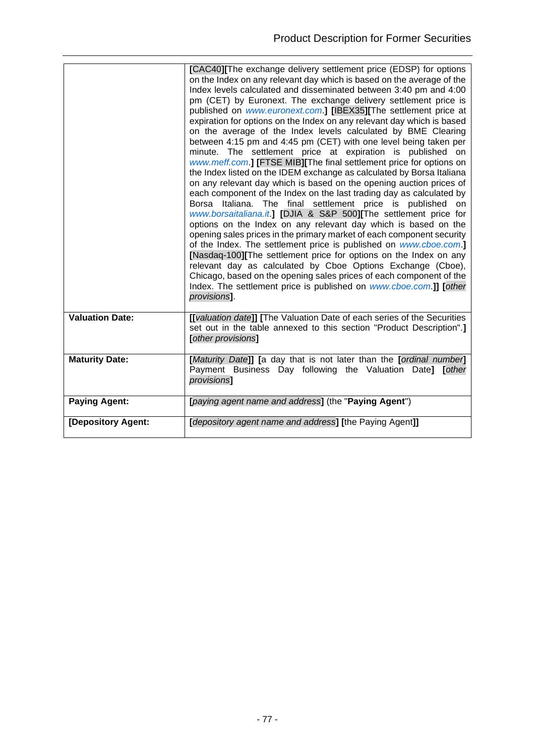|                        | [CAC40][The exchange delivery settlement price (EDSP) for options<br>on the Index on any relevant day which is based on the average of the<br>Index levels calculated and disseminated between 3:40 pm and 4:00<br>pm (CET) by Euronext. The exchange delivery settlement price is<br>published on www.euronext.com.] [IBEX35][The settlement price at<br>expiration for options on the Index on any relevant day which is based<br>on the average of the Index levels calculated by BME Clearing<br>between 4:15 pm and 4:45 pm (CET) with one level being taken per<br>minute. The settlement price at expiration is published on<br>www.meff.com.] [FTSE MIB][The final settlement price for options on<br>the Index listed on the IDEM exchange as calculated by Borsa Italiana<br>on any relevant day which is based on the opening auction prices of<br>each component of the Index on the last trading day as calculated by<br>Borsa Italiana. The final settlement price is published<br>on<br>www.borsaitaliana.it.] [DJIA & S&P 500][The settlement price for<br>options on the Index on any relevant day which is based on the<br>opening sales prices in the primary market of each component security<br>of the Index. The settlement price is published on www.cboe.com.]<br>[Nasdaq-100][The settlement price for options on the Index on any<br>relevant day as calculated by Cboe Options Exchange (Cboe),<br>Chicago, based on the opening sales prices of each component of the<br>Index. The settlement price is published on www.cboe.com.]] [other<br>provisions]. |
|------------------------|------------------------------------------------------------------------------------------------------------------------------------------------------------------------------------------------------------------------------------------------------------------------------------------------------------------------------------------------------------------------------------------------------------------------------------------------------------------------------------------------------------------------------------------------------------------------------------------------------------------------------------------------------------------------------------------------------------------------------------------------------------------------------------------------------------------------------------------------------------------------------------------------------------------------------------------------------------------------------------------------------------------------------------------------------------------------------------------------------------------------------------------------------------------------------------------------------------------------------------------------------------------------------------------------------------------------------------------------------------------------------------------------------------------------------------------------------------------------------------------------------------------------------------------------------------------------------------------|
| <b>Valuation Date:</b> | [[valuation date]] [The Valuation Date of each series of the Securities                                                                                                                                                                                                                                                                                                                                                                                                                                                                                                                                                                                                                                                                                                                                                                                                                                                                                                                                                                                                                                                                                                                                                                                                                                                                                                                                                                                                                                                                                                                  |
|                        | set out in the table annexed to this section "Product Description".]<br>[other provisions]                                                                                                                                                                                                                                                                                                                                                                                                                                                                                                                                                                                                                                                                                                                                                                                                                                                                                                                                                                                                                                                                                                                                                                                                                                                                                                                                                                                                                                                                                               |
| <b>Maturity Date:</b>  | [Maturity Date]] [a day that is not later than the [ordinal number]<br>Payment Business Day following the Valuation Date]<br>[other<br>provisions]                                                                                                                                                                                                                                                                                                                                                                                                                                                                                                                                                                                                                                                                                                                                                                                                                                                                                                                                                                                                                                                                                                                                                                                                                                                                                                                                                                                                                                       |
| <b>Paying Agent:</b>   | [paying agent name and address] (the "Paying Agent")                                                                                                                                                                                                                                                                                                                                                                                                                                                                                                                                                                                                                                                                                                                                                                                                                                                                                                                                                                                                                                                                                                                                                                                                                                                                                                                                                                                                                                                                                                                                     |
| [Depository Agent:     | [depository agent name and address] [the Paying Agent]]                                                                                                                                                                                                                                                                                                                                                                                                                                                                                                                                                                                                                                                                                                                                                                                                                                                                                                                                                                                                                                                                                                                                                                                                                                                                                                                                                                                                                                                                                                                                  |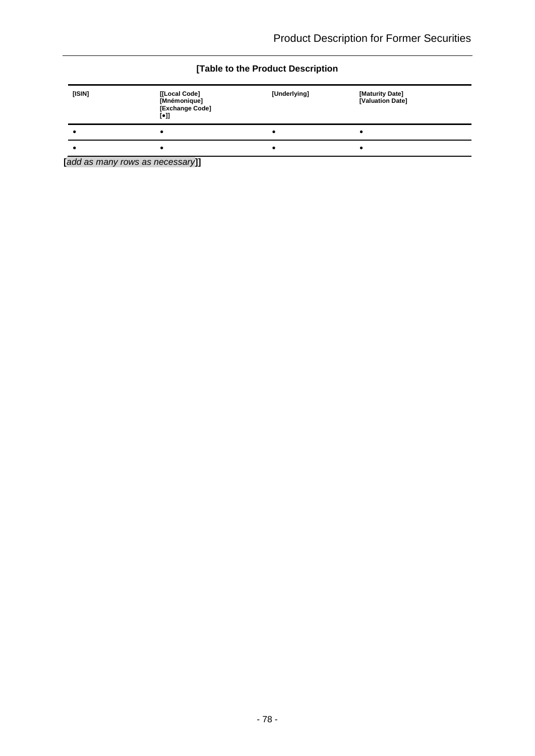#### **[Table to the Product Description**

| [ISIN] | [[Local Code]<br>[Mnémonique]<br>[Exchange Code]<br>$\lbrack \bullet \rbrack \rbrack$ | [Underlying] | [Maturity Date]<br>[Valuation Date] |
|--------|---------------------------------------------------------------------------------------|--------------|-------------------------------------|
|        |                                                                                       |              |                                     |
|        |                                                                                       |              |                                     |

**[***add as many rows as necessary***]]**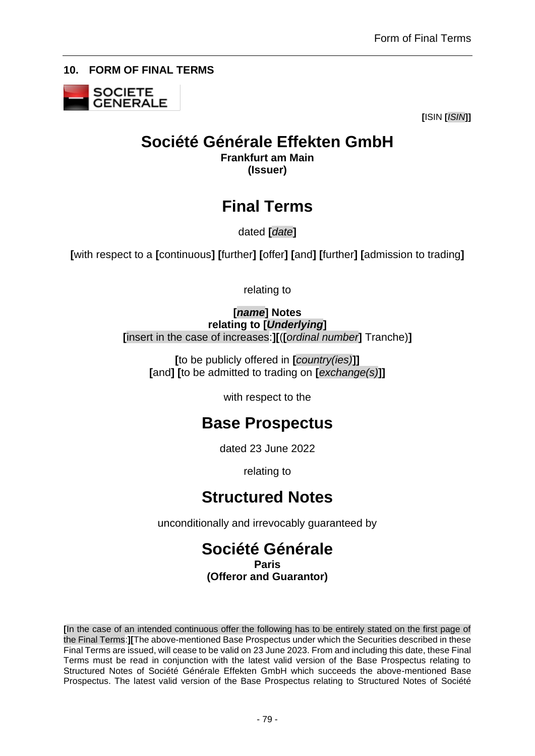<span id="page-78-0"></span>**10. FORM OF FINAL TERMS**



**[**ISIN **[***ISIN***]]**

# **Société Générale Effekten GmbH**

**Frankfurt am Main (Issuer)**

# **Final Terms**

dated **[***date***]**

**[**with respect to a **[**continuous**] [**further**] [**offer**] [**and**] [**further**] [**admission to trading**]**

relating to

**[***name***] Notes relating to [***Underlying***] [**insert in the case of increases:**][**(**[***ordinal number***]** Tranche)**]**

**[**to be publicly offered in **[***country(ies)***]] [**and**] [**to be admitted to trading on **[***exchange(s)***]]**

with respect to the

# **Base Prospectus**

dated 23 June 2022

relating to

# **Structured Notes**

unconditionally and irrevocably guaranteed by

# **Société Générale Paris (Offeror and Guarantor)**

**[**In the case of an intended continuous offer the following has to be entirely stated on the first page of the Final Terms:**][**The above-mentioned Base Prospectus under which the Securities described in these Final Terms are issued, will cease to be valid on 23 June 2023. From and including this date, these Final Terms must be read in conjunction with the latest valid version of the Base Prospectus relating to Structured Notes of Société Générale Effekten GmbH which succeeds the above-mentioned Base Prospectus. The latest valid version of the Base Prospectus relating to Structured Notes of Société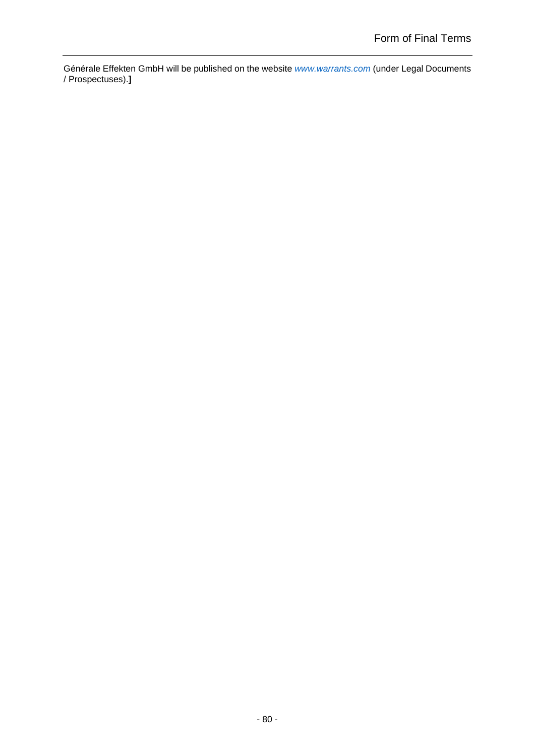Générale Effekten GmbH will be published on the website *[www.warrants.com](http://www.warrants.com/)* (under Legal Documents / Prospectuses).**]**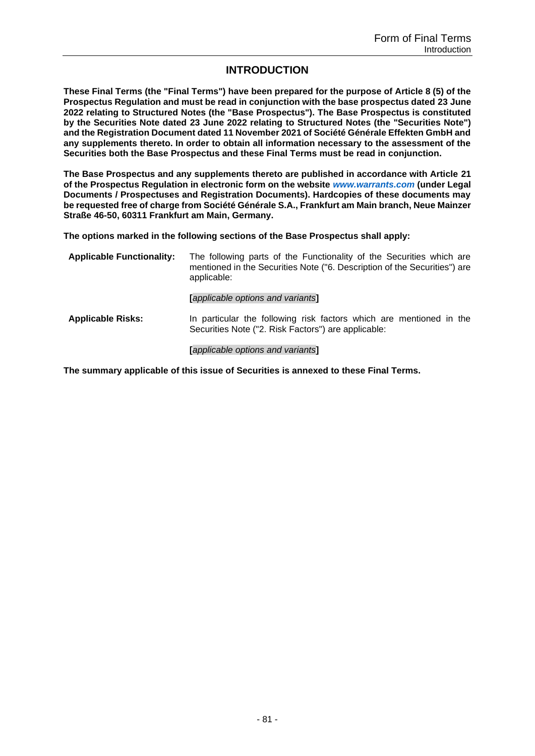#### **INTRODUCTION**

**These Final Terms (the "Final Terms") have been prepared for the purpose of Article 8 (5) of the Prospectus Regulation and must be read in conjunction with the base prospectus dated 23 June 2022 relating to Structured Notes (the "Base Prospectus"). The Base Prospectus is constituted by the Securities Note dated 23 June 2022 relating to Structured Notes (the "Securities Note") and the Registration Document dated 11 November 2021 of Société Générale Effekten GmbH and any supplements thereto. In order to obtain all information necessary to the assessment of the Securities both the Base Prospectus and these Final Terms must be read in conjunction.**

**The Base Prospectus and any supplements thereto are published in accordance with Article 21 of the Prospectus Regulation in electronic form on the website** *[www.warrants.com](http://www.warrants.com/)* **(under Legal Documents / Prospectuses and Registration Documents). Hardcopies of these documents may be requested free of charge from Société Générale S.A., Frankfurt am Main branch, Neue Mainzer Straße 46-50, 60311 Frankfurt am Main, Germany.**

**The options marked in the following sections of the Base Prospectus shall apply:**

| <b>Applicable Functionality:</b> | The following parts of the Functionality of the Securities which are<br>mentioned in the Securities Note ("6. Description of the Securities") are<br>applicable: |
|----------------------------------|------------------------------------------------------------------------------------------------------------------------------------------------------------------|
|                                  | [applicable options and variants]                                                                                                                                |
| <b>Applicable Risks:</b>         | In particular the following risk factors which are mentioned in the<br>Securities Note ("2. Risk Factors") are applicable:                                       |
|                                  | <b>Tapplicable options and variants1</b>                                                                                                                         |

**The summary applicable of this issue of Securities is annexed to these Final Terms.**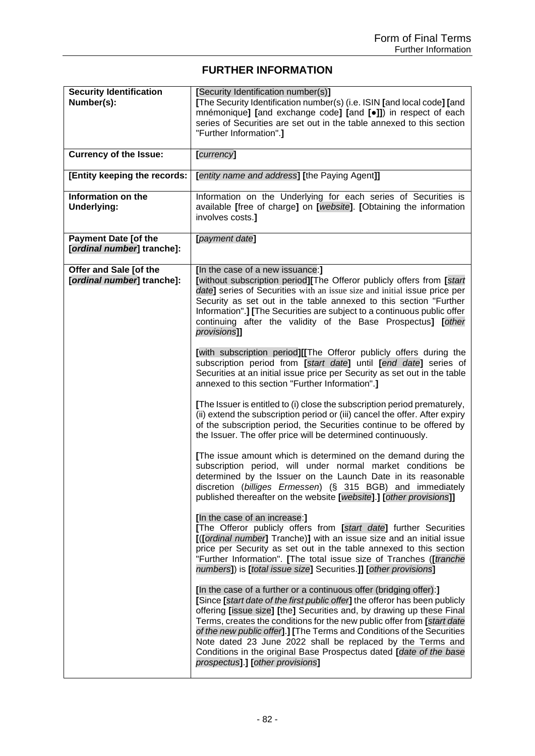## **FURTHER INFORMATION**

| <b>Security Identification</b><br>Number(s):              | [Security Identification number(s)]<br>[The Security Identification number(s) (i.e. ISIN [and local code] [and<br>mnémonique] [and exchange code] [and [.]]) in respect of each<br>series of Securities are set out in the table annexed to this section<br>"Further Information".]                                                                                                                                                                                                                                                                     |
|-----------------------------------------------------------|---------------------------------------------------------------------------------------------------------------------------------------------------------------------------------------------------------------------------------------------------------------------------------------------------------------------------------------------------------------------------------------------------------------------------------------------------------------------------------------------------------------------------------------------------------|
| <b>Currency of the Issue:</b>                             | [currency]                                                                                                                                                                                                                                                                                                                                                                                                                                                                                                                                              |
| [Entity keeping the records:                              | [entity name and address] [the Paying Agent]]                                                                                                                                                                                                                                                                                                                                                                                                                                                                                                           |
| Information on the<br><b>Underlying:</b>                  | Information on the Underlying for each series of Securities is<br>available [free of charge] on [website]. [Obtaining the information<br>involves costs.]                                                                                                                                                                                                                                                                                                                                                                                               |
| <b>Payment Date [of the</b><br>[ordinal number] tranche]: | [payment date]                                                                                                                                                                                                                                                                                                                                                                                                                                                                                                                                          |
| Offer and Sale [of the<br>[ordinal number] tranche]:      | [In the case of a new issuance:]<br>[without subscription period][The Offeror publicly offers from [start<br>date] series of Securities with an issue size and initial issue price per<br>Security as set out in the table annexed to this section "Further<br>Information".] [The Securities are subject to a continuous public offer<br>continuing after the validity of the Base Prospectus] [other<br>provisions]]                                                                                                                                  |
|                                                           | [with subscription period][[The Offeror publicly offers during the<br>subscription period from [start date] until [end date] series of<br>Securities at an initial issue price per Security as set out in the table<br>annexed to this section "Further Information".]                                                                                                                                                                                                                                                                                  |
|                                                           | [The Issuer is entitled to (i) close the subscription period prematurely,<br>(ii) extend the subscription period or (iii) cancel the offer. After expiry<br>of the subscription period, the Securities continue to be offered by<br>the Issuer. The offer price will be determined continuously.                                                                                                                                                                                                                                                        |
|                                                           | [The issue amount which is determined on the demand during the<br>subscription period, will under normal market conditions be<br>determined by the Issuer on the Launch Date in its reasonable<br>discretion (billiges Ermessen) (§ 315 BGB) and immediately<br>published thereafter on the website [website].] [other provisions]]                                                                                                                                                                                                                     |
|                                                           | [In the case of an increase:]<br>[The Offeror publicly offers from [start date] further Securities<br>[([ordinal number] Tranche)] with an issue size and an initial issue<br>price per Security as set out in the table annexed to this section<br>"Further Information". [The total issue size of Tranches ([tranche<br>numbers]) is [total issue size] Securities.]] [other provisions]                                                                                                                                                              |
|                                                           | [In the case of a further or a continuous offer (bridging offer):]<br>[Since [start date of the first public offer] the offeror has been publicly<br>offering [issue size] [the] Securities and, by drawing up these Final<br>Terms, creates the conditions for the new public offer from [start date<br>of the new public offer].] [The Terms and Conditions of the Securities<br>Note dated 23 June 2022 shall be replaced by the Terms and<br>Conditions in the original Base Prospectus dated [date of the base<br>prospectus].] [other provisions] |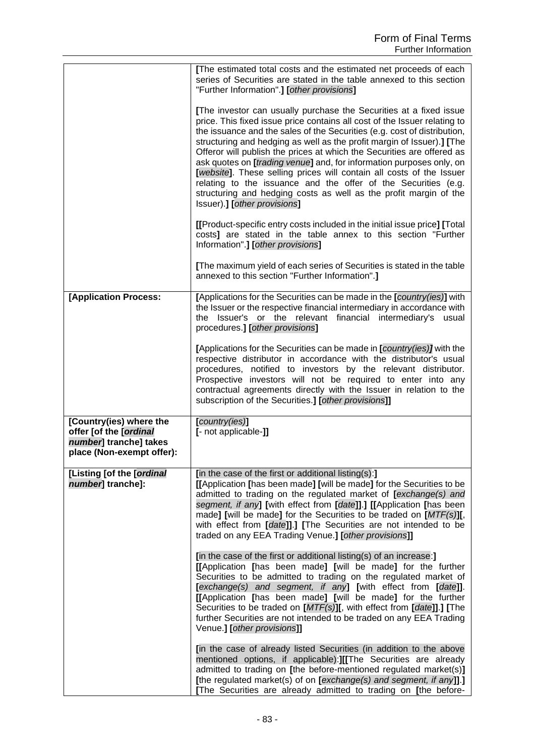|                                                                                                          | [The estimated total costs and the estimated net proceeds of each<br>series of Securities are stated in the table annexed to this section<br>"Further Information".] [other provisions]                                                                                                                                                                                                                                                                                                                                                                                                                                                                                                                       |
|----------------------------------------------------------------------------------------------------------|---------------------------------------------------------------------------------------------------------------------------------------------------------------------------------------------------------------------------------------------------------------------------------------------------------------------------------------------------------------------------------------------------------------------------------------------------------------------------------------------------------------------------------------------------------------------------------------------------------------------------------------------------------------------------------------------------------------|
|                                                                                                          | [The investor can usually purchase the Securities at a fixed issue<br>price. This fixed issue price contains all cost of the Issuer relating to<br>the issuance and the sales of the Securities (e.g. cost of distribution,<br>structuring and hedging as well as the profit margin of Issuer).] [The<br>Offeror will publish the prices at which the Securities are offered as<br>ask quotes on <i>[trading venue]</i> and, for information purposes only, on<br>[website]. These selling prices will contain all costs of the Issuer<br>relating to the issuance and the offer of the Securities (e.g.<br>structuring and hedging costs as well as the profit margin of the<br>Issuer).] [other provisions] |
|                                                                                                          | [[Product-specific entry costs included in the initial issue price] [Total<br>costs] are stated in the table annex to this section "Further<br>Information".] [other provisions]                                                                                                                                                                                                                                                                                                                                                                                                                                                                                                                              |
|                                                                                                          | [The maximum yield of each series of Securities is stated in the table<br>annexed to this section "Further Information".]                                                                                                                                                                                                                                                                                                                                                                                                                                                                                                                                                                                     |
| [Application Process:                                                                                    | [Applications for the Securities can be made in the [country(ies)] with<br>the Issuer or the respective financial intermediary in accordance with<br>the Issuer's or the relevant financial intermediary's<br>usual<br>procedures.] [other provisions]                                                                                                                                                                                                                                                                                                                                                                                                                                                        |
|                                                                                                          | [Applications for the Securities can be made in [country(ies)] with the<br>respective distributor in accordance with the distributor's usual<br>procedures, notified to investors by the relevant distributor.<br>Prospective investors will not be required to enter into any<br>contractual agreements directly with the Issuer in relation to the<br>subscription of the Securities.] [other provisions]]                                                                                                                                                                                                                                                                                                  |
| [Country(ies) where the<br>offer [of the [ordinal<br>number] tranche] takes<br>place (Non-exempt offer): | [country(ies)]<br>[- not applicable-]]                                                                                                                                                                                                                                                                                                                                                                                                                                                                                                                                                                                                                                                                        |
| [Listing [of the [ordinal<br>number] tranche]:                                                           | [in the case of the first or additional listing(s):]<br>[[Application [has been made] [will be made] for the Securities to be<br>admitted to trading on the regulated market of [exchange(s) and<br>segment, if any] [with effect from [date]].] [[Application [has been<br>made] [will be made] for the Securities to be traded on $[MTF(s)]$ [,<br>with effect from [date]].] [The Securities are not intended to be<br>traded on any EEA Trading Venue.] [other provisions]]                                                                                                                                                                                                                               |
|                                                                                                          | [in the case of the first or additional listing(s) of an increase:]<br>[[Application [has been made] [will be made] for the further<br>Securities to be admitted to trading on the regulated market of<br>[exchange(s) and segment, if any] [with effect from [date]].<br>[[Application [has been made] [will be made] for the further<br>Securities to be traded on [MTF(s)][, with effect from [date]].] [The<br>further Securities are not intended to be traded on any EEA Trading<br>Venue.] [other provisions]]                                                                                                                                                                                         |
|                                                                                                          | [in the case of already listed Securities (in addition to the above<br>mentioned options, if applicable): I[[The Securities are already<br>admitted to trading on [the before-mentioned regulated market(s)]<br>[the regulated market(s) of on [exchange(s) and segment, if any]].]<br>[The Securities are already admitted to trading on [the before-                                                                                                                                                                                                                                                                                                                                                        |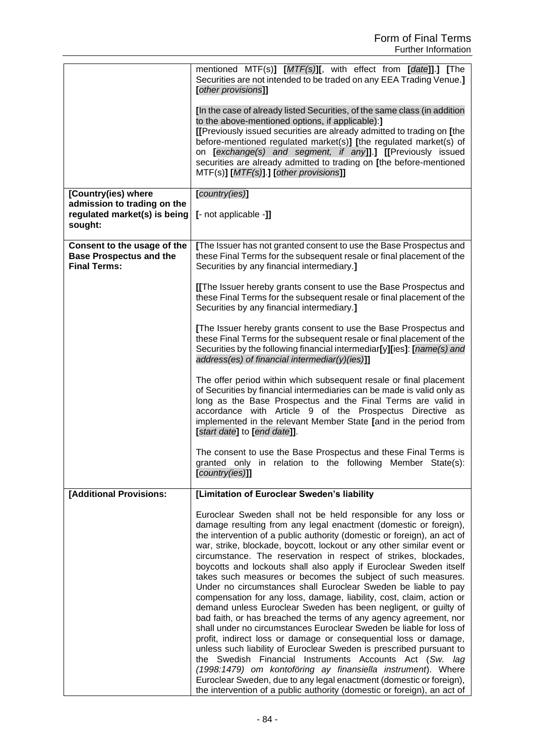|                                                                                               | mentioned MTF(s)] [MTF(s)][, with effect from [date]].] [The<br>Securities are not intended to be traded on any EEA Trading Venue.]<br>[other provisions]]                                                                                                                                                                                                                                                                                                                                                                                                                                                                                                                                                                                                                                                                                                                                                                                                                                                                                                                                                                                                                                                                                                                      |
|-----------------------------------------------------------------------------------------------|---------------------------------------------------------------------------------------------------------------------------------------------------------------------------------------------------------------------------------------------------------------------------------------------------------------------------------------------------------------------------------------------------------------------------------------------------------------------------------------------------------------------------------------------------------------------------------------------------------------------------------------------------------------------------------------------------------------------------------------------------------------------------------------------------------------------------------------------------------------------------------------------------------------------------------------------------------------------------------------------------------------------------------------------------------------------------------------------------------------------------------------------------------------------------------------------------------------------------------------------------------------------------------|
|                                                                                               | [In the case of already listed Securities, of the same class (in addition<br>to the above-mentioned options, if applicable):]<br>[[Previously issued securities are already admitted to trading on [the<br>before-mentioned regulated market(s)] [the regulated market(s) of<br>on [exchange(s) and segment, if any]].] [[Previously issued<br>securities are already admitted to trading on [the before-mentioned<br>MTF(s)] [MTF(s)].] [other provisions]]                                                                                                                                                                                                                                                                                                                                                                                                                                                                                                                                                                                                                                                                                                                                                                                                                    |
| [Country(ies) where<br>admission to trading on the<br>regulated market(s) is being<br>sought: | [country(ies)]<br>[- not applicable -]]                                                                                                                                                                                                                                                                                                                                                                                                                                                                                                                                                                                                                                                                                                                                                                                                                                                                                                                                                                                                                                                                                                                                                                                                                                         |
| Consent to the usage of the<br><b>Base Prospectus and the</b><br><b>Final Terms:</b>          | [The Issuer has not granted consent to use the Base Prospectus and<br>these Final Terms for the subsequent resale or final placement of the<br>Securities by any financial intermediary.]                                                                                                                                                                                                                                                                                                                                                                                                                                                                                                                                                                                                                                                                                                                                                                                                                                                                                                                                                                                                                                                                                       |
|                                                                                               | [[The Issuer hereby grants consent to use the Base Prospectus and<br>these Final Terms for the subsequent resale or final placement of the<br>Securities by any financial intermediary.]                                                                                                                                                                                                                                                                                                                                                                                                                                                                                                                                                                                                                                                                                                                                                                                                                                                                                                                                                                                                                                                                                        |
|                                                                                               | [The Issuer hereby grants consent to use the Base Prospectus and<br>these Final Terms for the subsequent resale or final placement of the<br>Securities by the following financial intermediar[y][ies]: [name(s) and<br>address(es) of financial intermediar(y)(ies)]]                                                                                                                                                                                                                                                                                                                                                                                                                                                                                                                                                                                                                                                                                                                                                                                                                                                                                                                                                                                                          |
|                                                                                               | The offer period within which subsequent resale or final placement<br>of Securities by financial intermediaries can be made is valid only as<br>long as the Base Prospectus and the Final Terms are valid in<br>accordance with Article 9 of the Prospectus Directive as<br>implemented in the relevant Member State [and in the period from<br>[start date] to [end date]].                                                                                                                                                                                                                                                                                                                                                                                                                                                                                                                                                                                                                                                                                                                                                                                                                                                                                                    |
|                                                                                               | The consent to use the Base Prospectus and these Final Terms is<br>granted only in relation to the following Member State(s):<br>$[{\it country(ies)}]$                                                                                                                                                                                                                                                                                                                                                                                                                                                                                                                                                                                                                                                                                                                                                                                                                                                                                                                                                                                                                                                                                                                         |
| [Additional Provisions:                                                                       | [Limitation of Euroclear Sweden's liability                                                                                                                                                                                                                                                                                                                                                                                                                                                                                                                                                                                                                                                                                                                                                                                                                                                                                                                                                                                                                                                                                                                                                                                                                                     |
|                                                                                               | Euroclear Sweden shall not be held responsible for any loss or<br>damage resulting from any legal enactment (domestic or foreign),<br>the intervention of a public authority (domestic or foreign), an act of<br>war, strike, blockade, boycott, lockout or any other similar event or<br>circumstance. The reservation in respect of strikes, blockades,<br>boycotts and lockouts shall also apply if Euroclear Sweden itself<br>takes such measures or becomes the subject of such measures.<br>Under no circumstances shall Euroclear Sweden be liable to pay<br>compensation for any loss, damage, liability, cost, claim, action or<br>demand unless Euroclear Sweden has been negligent, or guilty of<br>bad faith, or has breached the terms of any agency agreement, nor<br>shall under no circumstances Euroclear Sweden be liable for loss of<br>profit, indirect loss or damage or consequential loss or damage,<br>unless such liability of Euroclear Sweden is prescribed pursuant to<br>the Swedish Financial Instruments Accounts Act (Sw. lag<br>(1998:1479) om kontoföring ay finansiella instrument). Where<br>Euroclear Sweden, due to any legal enactment (domestic or foreign),<br>the intervention of a public authority (domestic or foreign), an act of |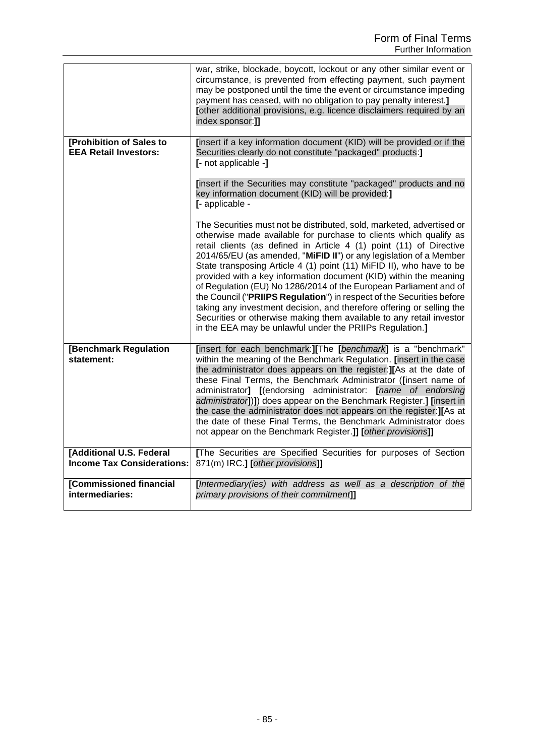|                                                               | war, strike, blockade, boycott, lockout or any other similar event or<br>circumstance, is prevented from effecting payment, such payment<br>may be postponed until the time the event or circumstance impeding<br>payment has ceased, with no obligation to pay penalty interest.]<br>[other additional provisions, e.g. licence disclaimers required by an<br>index sponsor:]]                                                                                                                                                                                                                                                                                                                                                                                                                 |
|---------------------------------------------------------------|-------------------------------------------------------------------------------------------------------------------------------------------------------------------------------------------------------------------------------------------------------------------------------------------------------------------------------------------------------------------------------------------------------------------------------------------------------------------------------------------------------------------------------------------------------------------------------------------------------------------------------------------------------------------------------------------------------------------------------------------------------------------------------------------------|
| [Prohibition of Sales to<br><b>EEA Retail Investors:</b>      | [insert if a key information document (KID) will be provided or if the<br>Securities clearly do not constitute "packaged" products:]<br>[- not applicable -]                                                                                                                                                                                                                                                                                                                                                                                                                                                                                                                                                                                                                                    |
|                                                               | [insert if the Securities may constitute "packaged" products and no<br>key information document (KID) will be provided:]<br>[- applicable -                                                                                                                                                                                                                                                                                                                                                                                                                                                                                                                                                                                                                                                     |
|                                                               | The Securities must not be distributed, sold, marketed, advertised or<br>otherwise made available for purchase to clients which qualify as<br>retail clients (as defined in Article 4 (1) point (11) of Directive<br>2014/65/EU (as amended, "MiFID II") or any legislation of a Member<br>State transposing Article 4 (1) point (11) MiFID II), who have to be<br>provided with a key information document (KID) within the meaning<br>of Regulation (EU) No 1286/2014 of the European Parliament and of<br>the Council ("PRIIPS Regulation") in respect of the Securities before<br>taking any investment decision, and therefore offering or selling the<br>Securities or otherwise making them available to any retail investor<br>in the EEA may be unlawful under the PRIIPs Regulation.] |
| [Benchmark Regulation<br>statement:                           | [insert for each benchmark:][The [benchmark] is a "benchmark"<br>within the meaning of the Benchmark Regulation. [insert in the case<br>the administrator does appears on the register: IIAs at the date of<br>these Final Terms, the Benchmark Administrator ([insert name of<br>administrator] [(endorsing administrator: [name of endorsing<br>administrator])]) does appear on the Benchmark Register.] [insert in<br>the case the administrator does not appears on the register: J[As at<br>the date of these Final Terms, the Benchmark Administrator does<br>not appear on the Benchmark Register.]] [other provisions]]                                                                                                                                                                |
| [Additional U.S. Federal<br><b>Income Tax Considerations:</b> | The Securities are Specified Securities for purposes of Section<br>871(m) IRC.] [other provisions]]                                                                                                                                                                                                                                                                                                                                                                                                                                                                                                                                                                                                                                                                                             |
| [Commissioned financial<br>intermediaries:                    | [Intermediary(ies) with address as well as a description of the<br>primary provisions of their commitment]]                                                                                                                                                                                                                                                                                                                                                                                                                                                                                                                                                                                                                                                                                     |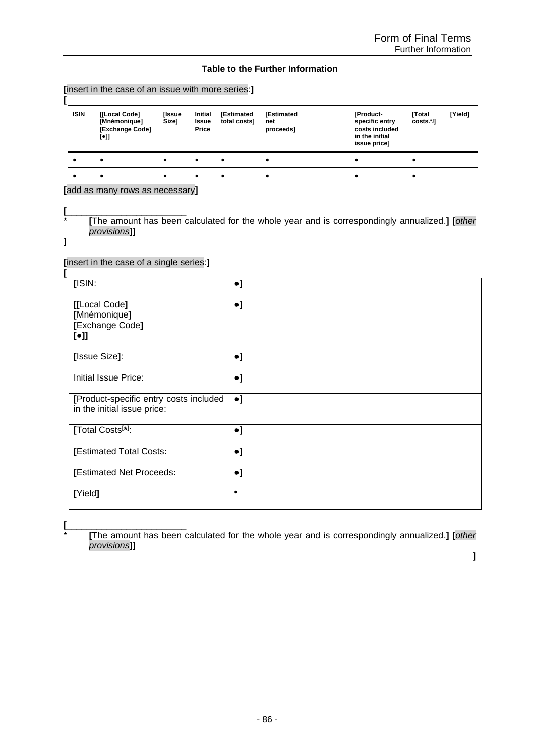#### **Table to the Further Information**

|             | [insert in the case of an issue with more series:]                                    |                 |                                  |                            |                                       |                                                                                 |                           |         |
|-------------|---------------------------------------------------------------------------------------|-----------------|----------------------------------|----------------------------|---------------------------------------|---------------------------------------------------------------------------------|---------------------------|---------|
| <b>ISIN</b> | [[Local Code]<br>[Mnémonique]<br>[Exchange Code]<br>$\lbrack \bullet \rbrack \rbrack$ | [Issue<br>Size1 | <b>Initial</b><br>Issue<br>Price | [Estimated<br>total costs] | <b>[Estimated</b><br>net<br>proceeds] | [Product-<br>specific entry<br>costs included<br>in the initial<br>issue price] | <b>Total</b><br>costs[*]] | [Yield] |
|             | $\bullet$                                                                             |                 | $\bullet$                        | $\bullet$                  | ٠                                     | ٠                                                                               |                           |         |
|             | $\bullet$                                                                             |                 | ٠                                | ٠                          | ٠                                     |                                                                                 |                           |         |

**[**add as many rows as necessary**]**

**[**\_\_\_\_\_\_\_\_\_\_\_\_\_\_\_\_\_\_\_\_\_\_\_\_ \* **[**The amount has been calculated for the whole year and is correspondingly annualized.**] [***other provisions***]]**

**]**

**[**insert in the case of a single series:**]**

| [ISIN:                                                                | $\bullet$ ] |
|-----------------------------------------------------------------------|-------------|
| [[Local Code]<br>[Mnémonique]<br>[Exchange Code]<br>$[\bullet]$       | $\bullet$ ] |
| [Issue Size]:                                                         | $\bullet$ ] |
| Initial Issue Price:                                                  | $\bullet$ ] |
| [Product-specific entry costs included<br>in the initial issue price: | $\bullet$ ] |
| [Total Costs <sup>[*]</sup> :                                         | $\bullet$ ] |
| [Estimated Total Costs:                                               | $\bullet$ ] |
| [Estimated Net Proceeds:                                              | $\bullet$ ] |
| [Yield]                                                               | $\bullet$   |

**[**\_\_\_\_\_\_\_\_\_\_\_\_\_\_\_\_\_\_\_\_\_\_\_\_

\* **[**The amount has been calculated for the whole year and is correspondingly annualized.**] [***other provisions***]]**

**]**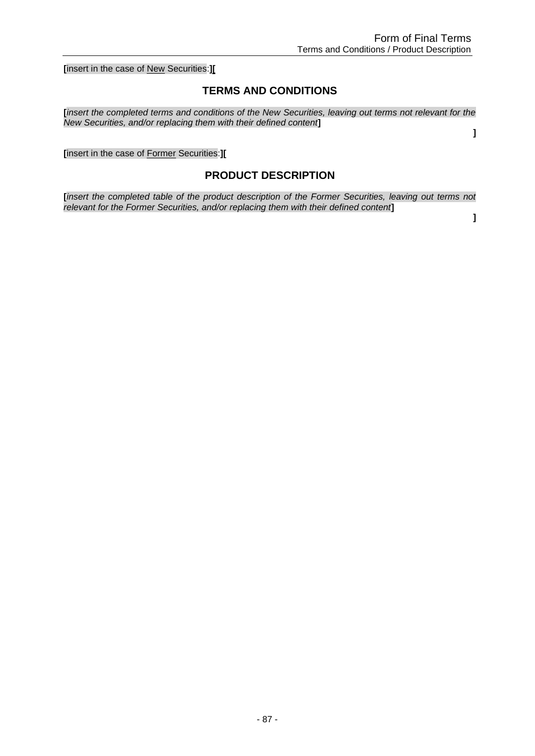**[**insert in the case of New Securities:**][**

### **TERMS AND CONDITIONS**

**[***insert the completed terms and conditions of the New Securities, leaving out terms not relevant for the New Securities, and/or replacing them with their defined content***]**

**[**insert in the case of Former Securities:**][**

### **PRODUCT DESCRIPTION**

**[***insert the completed table of the product description of the Former Securities, leaving out terms not relevant for the Former Securities, and/or replacing them with their defined content***]**

**]**

**]**